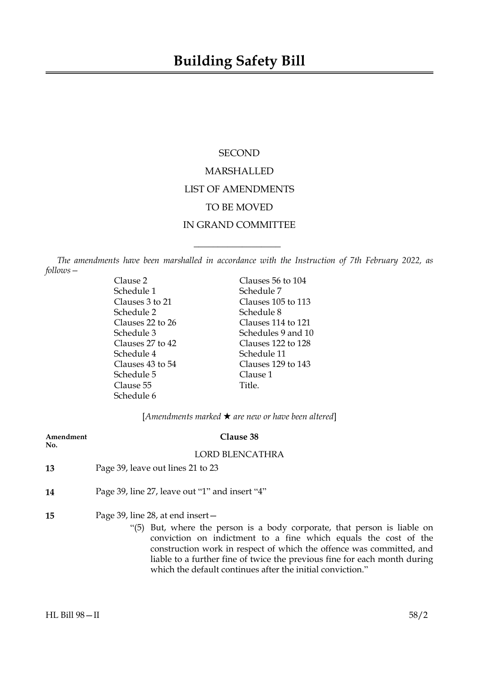# **SECOND** MARSHALLED LIST OF AMENDMENTS TO BE MOVED IN GRAND COMMITTEE

*The amendments have been marshalled in accordance with the Instruction of 7th February 2022, as follows—*

 $\overline{\phantom{a}}$  , where  $\overline{\phantom{a}}$ 

Schedule 1 Schedule 7 Schedule 2 Schedule 8 Schedule 4 Schedule 11 Schedule 5 Clause 1 Clause 55 Title. Schedule 6

Clause 2 Clauses 56 to 104 Clauses 3 to 21 Clauses 105 to 113 Clauses 22 to 26 Clauses 114 to 121 Schedule 3 Schedules 9 and 10 Clauses 27 to 42 Clauses 122 to 128 Clauses 43 to 54 Clauses 129 to 143

[*Amendments marked* \* *are new or have been altered*]

| Amendment<br>No. | Clause 38                                                                                                                                                                                                                                                                                                                                                                                             |
|------------------|-------------------------------------------------------------------------------------------------------------------------------------------------------------------------------------------------------------------------------------------------------------------------------------------------------------------------------------------------------------------------------------------------------|
|                  | <b>LORD BLENCATHRA</b>                                                                                                                                                                                                                                                                                                                                                                                |
| 13               | Page 39, leave out lines 21 to 23                                                                                                                                                                                                                                                                                                                                                                     |
| 14               | Page 39, line 27, leave out "1" and insert "4"                                                                                                                                                                                                                                                                                                                                                        |
| 15               | Page 39, line 28, at end insert $-$<br>"(5) But, where the person is a body corporate, that person is liable on<br>conviction on indictment to a fine which equals the cost of the<br>construction work in respect of which the offence was committed, and<br>liable to a further fine of twice the previous fine for each month during<br>which the default continues after the initial conviction." |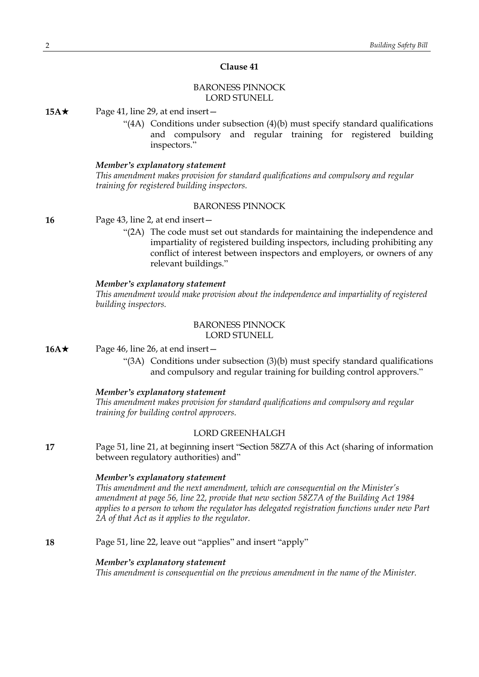# **Clause 41**

# BARONESS PINNOCK LORD STUNELL

**15A**★ Page 41, line 29, at end insert —

" $(4A)$  Conditions under subsection  $(4)(b)$  must specify standard qualifications and compulsory and regular training for registered building inspectors."

#### *Member's explanatory statement*

*This amendment makes provision for standard qualifications and compulsory and regular training for registered building inspectors.*

### BARONESS PINNOCK

**16** Page 43, line 2, at end insert—

"(2A) The code must set out standards for maintaining the independence and impartiality of registered building inspectors, including prohibiting any conflict of interest between inspectors and employers, or owners of any relevant buildings."

### *Member's explanatory statement*

*This amendment would make provision about the independence and impartiality of registered building inspectors.*

#### BARONESS PINNOCK LORD STUNELL

- **16A**★ Page 46, line 26, at end insert
	- "(3A) Conditions under subsection (3)(b) must specify standard qualifications and compulsory and regular training for building control approvers."

### *Member's explanatory statement*

*This amendment makes provision for standard qualifications and compulsory and regular training for building control approvers.*

### LORD GREENHALGH

**17** Page 51, line 21, at beginning insert "Section 58Z7A of this Act (sharing of information between regulatory authorities) and"

#### *Member's explanatory statement*

*This amendment and the next amendment, which are consequential on the Minister's amendment at page 56, line 22, provide that new section 58Z7A of the Building Act 1984 applies to a person to whom the regulator has delegated registration functions under new Part 2A of that Act as it applies to the regulator.*

**18** Page 51, line 22, leave out "applies" and insert "apply"

### *Member's explanatory statement*

*This amendment is consequential on the previous amendment in the name of the Minister.*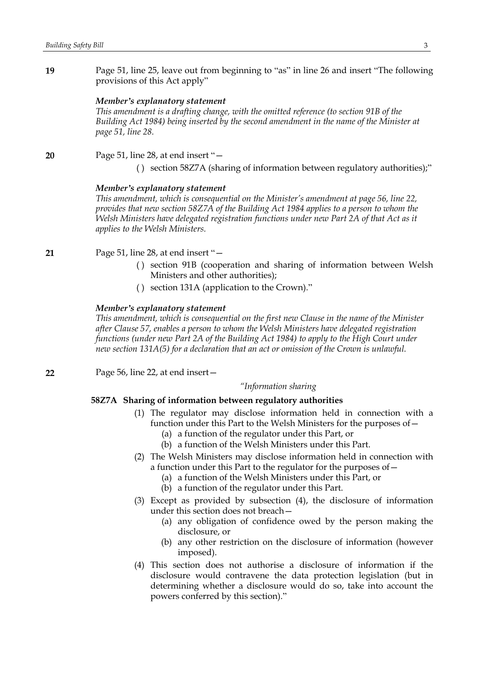**19** Page 51, line 25, leave out from beginning to "as" in line 26 and insert "The following provisions of this Act apply"

#### *Member's explanatory statement*

*This amendment is a drafting change, with the omitted reference (to section 91B of the Building Act 1984) being inserted by the second amendment in the name of the Minister at page 51, line 28.*

#### **20** Page 51, line 28, at end insert "—

( ) section 58Z7A (sharing of information between regulatory authorities);"

#### *Member's explanatory statement*

*This amendment, which is consequential on the Minister's amendment at page 56, line 22, provides that new section 58Z7A of the Building Act 1984 applies to a person to whom the Welsh Ministers have delegated registration functions under new Part 2A of that Act as it applies to the Welsh Ministers.*

#### **21** Page 51, line 28, at end insert "—

- ( ) section 91B (cooperation and sharing of information between Welsh Ministers and other authorities);
- ( ) section 131A (application to the Crown)."

#### *Member's explanatory statement*

*This amendment, which is consequential on the first new Clause in the name of the Minister after Clause 57, enables a person to whom the Welsh Ministers have delegated registration functions (under new Part 2A of the Building Act 1984) to apply to the High Court under new section 131A(5) for a declaration that an act or omission of the Crown is unlawful.*

**22** Page 56, line 22, at end insert—

*"Information sharing*

# **58Z7A Sharing of information between regulatory authorities**

- (1) The regulator may disclose information held in connection with a function under this Part to the Welsh Ministers for the purposes of—
	- (a) a function of the regulator under this Part, or
	- (b) a function of the Welsh Ministers under this Part.
- (2) The Welsh Ministers may disclose information held in connection with a function under this Part to the regulator for the purposes of—
	- (a) a function of the Welsh Ministers under this Part, or
	- (b) a function of the regulator under this Part.
- (3) Except as provided by subsection (4), the disclosure of information under this section does not breach—
	- (a) any obligation of confidence owed by the person making the disclosure, or
	- (b) any other restriction on the disclosure of information (however imposed).
- (4) This section does not authorise a disclosure of information if the disclosure would contravene the data protection legislation (but in determining whether a disclosure would do so, take into account the powers conferred by this section)."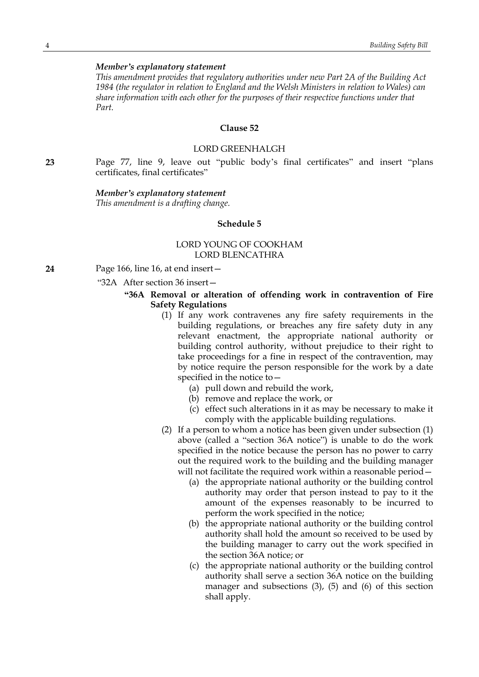#### *Member's explanatory statement*

*This amendment provides that regulatory authorities under new Part 2A of the Building Act 1984 (the regulator in relation to England and the Welsh Ministers in relation to Wales) can share information with each other for the purposes of their respective functions under that Part.*

# **Clause 52**

### LORD GREENHALGH

**23** Page 77, line 9, leave out "public body's final certificates" and insert "plans certificates, final certificates"

#### *Member's explanatory statement*

*This amendment is a drafting change.*

### **Schedule 5**

### LORD YOUNG OF COOKHAM LORD BLENCATHRA

- **24** Page 166, line 16, at end insert—
	- "32A After section 36 insert—

### **"36A Removal or alteration of offending work in contravention of Fire Safety Regulations**

- (1) If any work contravenes any fire safety requirements in the building regulations, or breaches any fire safety duty in any relevant enactment, the appropriate national authority or building control authority, without prejudice to their right to take proceedings for a fine in respect of the contravention, may by notice require the person responsible for the work by a date specified in the notice to—
	- (a) pull down and rebuild the work,
	- (b) remove and replace the work, or
	- (c) effect such alterations in it as may be necessary to make it comply with the applicable building regulations.
- (2) If a person to whom a notice has been given under subsection (1) above (called a "section 36A notice") is unable to do the work specified in the notice because the person has no power to carry out the required work to the building and the building manager will not facilitate the required work within a reasonable period—
	- (a) the appropriate national authority or the building control authority may order that person instead to pay to it the amount of the expenses reasonably to be incurred to perform the work specified in the notice;
	- (b) the appropriate national authority or the building control authority shall hold the amount so received to be used by the building manager to carry out the work specified in the section 36A notice; or
	- (c) the appropriate national authority or the building control authority shall serve a section 36A notice on the building manager and subsections (3), (5) and (6) of this section shall apply.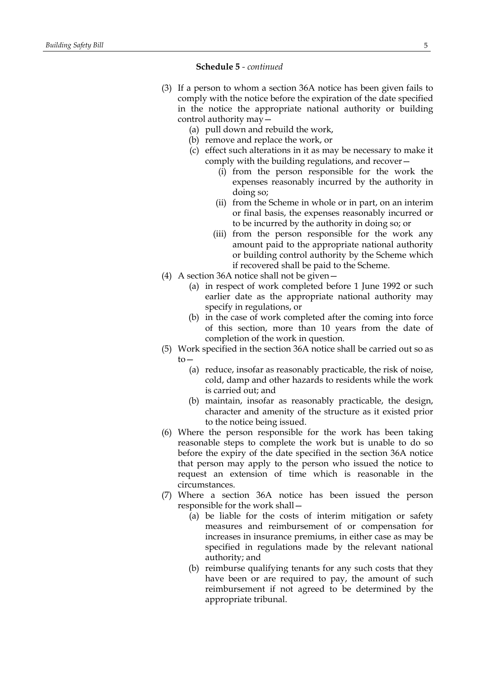### **Schedule 5** *- continued*

- (3) If a person to whom a section 36A notice has been given fails to comply with the notice before the expiration of the date specified in the notice the appropriate national authority or building control authority may—
	- (a) pull down and rebuild the work,
	- (b) remove and replace the work, or
	- (c) effect such alterations in it as may be necessary to make it comply with the building regulations, and recover—
		- (i) from the person responsible for the work the expenses reasonably incurred by the authority in doing so;
		- (ii) from the Scheme in whole or in part, on an interim or final basis, the expenses reasonably incurred or to be incurred by the authority in doing so; or
		- (iii) from the person responsible for the work any amount paid to the appropriate national authority or building control authority by the Scheme which if recovered shall be paid to the Scheme.
- (4) A section 36A notice shall not be given—
	- (a) in respect of work completed before 1 June 1992 or such earlier date as the appropriate national authority may specify in regulations, or
	- (b) in the case of work completed after the coming into force of this section, more than 10 years from the date of completion of the work in question.
- (5) Work specified in the section 36A notice shall be carried out so as  $t_0$ —
	- (a) reduce, insofar as reasonably practicable, the risk of noise, cold, damp and other hazards to residents while the work is carried out; and
	- (b) maintain, insofar as reasonably practicable, the design, character and amenity of the structure as it existed prior to the notice being issued.
- (6) Where the person responsible for the work has been taking reasonable steps to complete the work but is unable to do so before the expiry of the date specified in the section 36A notice that person may apply to the person who issued the notice to request an extension of time which is reasonable in the circumstances.
- (7) Where a section 36A notice has been issued the person responsible for the work shall—
	- (a) be liable for the costs of interim mitigation or safety measures and reimbursement of or compensation for increases in insurance premiums, in either case as may be specified in regulations made by the relevant national authority; and
	- (b) reimburse qualifying tenants for any such costs that they have been or are required to pay, the amount of such reimbursement if not agreed to be determined by the appropriate tribunal.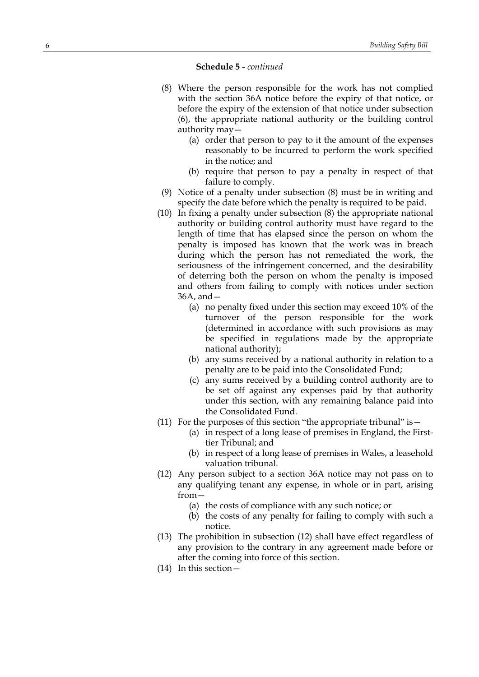#### **Schedule 5** *- continued*

- (8) Where the person responsible for the work has not complied with the section 36A notice before the expiry of that notice, or before the expiry of the extension of that notice under subsection (6), the appropriate national authority or the building control authority may—
	- (a) order that person to pay to it the amount of the expenses reasonably to be incurred to perform the work specified in the notice; and
	- (b) require that person to pay a penalty in respect of that failure to comply.
- (9) Notice of a penalty under subsection (8) must be in writing and specify the date before which the penalty is required to be paid.
- (10) In fixing a penalty under subsection (8) the appropriate national authority or building control authority must have regard to the length of time that has elapsed since the person on whom the penalty is imposed has known that the work was in breach during which the person has not remediated the work, the seriousness of the infringement concerned, and the desirability of deterring both the person on whom the penalty is imposed and others from failing to comply with notices under section 36A, and—
	- (a) no penalty fixed under this section may exceed 10% of the turnover of the person responsible for the work (determined in accordance with such provisions as may be specified in regulations made by the appropriate national authority);
	- (b) any sums received by a national authority in relation to a penalty are to be paid into the Consolidated Fund;
	- (c) any sums received by a building control authority are to be set off against any expenses paid by that authority under this section, with any remaining balance paid into the Consolidated Fund.
- (11) For the purposes of this section "the appropriate tribunal" is  $-$ 
	- (a) in respect of a long lease of premises in England, the Firsttier Tribunal; and
	- (b) in respect of a long lease of premises in Wales, a leasehold valuation tribunal.
- (12) Any person subject to a section 36A notice may not pass on to any qualifying tenant any expense, in whole or in part, arising from—
	- (a) the costs of compliance with any such notice; or
	- (b) the costs of any penalty for failing to comply with such a notice.
- (13) The prohibition in subsection (12) shall have effect regardless of any provision to the contrary in any agreement made before or after the coming into force of this section.
- (14) In this section—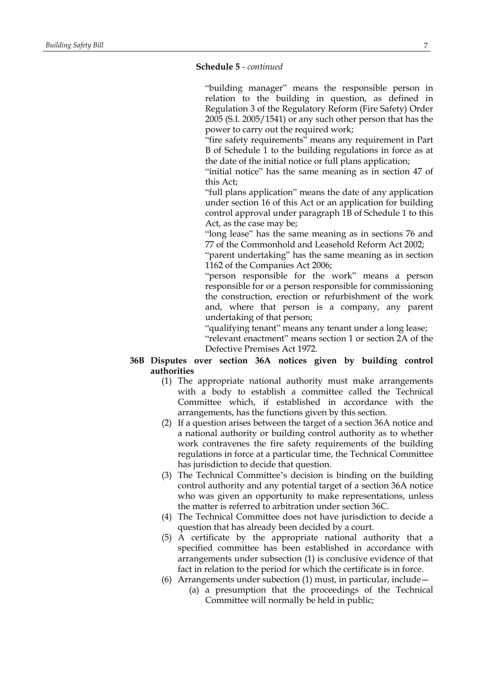### **Schedule 5** *- continued*

"building manager" means the responsible person in relation to the building in question, as defined in Regulation 3 of the Regulatory Reform (Fire Safety) Order 2005 (S.I. 2005/1541) or any such other person that has the power to carry out the required work;

"fire safety requirements" means any requirement in Part B of Schedule 1 to the building regulations in force as at the date of the initial notice or full plans application;

"initial notice" has the same meaning as in section 47 of this Act;

"full plans application" means the date of any application under section 16 of this Act or an application for building control approval under paragraph 1B of Schedule 1 to this Act, as the case may be;

"long lease" has the same meaning as in sections 76 and 77 of the Commonhold and Leasehold Reform Act 2002;

"parent undertaking" has the same meaning as in section 1162 of the Companies Act 2006;

"person responsible for the work" means a person responsible for or a person responsible for commissioning the construction, erection or refurbishment of the work and, where that person is a company, any parent undertaking of that person;

"qualifying tenant" means any tenant under a long lease;

"relevant enactment" means section 1 or section 2A of the Defective Premises Act 1972.

# **36B Disputes over section 36A notices given by building control authorities**

- (1) The appropriate national authority must make arrangements with a body to establish a committee called the Technical Committee which, if established in accordance with the arrangements, has the functions given by this section.
- (2) If a question arises between the target of a section 36A notice and a national authority or building control authority as to whether work contravenes the fire safety requirements of the building regulations in force at a particular time, the Technical Committee has jurisdiction to decide that question.
- (3) The Technical Committee's decision is binding on the building control authority and any potential target of a section 36A notice who was given an opportunity to make representations, unless the matter is referred to arbitration under section 36C.
- (4) The Technical Committee does not have jurisdiction to decide a question that has already been decided by a court.
- (5) A certificate by the appropriate national authority that a specified committee has been established in accordance with arrangements under subsection (1) is conclusive evidence of that fact in relation to the period for which the certificate is in force.
- (6) Arrangements under subection  $(1)$  must, in particular, include
	- (a) a presumption that the proceedings of the Technical Committee will normally be held in public;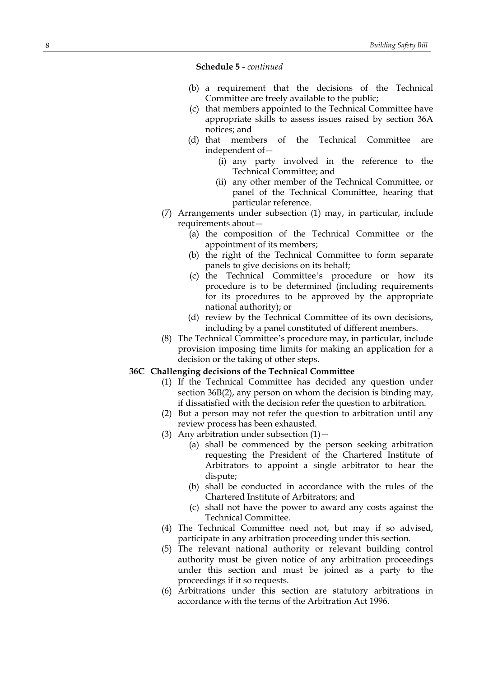**Schedule 5** *- continued*

- (b) a requirement that the decisions of the Technical Committee are freely available to the public;
- (c) that members appointed to the Technical Committee have appropriate skills to assess issues raised by section 36A notices; and
- (d) that members of the Technical Committee are independent of—
	- (i) any party involved in the reference to the Technical Committee; and
	- (ii) any other member of the Technical Committee, or panel of the Technical Committee, hearing that particular reference.
- (7) Arrangements under subsection (1) may, in particular, include requirements about—
	- (a) the composition of the Technical Committee or the appointment of its members;
	- (b) the right of the Technical Committee to form separate panels to give decisions on its behalf;
	- (c) the Technical Committee's procedure or how its procedure is to be determined (including requirements for its procedures to be approved by the appropriate national authority); or
	- (d) review by the Technical Committee of its own decisions, including by a panel constituted of different members.
- (8) The Technical Committee's procedure may, in particular, include provision imposing time limits for making an application for a decision or the taking of other steps.

### **36C Challenging decisions of the Technical Committee**

- (1) If the Technical Committee has decided any question under section 36B(2), any person on whom the decision is binding may, if dissatisfied with the decision refer the question to arbitration.
- (2) But a person may not refer the question to arbitration until any review process has been exhausted.
- (3) Any arbitration under subsection  $(1)$  -
	- (a) shall be commenced by the person seeking arbitration requesting the President of the Chartered Institute of Arbitrators to appoint a single arbitrator to hear the dispute;
	- (b) shall be conducted in accordance with the rules of the Chartered Institute of Arbitrators; and
	- (c) shall not have the power to award any costs against the Technical Committee.
- (4) The Technical Committee need not, but may if so advised, participate in any arbitration proceeding under this section.
- (5) The relevant national authority or relevant building control authority must be given notice of any arbitration proceedings under this section and must be joined as a party to the proceedings if it so requests.
- (6) Arbitrations under this section are statutory arbitrations in accordance with the terms of the Arbitration Act 1996.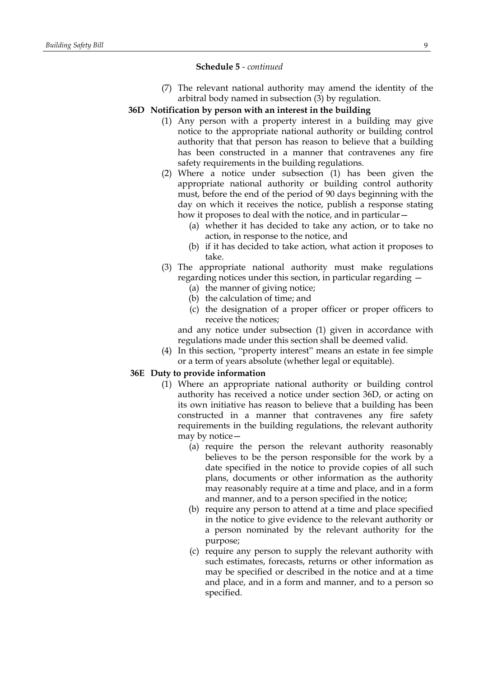### **Schedule 5** *- continued*

(7) The relevant national authority may amend the identity of the arbitral body named in subsection (3) by regulation.

### **36D Notification by person with an interest in the building**

- (1) Any person with a property interest in a building may give notice to the appropriate national authority or building control authority that that person has reason to believe that a building has been constructed in a manner that contravenes any fire safety requirements in the building regulations.
- (2) Where a notice under subsection (1) has been given the appropriate national authority or building control authority must, before the end of the period of 90 days beginning with the day on which it receives the notice, publish a response stating how it proposes to deal with the notice, and in particular -
	- (a) whether it has decided to take any action, or to take no action, in response to the notice, and
	- (b) if it has decided to take action, what action it proposes to take.
- (3) The appropriate national authority must make regulations regarding notices under this section, in particular regarding —
	- (a) the manner of giving notice;
	- (b) the calculation of time; and
	- (c) the designation of a proper officer or proper officers to receive the notices;

and any notice under subsection (1) given in accordance with regulations made under this section shall be deemed valid.

(4) In this section, "property interest" means an estate in fee simple or a term of years absolute (whether legal or equitable).

### **36E Duty to provide information**

- (1) Where an appropriate national authority or building control authority has received a notice under section 36D, or acting on its own initiative has reason to believe that a building has been constructed in a manner that contravenes any fire safety requirements in the building regulations, the relevant authority may by notice—
	- (a) require the person the relevant authority reasonably believes to be the person responsible for the work by a date specified in the notice to provide copies of all such plans, documents or other information as the authority may reasonably require at a time and place, and in a form and manner, and to a person specified in the notice;
	- (b) require any person to attend at a time and place specified in the notice to give evidence to the relevant authority or a person nominated by the relevant authority for the purpose;
	- (c) require any person to supply the relevant authority with such estimates, forecasts, returns or other information as may be specified or described in the notice and at a time and place, and in a form and manner, and to a person so specified.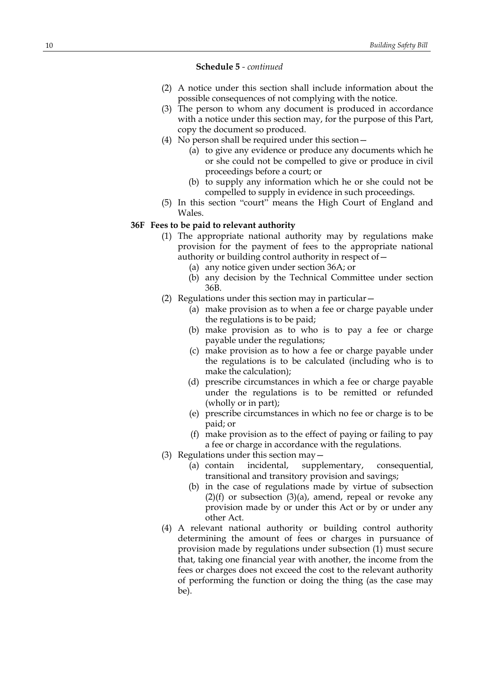#### **Schedule 5** *- continued*

- (2) A notice under this section shall include information about the possible consequences of not complying with the notice.
- (3) The person to whom any document is produced in accordance with a notice under this section may, for the purpose of this Part, copy the document so produced.
- (4) No person shall be required under this section—
	- (a) to give any evidence or produce any documents which he or she could not be compelled to give or produce in civil proceedings before a court; or
	- (b) to supply any information which he or she could not be compelled to supply in evidence in such proceedings.
- (5) In this section "court" means the High Court of England and Wales.

### **36F Fees to be paid to relevant authority**

- (1) The appropriate national authority may by regulations make provision for the payment of fees to the appropriate national authority or building control authority in respect of—
	- (a) any notice given under section 36A; or
	- (b) any decision by the Technical Committee under section 36B.
- (2) Regulations under this section may in particular—
	- (a) make provision as to when a fee or charge payable under the regulations is to be paid;
	- (b) make provision as to who is to pay a fee or charge payable under the regulations;
	- (c) make provision as to how a fee or charge payable under the regulations is to be calculated (including who is to make the calculation);
	- (d) prescribe circumstances in which a fee or charge payable under the regulations is to be remitted or refunded (wholly or in part);
	- (e) prescribe circumstances in which no fee or charge is to be paid; or
	- (f) make provision as to the effect of paying or failing to pay a fee or charge in accordance with the regulations.
- (3) Regulations under this section may—
	- (a) contain incidental, supplementary, consequential, transitional and transitory provision and savings;
	- (b) in the case of regulations made by virtue of subsection  $(2)(f)$  or subsection  $(3)(a)$ , amend, repeal or revoke any provision made by or under this Act or by or under any other Act.
- (4) A relevant national authority or building control authority determining the amount of fees or charges in pursuance of provision made by regulations under subsection (1) must secure that, taking one financial year with another, the income from the fees or charges does not exceed the cost to the relevant authority of performing the function or doing the thing (as the case may be).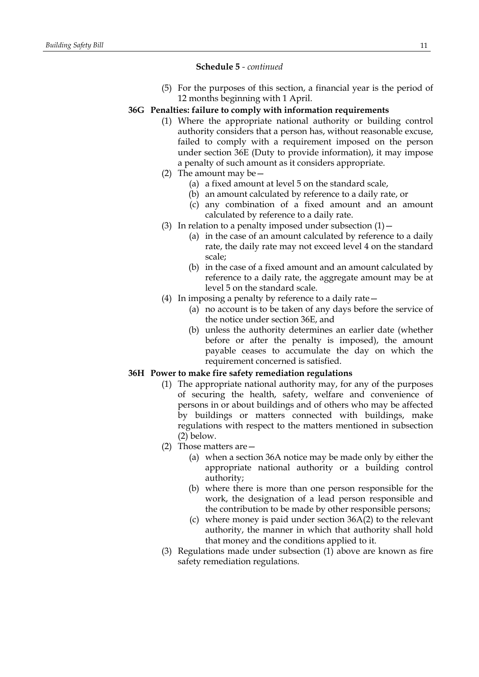### **Schedule 5** *- continued*

(5) For the purposes of this section, a financial year is the period of 12 months beginning with 1 April.

# **36G Penalties: failure to comply with information requirements**

- (1) Where the appropriate national authority or building control authority considers that a person has, without reasonable excuse, failed to comply with a requirement imposed on the person under section 36E (Duty to provide information), it may impose a penalty of such amount as it considers appropriate.
- (2) The amount may be—
	- (a) a fixed amount at level 5 on the standard scale,
	- (b) an amount calculated by reference to a daily rate, or
	- (c) any combination of a fixed amount and an amount calculated by reference to a daily rate.
- (3) In relation to a penalty imposed under subsection  $(1)$  -
	- (a) in the case of an amount calculated by reference to a daily rate, the daily rate may not exceed level 4 on the standard scale;
	- (b) in the case of a fixed amount and an amount calculated by reference to a daily rate, the aggregate amount may be at level 5 on the standard scale.
- (4) In imposing a penalty by reference to a daily rate—
	- (a) no account is to be taken of any days before the service of the notice under section 36E, and
	- (b) unless the authority determines an earlier date (whether before or after the penalty is imposed), the amount payable ceases to accumulate the day on which the requirement concerned is satisfied.

# **36H Power to make fire safety remediation regulations**

- (1) The appropriate national authority may, for any of the purposes of securing the health, safety, welfare and convenience of persons in or about buildings and of others who may be affected by buildings or matters connected with buildings, make regulations with respect to the matters mentioned in subsection (2) below.
- (2) Those matters are—
	- (a) when a section 36A notice may be made only by either the appropriate national authority or a building control authority;
	- (b) where there is more than one person responsible for the work, the designation of a lead person responsible and the contribution to be made by other responsible persons;
	- (c) where money is paid under section 36A(2) to the relevant authority, the manner in which that authority shall hold that money and the conditions applied to it.
- (3) Regulations made under subsection (1) above are known as fire safety remediation regulations.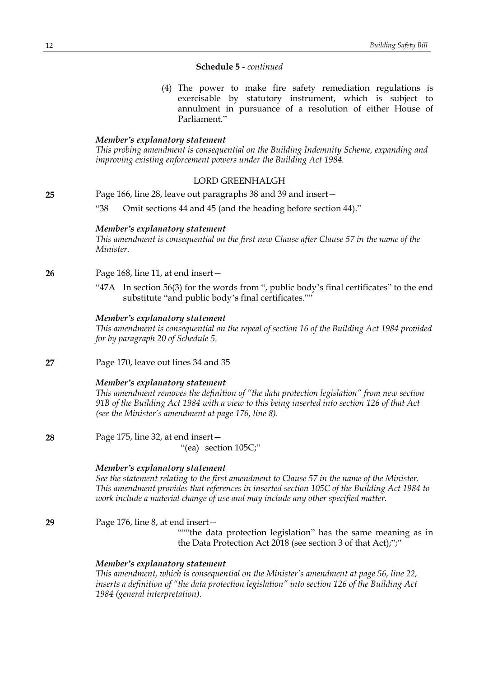### **Schedule 5** *- continued*

(4) The power to make fire safety remediation regulations is exercisable by statutory instrument, which is subject to annulment in pursuance of a resolution of either House of Parliament."

### *Member's explanatory statement*

*This probing amendment is consequential on the Building Indemnity Scheme, expanding and improving existing enforcement powers under the Building Act 1984.*

# LORD GREENHALGH

**25** Page 166, line 28, leave out paragraphs 38 and 39 and insert—

"38 Omit sections 44 and 45 (and the heading before section 44)."

#### *Member's explanatory statement*

*This amendment is consequential on the first new Clause after Clause 57 in the name of the Minister.*

- **26** Page 168, line 11, at end insert—
	- "47A In section 56(3) for the words from ", public body's final certificates" to the end substitute "and public body's final certificates.""

### *Member's explanatory statement*

*This amendment is consequential on the repeal of section 16 of the Building Act 1984 provided for by paragraph 20 of Schedule 5.*

**27** Page 170, leave out lines 34 and 35

### *Member's explanatory statement*

*This amendment removes the definition of "the data protection legislation" from new section* 91B of the Building Act 1984 with a view to this being inserted into section 126 of that Act *(see the Minister's amendment at page 176, line 8).*

**28** Page 175, line 32, at end insert— "(ea) section 105C;"

### *Member's explanatory statement*

*See the statement relating to the first amendment to Clause 57 in the name of the Minister. This amendment provides that references in inserted section 105C of the Building Act 1984 to work include a material change of use and may include any other specified matter.*

**29** Page 176, line 8, at end insert— ""the data protection legislation" has the same meaning as in the Data Protection Act 2018 (see section 3 of that Act);";"

### *Member's explanatory statement*

*This amendment, which is consequential on the Minister's amendment at page 56, line 22, inserts a definition of "the data protection legislation" into section 126 of the Building Act 1984 (general interpretation).*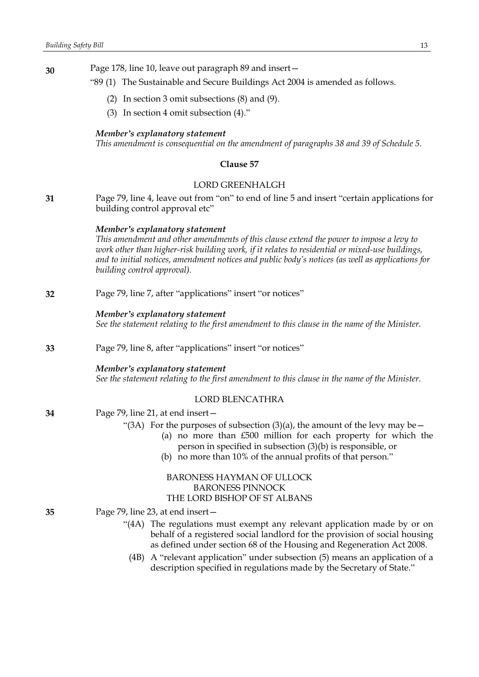**30** Page 178, line 10, leave out paragraph 89 and insert—

- "89 (1) The Sustainable and Secure Buildings Act 2004 is amended as follows.
	- (2) In section 3 omit subsections (8) and (9).
	- (3) In section 4 omit subsection (4)."

#### *Member's explanatory statement*

*This amendment is consequential on the amendment of paragraphs 38 and 39 of Schedule 5.*

### **Clause 57**

### LORD GREENHALGH

**31** Page 79, line 4, leave out from "on" to end of line 5 and insert "certain applications for building control approval etc"

#### *Member's explanatory statement*

*This amendment and other amendments of this clause extend the power to impose a levy to work other than higher-risk building work, if it relates to residential or mixed-use buildings, and to initial notices, amendment notices and public body's notices (as well as applications for building control approval).*

**32** Page 79, line 7, after "applications" insert "or notices"

# *Member's explanatory statement*

*See the statement relating to the first amendment to this clause in the name of the Minister.*

**33** Page 79, line 8, after "applications" insert "or notices"

# *Member's explanatory statement*

*See the statement relating to the first amendment to this clause in the name of the Minister.*

# LORD BLENCATHRA

**34** Page 79, line 21, at end insert—

- "(3A) For the purposes of subsection (3)(a), the amount of the levy may be  $-$ 
	- (a) no more than £500 million for each property for which the person in specified in subsection (3)(b) is responsible, or
	- (b) no more than 10% of the annual profits of that person."

# BARONESS HAYMAN OF ULLOCK BARONESS PINNOCK THE LORD BISHOP OF ST ALBANS

- **35** Page 79, line 23, at end insert—
	- "(4A) The regulations must exempt any relevant application made by or on behalf of a registered social landlord for the provision of social housing as defined under section 68 of the Housing and Regeneration Act 2008.
		- (4B) A "relevant application" under subsection (5) means an application of a description specified in regulations made by the Secretary of State."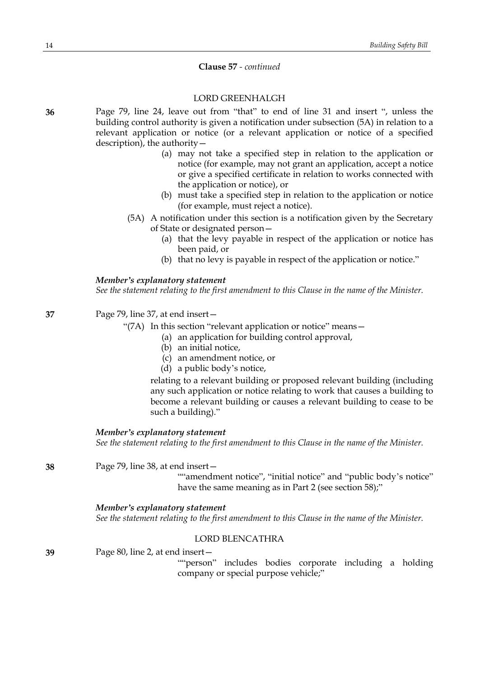# **Clause 57** *- continued*

# LORD GREENHALGH

**36** Page 79, line 24, leave out from "that" to end of line 31 and insert ", unless the building control authority is given a notification under subsection (5A) in relation to a relevant application or notice (or a relevant application or notice of a specified description), the authority—

- (a) may not take a specified step in relation to the application or notice (for example, may not grant an application, accept a notice or give a specified certificate in relation to works connected with the application or notice), or
- (b) must take a specified step in relation to the application or notice (for example, must reject a notice).
- (5A) A notification under this section is a notification given by the Secretary of State or designated person—
	- (a) that the levy payable in respect of the application or notice has been paid, or
	- (b) that no levy is payable in respect of the application or notice."

# *Member's explanatory statement*

*See the statement relating to the first amendment to this Clause in the name of the Minister.*

**37** Page 79, line 37, at end insert—

"(7A) In this section "relevant application or notice" means—

- (a) an application for building control approval,
- (b) an initial notice,
- (c) an amendment notice, or
- (d) a public body's notice,

relating to a relevant building or proposed relevant building (including any such application or notice relating to work that causes a building to become a relevant building or causes a relevant building to cease to be such a building)."

#### *Member's explanatory statement*

*See the statement relating to the first amendment to this Clause in the name of the Minister.*

**38** Page 79, line 38, at end insert—

""amendment notice", "initial notice" and "public body's notice" have the same meaning as in Part 2 (see section 58);"

#### *Member's explanatory statement*

*See the statement relating to the first amendment to this Clause in the name of the Minister.*

### LORD BLENCATHRA

**39** Page 80, line 2, at end insert—

""person" includes bodies corporate including a holding company or special purpose vehicle;"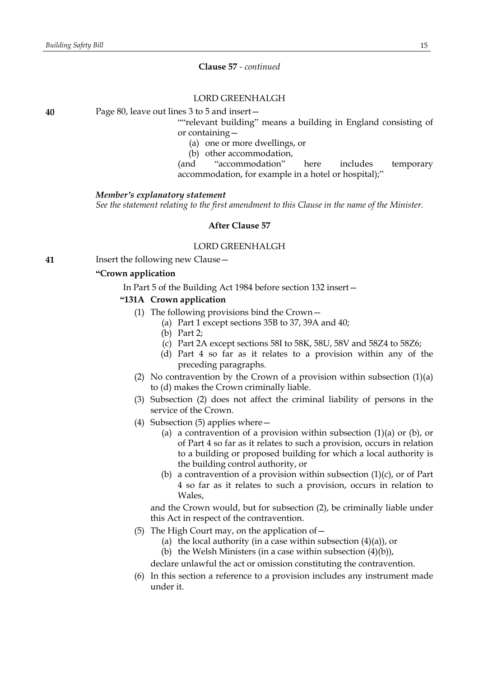### **Clause 57** *- continued*

### LORD GREENHALGH

**40** Page 80, leave out lines 3 to 5 and insert—

""relevant building" means a building in England consisting of or containing—

- (a) one or more dwellings, or
- (b) other accommodation,

(and "accommodation" here includes temporary accommodation, for example in a hotel or hospital);"

#### *Member's explanatory statement*

*See the statement relating to the first amendment to this Clause in the name of the Minister.*

#### **After Clause 57**

#### LORD GREENHALGH

**41** Insert the following new Clause—

#### **"Crown application**

In Part 5 of the Building Act 1984 before section 132 insert—

#### **"131A Crown application**

- (1) The following provisions bind the Crown—
	- (a) Part 1 except sections 35B to 37, 39A and 40;
		- (b) Part 2;
		- (c) Part 2A except sections 58I to 58K, 58U, 58V and 58Z4 to 58Z6;
		- (d) Part 4 so far as it relates to a provision within any of the preceding paragraphs.
- (2) No contravention by the Crown of a provision within subsection  $(1)(a)$ to (d) makes the Crown criminally liable.
- (3) Subsection (2) does not affect the criminal liability of persons in the service of the Crown.
- (4) Subsection (5) applies where—
	- (a) a contravention of a provision within subsection  $(1)(a)$  or  $(b)$ , or of Part 4 so far as it relates to such a provision, occurs in relation to a building or proposed building for which a local authority is the building control authority, or
	- (b) a contravention of a provision within subsection  $(1)(c)$ , or of Part 4 so far as it relates to such a provision, occurs in relation to Wales,

and the Crown would, but for subsection (2), be criminally liable under this Act in respect of the contravention.

- (5) The High Court may, on the application of  $-$ 
	- (a) the local authority (in a case within subsection  $(4)(a)$ ), or
	- (b) the Welsh Ministers (in a case within subsection  $(4)(b)$ ),

declare unlawful the act or omission constituting the contravention.

(6) In this section a reference to a provision includes any instrument made under it.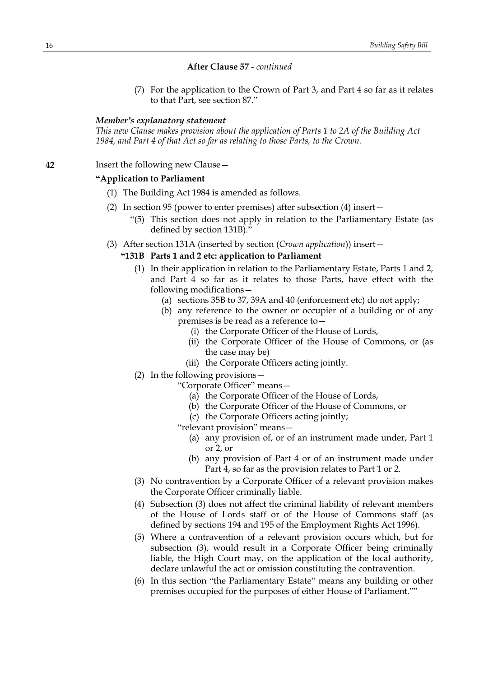### **After Clause 57** *- continued*

(7) For the application to the Crown of Part 3, and Part 4 so far as it relates to that Part, see section 87."

### *Member's explanatory statement*

*This new Clause makes provision about the application of Parts 1 to 2A of the Building Act 1984, and Part 4 of that Act so far as relating to those Parts, to the Crown.*

**42** Insert the following new Clause—

### **"Application to Parliament**

- (1) The Building Act 1984 is amended as follows.
- (2) In section 95 (power to enter premises) after subsection (4) insert—
	- "(5) This section does not apply in relation to the Parliamentary Estate (as defined by section 131B)."
- (3) After section 131A (inserted by section (*Crown application*)) insert—

### **"131B Parts 1 and 2 etc: application to Parliament**

- (1) In their application in relation to the Parliamentary Estate, Parts 1 and 2, and Part 4 so far as it relates to those Parts, have effect with the following modifications—
	- (a) sections 35B to 37, 39A and 40 (enforcement etc) do not apply;
	- (b) any reference to the owner or occupier of a building or of any premises is be read as a reference to—
		- (i) the Corporate Officer of the House of Lords,
		- (ii) the Corporate Officer of the House of Commons, or (as the case may be)
		- (iii) the Corporate Officers acting jointly.
- (2) In the following provisions—

"Corporate Officer" means—

- (a) the Corporate Officer of the House of Lords,
- (b) the Corporate Officer of the House of Commons, or
- (c) the Corporate Officers acting jointly;

"relevant provision" means—

- (a) any provision of, or of an instrument made under, Part 1 or 2, or
- (b) any provision of Part 4 or of an instrument made under Part 4, so far as the provision relates to Part 1 or 2.
- (3) No contravention by a Corporate Officer of a relevant provision makes the Corporate Officer criminally liable.
- (4) Subsection (3) does not affect the criminal liability of relevant members of the House of Lords staff or of the House of Commons staff (as defined by sections 194 and 195 of the Employment Rights Act 1996).
- (5) Where a contravention of a relevant provision occurs which, but for subsection (3), would result in a Corporate Officer being criminally liable, the High Court may, on the application of the local authority, declare unlawful the act or omission constituting the contravention.
- (6) In this section "the Parliamentary Estate" means any building or other premises occupied for the purposes of either House of Parliament.""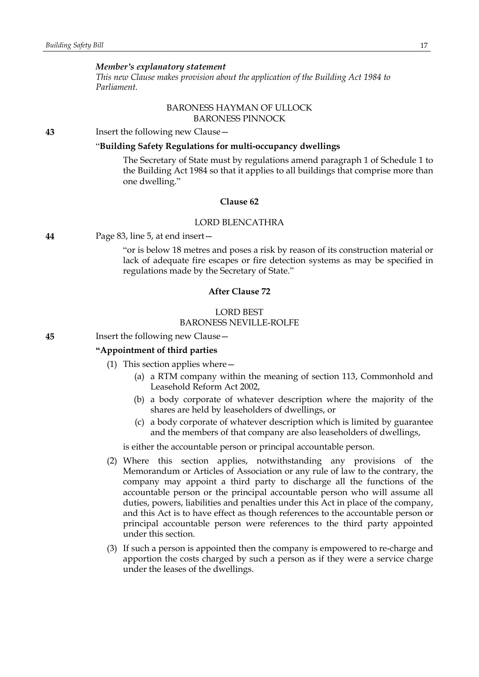#### *Member's explanatory statement*

*This new Clause makes provision about the application of the Building Act 1984 to Parliament.*

### BARONESS HAYMAN OF ULLOCK BARONESS PINNOCK

**43** Insert the following new Clause—

### "**Building Safety Regulations for multi-occupancy dwellings**

The Secretary of State must by regulations amend paragraph 1 of Schedule 1 to the Building Act 1984 so that it applies to all buildings that comprise more than one dwelling."

# **Clause 62**

### LORD BLENCATHRA

#### **44** Page 83, line 5, at end insert—

"or is below 18 metres and poses a risk by reason of its construction material or lack of adequate fire escapes or fire detection systems as may be specified in regulations made by the Secretary of State."

### **After Clause 72**

#### LORD BEST BARONESS NEVILLE-ROLFE

### **45** Insert the following new Clause—

### **"Appointment of third parties**

- (1) This section applies where—
	- (a) a RTM company within the meaning of section 113, Commonhold and Leasehold Reform Act 2002,
	- (b) a body corporate of whatever description where the majority of the shares are held by leaseholders of dwellings, or
	- (c) a body corporate of whatever description which is limited by guarantee and the members of that company are also leaseholders of dwellings,

is either the accountable person or principal accountable person.

- (2) Where this section applies, notwithstanding any provisions of the Memorandum or Articles of Association or any rule of law to the contrary, the company may appoint a third party to discharge all the functions of the accountable person or the principal accountable person who will assume all duties, powers, liabilities and penalties under this Act in place of the company, and this Act is to have effect as though references to the accountable person or principal accountable person were references to the third party appointed under this section.
- (3) If such a person is appointed then the company is empowered to re-charge and apportion the costs charged by such a person as if they were a service charge under the leases of the dwellings.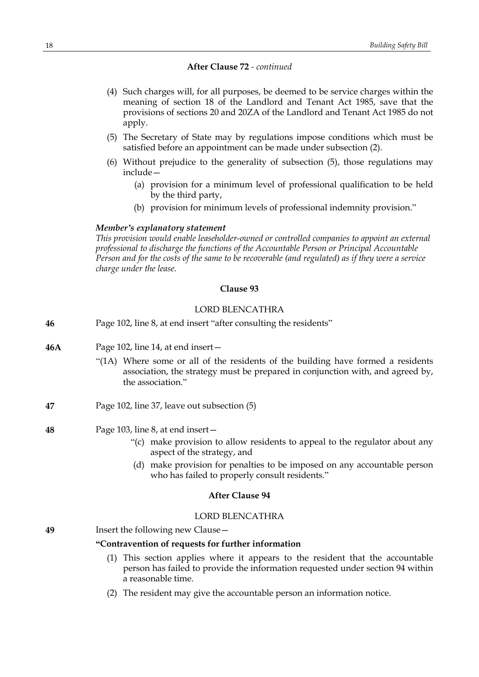# **After Clause 72** *- continued*

- (4) Such charges will, for all purposes, be deemed to be service charges within the meaning of section 18 of the Landlord and Tenant Act 1985, save that the provisions of sections 20 and 20ZA of the Landlord and Tenant Act 1985 do not apply.
- (5) The Secretary of State may by regulations impose conditions which must be satisfied before an appointment can be made under subsection (2).
- (6) Without prejudice to the generality of subsection (5), those regulations may include—
	- (a) provision for a minimum level of professional qualification to be held by the third party,
	- (b) provision for minimum levels of professional indemnity provision."

### *Member's explanatory statement*

*This provision would enable leaseholder-owned or controlled companies to appoint an external professional to discharge the functions of the Accountable Person or Principal Accountable* Person and for the costs of the same to be recoverable (and regulated) as if they were a service *charge under the lease.*

### **Clause 93**

### LORD BLENCATHRA

- **46** Page 102, line 8, at end insert "after consulting the residents"
- **46A** Page 102, line 14, at end insert—
	- "(1A) Where some or all of the residents of the building have formed a residents association, the strategy must be prepared in conjunction with, and agreed by, the association."
- **47** Page 102, line 37, leave out subsection (5)
- **48** Page 103, line 8, at end insert—
	- "(c) make provision to allow residents to appeal to the regulator about any aspect of the strategy, and
	- (d) make provision for penalties to be imposed on any accountable person who has failed to properly consult residents."

### **After Clause 94**

### LORD BLENCATHRA

**49** Insert the following new Clause—

### **"Contravention of requests for further information**

- (1) This section applies where it appears to the resident that the accountable person has failed to provide the information requested under section 94 within a reasonable time.
- (2) The resident may give the accountable person an information notice.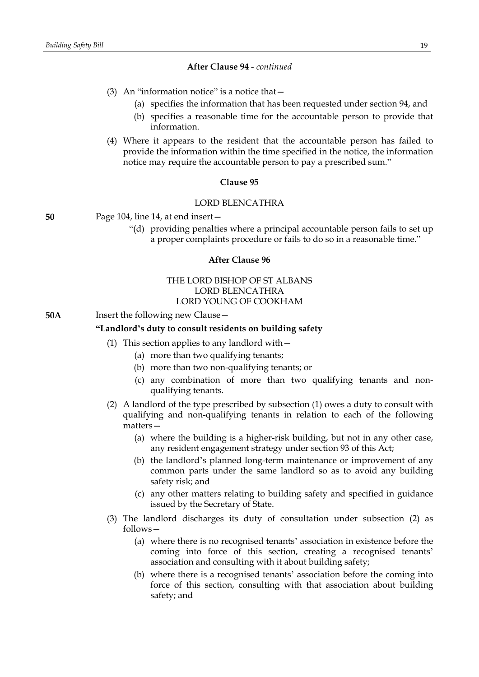### **After Clause 94** *- continued*

- (3) An "information notice" is a notice that—
	- (a) specifies the information that has been requested under section 94, and
	- (b) specifies a reasonable time for the accountable person to provide that information.
- (4) Where it appears to the resident that the accountable person has failed to provide the information within the time specified in the notice, the information notice may require the accountable person to pay a prescribed sum."

### **Clause 95**

#### LORD BLENCATHRA

**50** Page 104, line 14, at end insert—

"(d) providing penalties where a principal accountable person fails to set up a proper complaints procedure or fails to do so in a reasonable time."

### **After Clause 96**

THE LORD BISHOP OF ST ALBANS LORD BLENCATHRA LORD YOUNG OF COOKHAM

**50A** Insert the following new Clause -

### **"Landlord's duty to consult residents on building safety**

- (1) This section applies to any landlord with  $-$ 
	- (a) more than two qualifying tenants;
	- (b) more than two non-qualifying tenants; or
	- (c) any combination of more than two qualifying tenants and nonqualifying tenants.
- (2) A landlord of the type prescribed by subsection (1) owes a duty to consult with qualifying and non-qualifying tenants in relation to each of the following matters—
	- (a) where the building is a higher-risk building, but not in any other case, any resident engagement strategy under section 93 of this Act;
	- (b) the landlord's planned long-term maintenance or improvement of any common parts under the same landlord so as to avoid any building safety risk; and
	- (c) any other matters relating to building safety and specified in guidance issued by the Secretary of State.
- (3) The landlord discharges its duty of consultation under subsection (2) as follows—
	- (a) where there is no recognised tenants' association in existence before the coming into force of this section, creating a recognised tenants' association and consulting with it about building safety;
	- (b) where there is a recognised tenants' association before the coming into force of this section, consulting with that association about building safety; and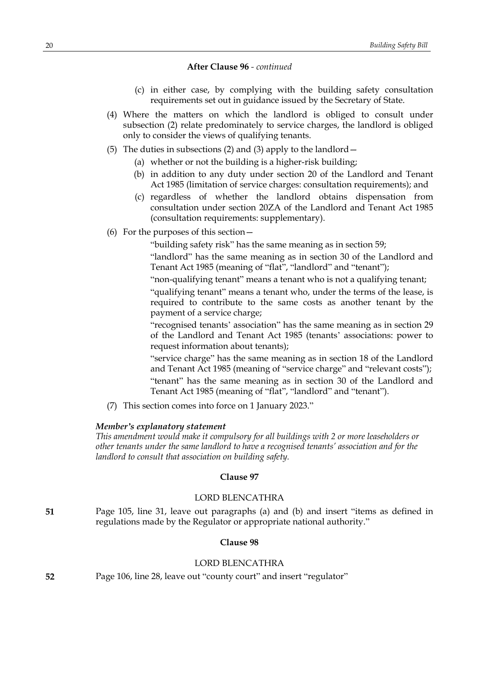### **After Clause 96** *- continued*

- (c) in either case, by complying with the building safety consultation requirements set out in guidance issued by the Secretary of State.
- (4) Where the matters on which the landlord is obliged to consult under subsection (2) relate predominately to service charges, the landlord is obliged only to consider the views of qualifying tenants.
- (5) The duties in subsections (2) and (3) apply to the landlord—
	- (a) whether or not the building is a higher-risk building;
	- (b) in addition to any duty under section 20 of the Landlord and Tenant Act 1985 (limitation of service charges: consultation requirements); and
	- (c) regardless of whether the landlord obtains dispensation from consultation under section 20ZA of the Landlord and Tenant Act 1985 (consultation requirements: supplementary).
- (6) For the purposes of this section—

"building safety risk" has the same meaning as in section 59;

"landlord" has the same meaning as in section 30 of the Landlord and Tenant Act 1985 (meaning of "flat", "landlord" and "tenant");

"non-qualifying tenant" means a tenant who is not a qualifying tenant;

"qualifying tenant" means a tenant who, under the terms of the lease, is required to contribute to the same costs as another tenant by the payment of a service charge;

"recognised tenants' association" has the same meaning as in section 29 of the Landlord and Tenant Act 1985 (tenants' associations: power to request information about tenants);

"service charge" has the same meaning as in section 18 of the Landlord and Tenant Act 1985 (meaning of "service charge" and "relevant costs"); "tenant" has the same meaning as in section 30 of the Landlord and Tenant Act 1985 (meaning of "flat", "landlord" and "tenant").

(7) This section comes into force on 1 January 2023."

### *Member's explanatory statement*

*This amendment would make it compulsory for all buildings with 2 or more leaseholders or other tenants under the same landlord to have a recognised tenants' association and for the landlord to consult that association on building safety.*

#### **Clause 97**

# LORD BLENCATHRA

**51** Page 105, line 31, leave out paragraphs (a) and (b) and insert "items as defined in regulations made by the Regulator or appropriate national authority."

# **Clause 98**

### LORD BLENCATHRA

**52** Page 106, line 28, leave out "county court" and insert "regulator"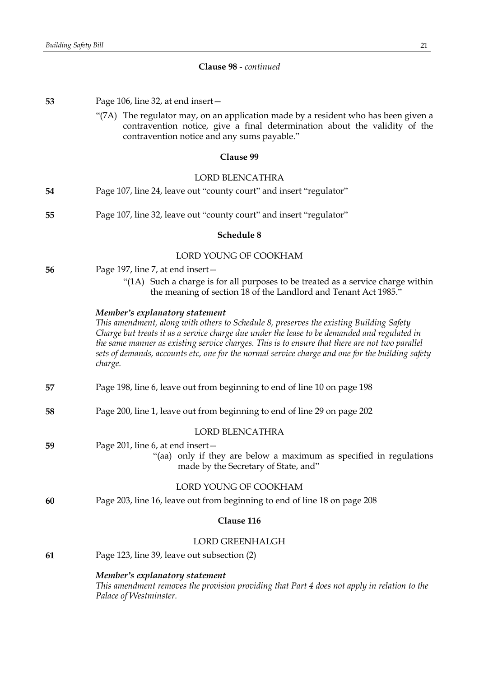# **Clause 98** *- continued*

| 53                     | Page 106, line 32, at end insert-                                                                                                                                                                                                                                                                                                                                                                                                          |  |
|------------------------|--------------------------------------------------------------------------------------------------------------------------------------------------------------------------------------------------------------------------------------------------------------------------------------------------------------------------------------------------------------------------------------------------------------------------------------------|--|
|                        | "(7A) The regulator may, on an application made by a resident who has been given a<br>contravention notice, give a final determination about the validity of the<br>contravention notice and any sums payable."                                                                                                                                                                                                                            |  |
|                        | Clause 99                                                                                                                                                                                                                                                                                                                                                                                                                                  |  |
| <b>LORD BLENCATHRA</b> |                                                                                                                                                                                                                                                                                                                                                                                                                                            |  |
| 54                     | Page 107, line 24, leave out "county court" and insert "regulator"                                                                                                                                                                                                                                                                                                                                                                         |  |
| 55                     | Page 107, line 32, leave out "county court" and insert "regulator"                                                                                                                                                                                                                                                                                                                                                                         |  |
| Schedule 8             |                                                                                                                                                                                                                                                                                                                                                                                                                                            |  |
|                        | LORD YOUNG OF COOKHAM                                                                                                                                                                                                                                                                                                                                                                                                                      |  |
| 56                     | Page 197, line 7, at end insert -                                                                                                                                                                                                                                                                                                                                                                                                          |  |
|                        | "(1A) Such a charge is for all purposes to be treated as a service charge within<br>the meaning of section 18 of the Landlord and Tenant Act 1985."                                                                                                                                                                                                                                                                                        |  |
|                        | Member's explanatory statement<br>This amendment, along with others to Schedule 8, preserves the existing Building Safety<br>Charge but treats it as a service charge due under the lease to be demanded and regulated in<br>the same manner as existing service charges. This is to ensure that there are not two parallel<br>sets of demands, accounts etc, one for the normal service charge and one for the building safety<br>charge. |  |
| 57                     | Page 198, line 6, leave out from beginning to end of line 10 on page 198                                                                                                                                                                                                                                                                                                                                                                   |  |
| 58                     | Page 200, line 1, leave out from beginning to end of line 29 on page 202                                                                                                                                                                                                                                                                                                                                                                   |  |
|                        | <b>LORD BLENCATHRA</b>                                                                                                                                                                                                                                                                                                                                                                                                                     |  |
| 59                     | Page 201, line 6, at end insert -<br>"(aa) only if they are below a maximum as specified in regulations<br>made by the Secretary of State, and"                                                                                                                                                                                                                                                                                            |  |
|                        | LORD YOUNG OF COOKHAM                                                                                                                                                                                                                                                                                                                                                                                                                      |  |
| 60                     | Page 203, line 16, leave out from beginning to end of line 18 on page 208                                                                                                                                                                                                                                                                                                                                                                  |  |
| Clause 116             |                                                                                                                                                                                                                                                                                                                                                                                                                                            |  |
|                        | <b>LORD GREENHALGH</b>                                                                                                                                                                                                                                                                                                                                                                                                                     |  |
| 61                     | Page 123, line 39, leave out subsection (2)                                                                                                                                                                                                                                                                                                                                                                                                |  |
|                        | Member's explanatory statement<br>This amendment removes the provision providing that Part 4 does not apply in relation to the<br>Palace of Westminster.                                                                                                                                                                                                                                                                                   |  |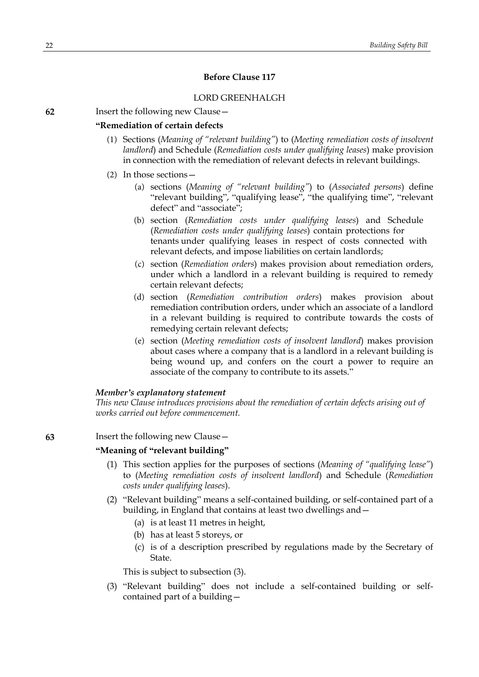# **Before Clause 117**

### LORD GREENHALGH

**62** Insert the following new Clause—

### **"Remediation of certain defects**

- (1) Sections (*Meaning of "relevant building"*) to (*Meeting remediation costs of insolvent landlord*) and Schedule (*Remediation costs under qualifying leases*) make provision in connection with the remediation of relevant defects in relevant buildings.
- (2) In those sections—
	- (a) sections (*Meaning of "relevant building"*) to (*Associated persons*) define "relevant building", "qualifying lease", "the qualifying time", "relevant defect" and "associate";
	- (b) section (*Remediation costs under qualifying leases*) and Schedule (*Remediation costs under qualifying leases*) contain protections for tenants under qualifying leases in respect of costs connected with relevant defects, and impose liabilities on certain landlords;
	- (c) section (*Remediation orders*) makes provision about remediation orders, under which a landlord in a relevant building is required to remedy certain relevant defects;
	- (d) section (*Remediation contribution orders*) makes provision about remediation contribution orders, under which an associate of a landlord in a relevant building is required to contribute towards the costs of remedying certain relevant defects;
	- (e) section (*Meeting remediation costs of insolvent landlord*) makes provision about cases where a company that is a landlord in a relevant building is being wound up, and confers on the court a power to require an associate of the company to contribute to its assets."

#### *Member's explanatory statement*

*This new Clause introduces provisions about the remediation of certain defects arising out of works carried out before commencement.*

### **63** Insert the following new Clause—

#### **"Meaning of "relevant building"**

- (1) This section applies for the purposes of sections (*Meaning of "qualifying lease"*) to (*Meeting remediation costs of insolvent landlord*) and Schedule (*Remediation costs under qualifying leases*).
- (2) "Relevant building" means a self-contained building, or self-contained part of a building, in England that contains at least two dwellings and—
	- (a) is at least 11 metres in height,
	- (b) has at least 5 storeys, or
	- (c) is of a description prescribed by regulations made by the Secretary of State.

This is subject to subsection (3).

(3) "Relevant building" does not include a self-contained building or selfcontained part of a building—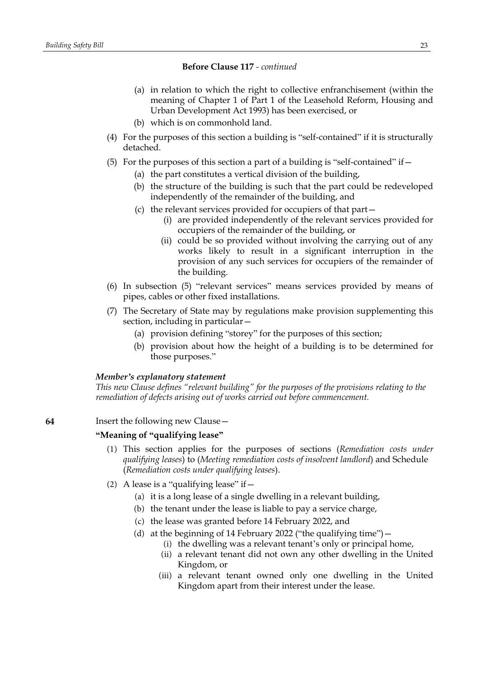- (a) in relation to which the right to collective enfranchisement (within the meaning of Chapter 1 of Part 1 of the Leasehold Reform, Housing and Urban Development Act 1993) has been exercised, or
- (b) which is on commonhold land.
- (4) For the purposes of this section a building is "self-contained" if it is structurally detached.
- (5) For the purposes of this section a part of a building is "self-contained" if  $-$ 
	- (a) the part constitutes a vertical division of the building,
	- (b) the structure of the building is such that the part could be redeveloped independently of the remainder of the building, and
	- (c) the relevant services provided for occupiers of that part—
		- (i) are provided independently of the relevant services provided for occupiers of the remainder of the building, or
		- (ii) could be so provided without involving the carrying out of any works likely to result in a significant interruption in the provision of any such services for occupiers of the remainder of the building.
- (6) In subsection (5) "relevant services" means services provided by means of pipes, cables or other fixed installations.
- (7) The Secretary of State may by regulations make provision supplementing this section, including in particular—
	- (a) provision defining "storey" for the purposes of this section;
	- (b) provision about how the height of a building is to be determined for those purposes."

### *Member's explanatory statement*

*This new Clause defines "relevant building" for the purposes of the provisions relating to the remediation of defects arising out of works carried out before commencement.*

### **64** Insert the following new Clause—

# **"Meaning of "qualifying lease"**

- (1) This section applies for the purposes of sections (*Remediation costs under qualifying leases*) to (*Meeting remediation costs of insolvent landlord*) and Schedule (*Remediation costs under qualifying leases*).
- (2) A lease is a "qualifying lease" if  $-$ 
	- (a) it is a long lease of a single dwelling in a relevant building,
	- (b) the tenant under the lease is liable to pay a service charge,
	- (c) the lease was granted before 14 February 2022, and
	- (d) at the beginning of 14 February 2022 ("the qualifying time")—
		- (i) the dwelling was a relevant tenant's only or principal home,
		- (ii) a relevant tenant did not own any other dwelling in the United Kingdom, or
		- (iii) a relevant tenant owned only one dwelling in the United Kingdom apart from their interest under the lease.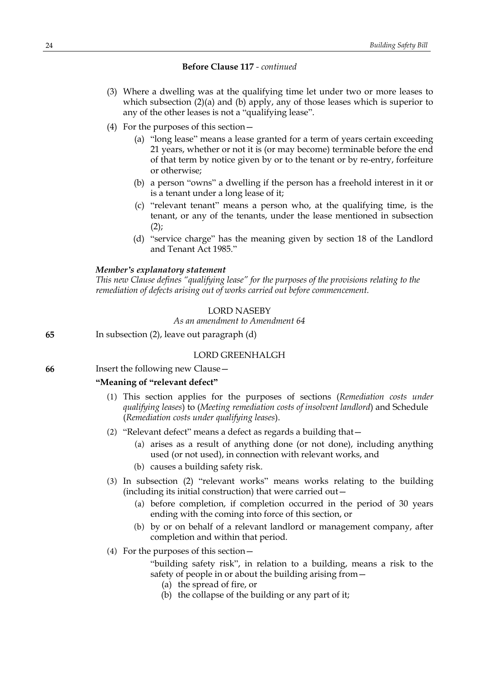- (3) Where a dwelling was at the qualifying time let under two or more leases to which subsection  $(2)(a)$  and  $(b)$  apply, any of those leases which is superior to any of the other leases is not a "qualifying lease".
- (4) For the purposes of this section—
	- (a) "long lease" means a lease granted for a term of years certain exceeding 21 years, whether or not it is (or may become) terminable before the end of that term by notice given by or to the tenant or by re-entry, forfeiture or otherwise;
	- (b) a person "owns" a dwelling if the person has a freehold interest in it or is a tenant under a long lease of it;
	- (c) "relevant tenant" means a person who, at the qualifying time, is the tenant, or any of the tenants, under the lease mentioned in subsection  $(2)$ ;
	- (d) "service charge" has the meaning given by section 18 of the Landlord and Tenant Act 1985."

### *Member's explanatory statement*

*This new Clause defines "qualifying lease" for the purposes of the provisions relating to the remediation of defects arising out of works carried out before commencement.*

#### LORD NASEBY

### *As an amendment to Amendment 64*

**65** In subsection (2), leave out paragraph (d)

### LORD GREENHALGH

**66** Insert the following new Clause—

# **"Meaning of "relevant defect"**

- (1) This section applies for the purposes of sections (*Remediation costs under qualifying leases*) to (*Meeting remediation costs of insolvent landlord*) and Schedule (*Remediation costs under qualifying leases*).
- (2) "Relevant defect" means a defect as regards a building that—
	- (a) arises as a result of anything done (or not done), including anything used (or not used), in connection with relevant works, and
	- (b) causes a building safety risk.
- (3) In subsection (2) "relevant works" means works relating to the building (including its initial construction) that were carried out—
	- (a) before completion, if completion occurred in the period of 30 years ending with the coming into force of this section, or
	- (b) by or on behalf of a relevant landlord or management company, after completion and within that period.
- (4) For the purposes of this section—
	- "building safety risk", in relation to a building, means a risk to the safety of people in or about the building arising from—
		- (a) the spread of fire, or
		- (b) the collapse of the building or any part of it;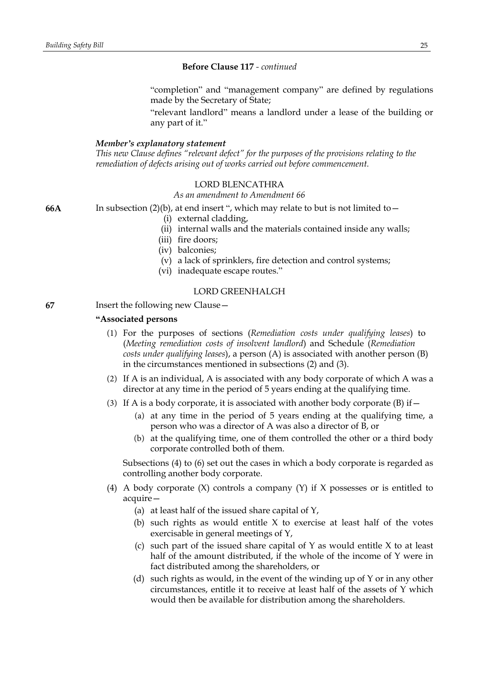"completion" and "management company" are defined by regulations made by the Secretary of State;

"relevant landlord" means a landlord under a lease of the building or any part of it."

#### *Member's explanatory statement*

*This new Clause defines "relevant defect" for the purposes of the provisions relating to the remediation of defects arising out of works carried out before commencement.*

### LORD BLENCATHRA

*As an amendment to Amendment 66*

- **66A** In subsection (2)(b), at end insert ", which may relate to but is not limited to—
	- (i) external cladding,
	- (ii) internal walls and the materials contained inside any walls;
	- (iii) fire doors;
	- (iv) balconies;
	- (v) a lack of sprinklers, fire detection and control systems;
	- (vi) inadequate escape routes."

### LORD GREENHALGH

**67** Insert the following new Clause—

#### **"Associated persons**

- (1) For the purposes of sections (*Remediation costs under qualifying leases*) to (*Meeting remediation costs of insolvent landlord*) and Schedule (*Remediation costs under qualifying leases*), a person (A) is associated with another person (B) in the circumstances mentioned in subsections (2) and (3).
- (2) If A is an individual, A is associated with any body corporate of which A was a director at any time in the period of 5 years ending at the qualifying time.
- (3) If A is a body corporate, it is associated with another body corporate  $(B)$  if  $-$ 
	- (a) at any time in the period of 5 years ending at the qualifying time, a person who was a director of A was also a director of B, or
	- (b) at the qualifying time, one of them controlled the other or a third body corporate controlled both of them.

Subsections (4) to (6) set out the cases in which a body corporate is regarded as controlling another body corporate.

- (4) A body corporate (X) controls a company (Y) if X possesses or is entitled to acquire—
	- (a) at least half of the issued share capital of Y,
	- (b) such rights as would entitle X to exercise at least half of the votes exercisable in general meetings of Y,
	- (c) such part of the issued share capital of Y as would entitle X to at least half of the amount distributed, if the whole of the income of Y were in fact distributed among the shareholders, or
	- (d) such rights as would, in the event of the winding up of Y or in any other circumstances, entitle it to receive at least half of the assets of Y which would then be available for distribution among the shareholders.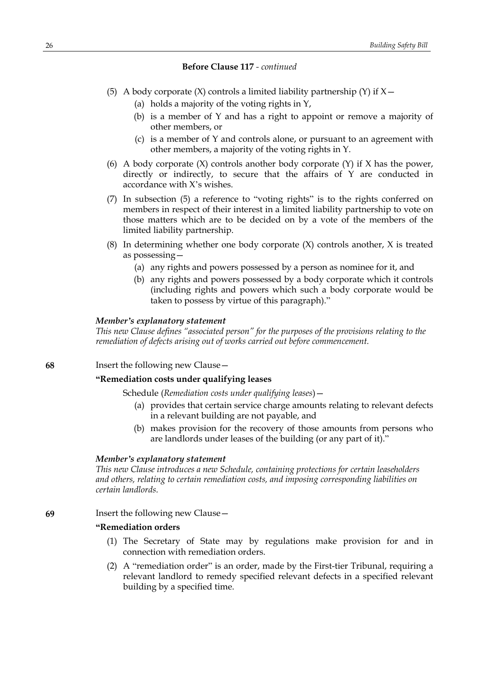- (5) A body corporate  $(X)$  controls a limited liability partnership  $(Y)$  if  $X$  -
	- (a) holds a majority of the voting rights in Y,
	- (b) is a member of Y and has a right to appoint or remove a majority of other members, or
	- (c) is a member of Y and controls alone, or pursuant to an agreement with other members, a majority of the voting rights in Y.
- (6) A body corporate  $(X)$  controls another body corporate  $(Y)$  if X has the power, directly or indirectly, to secure that the affairs of Y are conducted in accordance with X's wishes.
- (7) In subsection (5) a reference to "voting rights" is to the rights conferred on members in respect of their interest in a limited liability partnership to vote on those matters which are to be decided on by a vote of the members of the limited liability partnership.
- (8) In determining whether one body corporate (X) controls another, X is treated as possessing—
	- (a) any rights and powers possessed by a person as nominee for it, and
	- (b) any rights and powers possessed by a body corporate which it controls (including rights and powers which such a body corporate would be taken to possess by virtue of this paragraph)."

### *Member's explanatory statement*

*This new Clause defines "associated person" for the purposes of the provisions relating to the remediation of defects arising out of works carried out before commencement.*

### **68** Insert the following new Clause—

#### **"Remediation costs under qualifying leases**

Schedule (*Remediation costs under qualifying leases*)—

- (a) provides that certain service charge amounts relating to relevant defects in a relevant building are not payable, and
- (b) makes provision for the recovery of those amounts from persons who are landlords under leases of the building (or any part of it)."

#### *Member's explanatory statement*

*This new Clause introduces a new Schedule, containing protections for certain leaseholders and others, relating to certain remediation costs, and imposing corresponding liabilities on certain landlords.*

### **69** Insert the following new Clause—

# **"Remediation orders**

- (1) The Secretary of State may by regulations make provision for and in connection with remediation orders.
- (2) A "remediation order" is an order, made by the First-tier Tribunal, requiring a relevant landlord to remedy specified relevant defects in a specified relevant building by a specified time.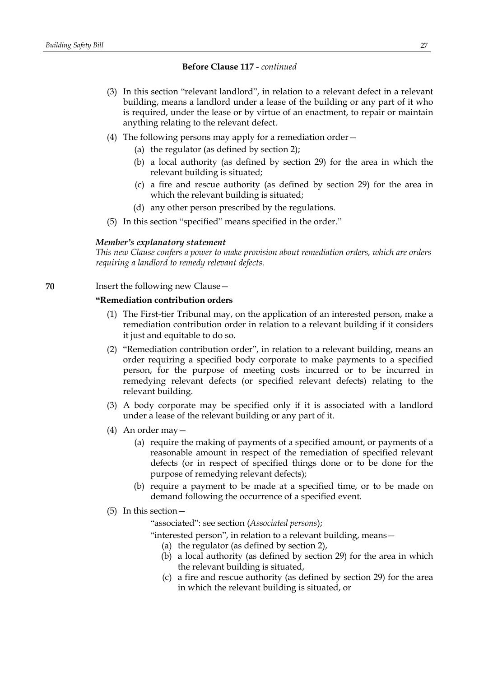- (3) In this section "relevant landlord", in relation to a relevant defect in a relevant building, means a landlord under a lease of the building or any part of it who is required, under the lease or by virtue of an enactment, to repair or maintain anything relating to the relevant defect.
- (4) The following persons may apply for a remediation order—
	- (a) the regulator (as defined by section 2);
	- (b) a local authority (as defined by section 29) for the area in which the relevant building is situated;
	- (c) a fire and rescue authority (as defined by section 29) for the area in which the relevant building is situated;
	- (d) any other person prescribed by the regulations.
- (5) In this section "specified" means specified in the order."

#### *Member's explanatory statement*

*This new Clause confers a power to make provision about remediation orders, which are orders requiring a landlord to remedy relevant defects.*

### **70** Insert the following new Clause—

### **"Remediation contribution orders**

- (1) The First-tier Tribunal may, on the application of an interested person, make a remediation contribution order in relation to a relevant building if it considers it just and equitable to do so.
- (2) "Remediation contribution order", in relation to a relevant building, means an order requiring a specified body corporate to make payments to a specified person, for the purpose of meeting costs incurred or to be incurred in remedying relevant defects (or specified relevant defects) relating to the relevant building.
- (3) A body corporate may be specified only if it is associated with a landlord under a lease of the relevant building or any part of it.
- (4) An order may—
	- (a) require the making of payments of a specified amount, or payments of a reasonable amount in respect of the remediation of specified relevant defects (or in respect of specified things done or to be done for the purpose of remedying relevant defects);
	- (b) require a payment to be made at a specified time, or to be made on demand following the occurrence of a specified event.
- (5) In this section—

"associated": see section (*Associated persons*);

"interested person", in relation to a relevant building, means—

- (a) the regulator (as defined by section 2),
- (b) a local authority (as defined by section 29) for the area in which the relevant building is situated,
- (c) a fire and rescue authority (as defined by section 29) for the area in which the relevant building is situated, or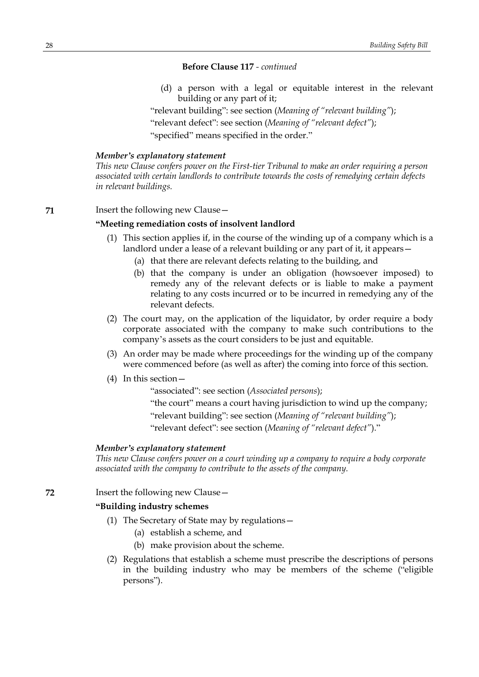(d) a person with a legal or equitable interest in the relevant building or any part of it;

"relevant building": see section (*Meaning of "relevant building"*); "relevant defect": see section (*Meaning of "relevant defect"*); "specified" means specified in the order."

#### *Member's explanatory statement*

*This new Clause confers power on the First-tier Tribunal to make an order requiring a person associated with certain landlords to contribute towards the costs of remedying certain defects in relevant buildings.*

**71** Insert the following new Clause—

### **"Meeting remediation costs of insolvent landlord**

- (1) This section applies if, in the course of the winding up of a company which is a landlord under a lease of a relevant building or any part of it, it appears—
	- (a) that there are relevant defects relating to the building, and
	- (b) that the company is under an obligation (howsoever imposed) to remedy any of the relevant defects or is liable to make a payment relating to any costs incurred or to be incurred in remedying any of the relevant defects.
- (2) The court may, on the application of the liquidator, by order require a body corporate associated with the company to make such contributions to the company's assets as the court considers to be just and equitable.
- (3) An order may be made where proceedings for the winding up of the company were commenced before (as well as after) the coming into force of this section.
- (4) In this section—

"associated": see section (*Associated persons*);

"the court" means a court having jurisdiction to wind up the company;

"relevant building": see section (*Meaning of "relevant building"*);

"relevant defect": see section (*Meaning of "relevant defect"*)."

### *Member's explanatory statement*

*This new Clause confers power on a court winding up a company to require a body corporate associated with the company to contribute to the assets of the company.*

**72** Insert the following new Clause—

# **"Building industry schemes**

- (1) The Secretary of State may by regulations—
	- (a) establish a scheme, and
	- (b) make provision about the scheme.
- (2) Regulations that establish a scheme must prescribe the descriptions of persons in the building industry who may be members of the scheme ("eligible persons").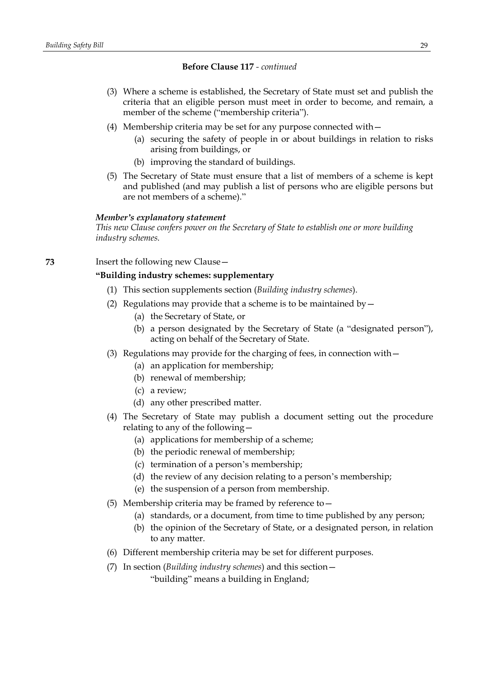- (3) Where a scheme is established, the Secretary of State must set and publish the criteria that an eligible person must meet in order to become, and remain, a member of the scheme ("membership criteria").
- (4) Membership criteria may be set for any purpose connected with—
	- (a) securing the safety of people in or about buildings in relation to risks arising from buildings, or
	- (b) improving the standard of buildings.
- (5) The Secretary of State must ensure that a list of members of a scheme is kept and published (and may publish a list of persons who are eligible persons but are not members of a scheme)."

#### *Member's explanatory statement*

*This new Clause confers power on the Secretary of State to establish one or more building industry schemes.*

### **73** Insert the following new Clause—

### **"Building industry schemes: supplementary**

- (1) This section supplements section (*Building industry schemes*).
- (2) Regulations may provide that a scheme is to be maintained by  $-$ 
	- (a) the Secretary of State, or
	- (b) a person designated by the Secretary of State (a "designated person"), acting on behalf of the Secretary of State.
- (3) Regulations may provide for the charging of fees, in connection with—
	- (a) an application for membership;
	- (b) renewal of membership;
	- (c) a review;
	- (d) any other prescribed matter.
- (4) The Secretary of State may publish a document setting out the procedure relating to any of the following—
	- (a) applications for membership of a scheme;
	- (b) the periodic renewal of membership;
	- (c) termination of a person's membership;
	- (d) the review of any decision relating to a person's membership;
	- (e) the suspension of a person from membership.
- (5) Membership criteria may be framed by reference to—
	- (a) standards, or a document, from time to time published by any person;
	- (b) the opinion of the Secretary of State, or a designated person, in relation to any matter.
- (6) Different membership criteria may be set for different purposes.
- (7) In section (*Building industry schemes*) and this section— "building" means a building in England;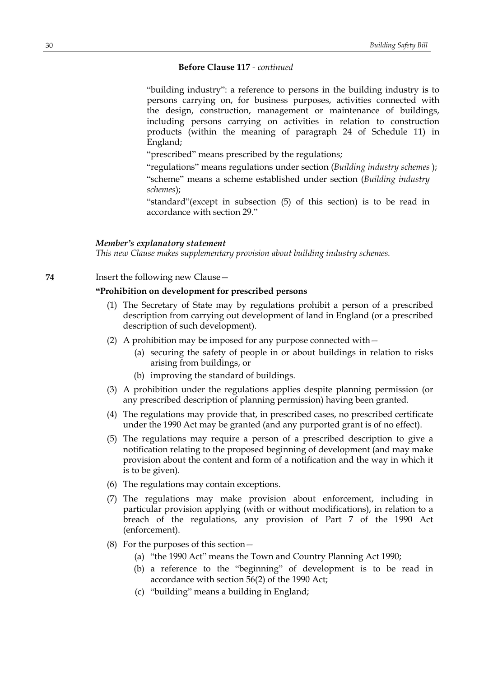"building industry": a reference to persons in the building industry is to persons carrying on, for business purposes, activities connected with the design, construction, management or maintenance of buildings, including persons carrying on activities in relation to construction products (within the meaning of paragraph 24 of Schedule 11) in England;

"prescribed" means prescribed by the regulations;

"regulations" means regulations under section (*Building industry schemes* ); "scheme" means a scheme established under section (*Building industry schemes*);

"standard"(except in subsection (5) of this section) is to be read in accordance with section 29."

### *Member's explanatory statement*

*This new Clause makes supplementary provision about building industry schemes.*

**74** Insert the following new Clause—

# **"Prohibition on development for prescribed persons**

- (1) The Secretary of State may by regulations prohibit a person of a prescribed description from carrying out development of land in England (or a prescribed description of such development).
- (2) A prohibition may be imposed for any purpose connected with—
	- (a) securing the safety of people in or about buildings in relation to risks arising from buildings, or
	- (b) improving the standard of buildings.
- (3) A prohibition under the regulations applies despite planning permission (or any prescribed description of planning permission) having been granted.
- (4) The regulations may provide that, in prescribed cases, no prescribed certificate under the 1990 Act may be granted (and any purported grant is of no effect).
- (5) The regulations may require a person of a prescribed description to give a notification relating to the proposed beginning of development (and may make provision about the content and form of a notification and the way in which it is to be given).
- (6) The regulations may contain exceptions.
- (7) The regulations may make provision about enforcement, including in particular provision applying (with or without modifications), in relation to a breach of the regulations, any provision of Part 7 of the 1990 Act (enforcement).
- (8) For the purposes of this section—
	- (a) "the 1990 Act" means the Town and Country Planning Act 1990;
	- (b) a reference to the "beginning" of development is to be read in accordance with section 56(2) of the 1990 Act;
	- (c) "building" means a building in England;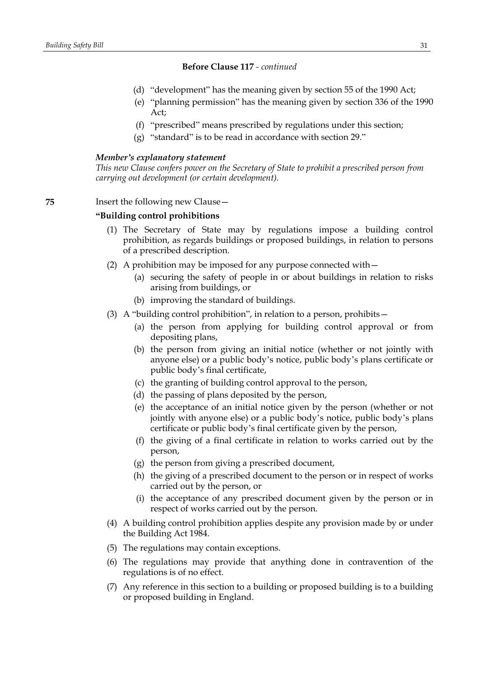- (d) "development" has the meaning given by section 55 of the 1990 Act;
- (e) "planning permission" has the meaning given by section 336 of the 1990 Act;
- (f) "prescribed" means prescribed by regulations under this section;
- (g) "standard" is to be read in accordance with section 29."

#### *Member's explanatory statement*

*This new Clause confers power on the Secretary of State to prohibit a prescribed person from carrying out development (or certain development).*

# **75** Insert the following new Clause—

### **"Building control prohibitions**

- (1) The Secretary of State may by regulations impose a building control prohibition, as regards buildings or proposed buildings, in relation to persons of a prescribed description.
- (2) A prohibition may be imposed for any purpose connected with—
	- (a) securing the safety of people in or about buildings in relation to risks arising from buildings, or
	- (b) improving the standard of buildings.
- (3) A "building control prohibition", in relation to a person, prohibits—
	- (a) the person from applying for building control approval or from depositing plans,
	- (b) the person from giving an initial notice (whether or not jointly with anyone else) or a public body's notice, public body's plans certificate or public body's final certificate,
	- (c) the granting of building control approval to the person,
	- (d) the passing of plans deposited by the person,
	- (e) the acceptance of an initial notice given by the person (whether or not jointly with anyone else) or a public body's notice, public body's plans certificate or public body's final certificate given by the person,
	- (f) the giving of a final certificate in relation to works carried out by the person,
	- (g) the person from giving a prescribed document,
	- (h) the giving of a prescribed document to the person or in respect of works carried out by the person, or
	- (i) the acceptance of any prescribed document given by the person or in respect of works carried out by the person.
- (4) A building control prohibition applies despite any provision made by or under the Building Act 1984.
- (5) The regulations may contain exceptions.
- (6) The regulations may provide that anything done in contravention of the regulations is of no effect.
- (7) Any reference in this section to a building or proposed building is to a building or proposed building in England.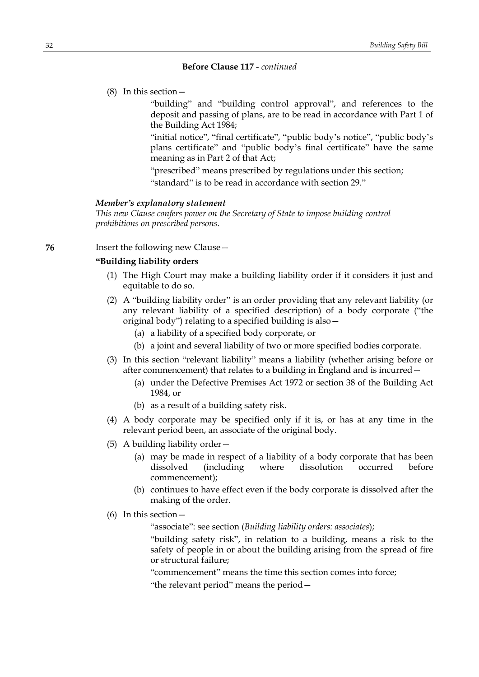(8) In this section—

"building" and "building control approval", and references to the deposit and passing of plans, are to be read in accordance with Part 1 of the Building Act 1984;

"initial notice", "final certificate", "public body's notice", "public body's plans certificate" and "public body's final certificate" have the same meaning as in Part 2 of that Act;

"prescribed" means prescribed by regulations under this section; "standard" is to be read in accordance with section 29."

#### *Member's explanatory statement*

*This new Clause confers power on the Secretary of State to impose building control prohibitions on prescribed persons.*

**76** Insert the following new Clause –

# **"Building liability orders**

- (1) The High Court may make a building liability order if it considers it just and equitable to do so.
- (2) A "building liability order" is an order providing that any relevant liability (or any relevant liability of a specified description) of a body corporate ("the original body") relating to a specified building is also—
	- (a) a liability of a specified body corporate, or
	- (b) a joint and several liability of two or more specified bodies corporate.
- (3) In this section "relevant liability" means a liability (whether arising before or after commencement) that relates to a building in England and is incurred—
	- (a) under the Defective Premises Act 1972 or section 38 of the Building Act 1984, or
	- (b) as a result of a building safety risk.
- (4) A body corporate may be specified only if it is, or has at any time in the relevant period been, an associate of the original body.
- (5) A building liability order—
	- (a) may be made in respect of a liability of a body corporate that has been dissolved (including where dissolution occurred before commencement);
	- (b) continues to have effect even if the body corporate is dissolved after the making of the order.
- (6) In this section—

"associate": see section (*Building liability orders: associates*);

"building safety risk", in relation to a building, means a risk to the safety of people in or about the building arising from the spread of fire or structural failure;

"commencement" means the time this section comes into force;

"the relevant period" means the period—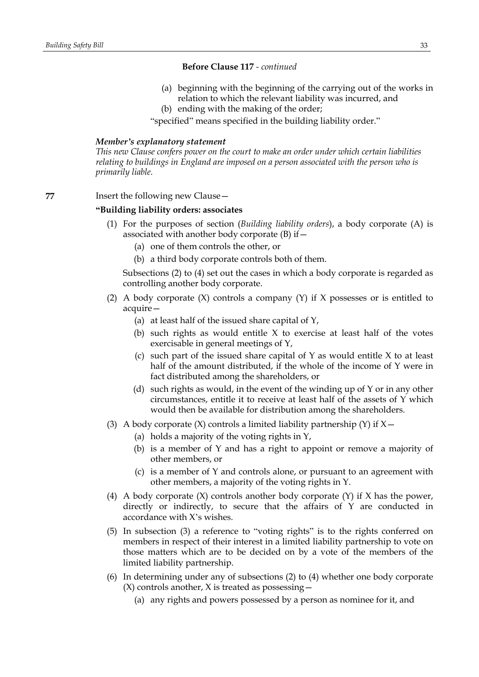- (a) beginning with the beginning of the carrying out of the works in relation to which the relevant liability was incurred, and
- (b) ending with the making of the order;

"specified" means specified in the building liability order."

### *Member's explanatory statement*

*This new Clause confers power on the court to make an order under which certain liabilities relating to buildings in England are imposed on a person associated with the person who is primarily liable.*

**77** Insert the following new Clause—

### **"Building liability orders: associates**

- (1) For the purposes of section (*Building liability orders*), a body corporate (A) is associated with another body corporate (B) if—
	- (a) one of them controls the other, or
	- (b) a third body corporate controls both of them.

Subsections (2) to (4) set out the cases in which a body corporate is regarded as controlling another body corporate.

- (2) A body corporate  $(X)$  controls a company  $(Y)$  if X possesses or is entitled to acquire—
	- (a) at least half of the issued share capital of Y,
	- (b) such rights as would entitle X to exercise at least half of the votes exercisable in general meetings of Y,
	- (c) such part of the issued share capital of  $Y$  as would entitle  $X$  to at least half of the amount distributed, if the whole of the income of Y were in fact distributed among the shareholders, or
	- (d) such rights as would, in the event of the winding up of Y or in any other circumstances, entitle it to receive at least half of the assets of Y which would then be available for distribution among the shareholders.
- (3) A body corporate  $(X)$  controls a limited liability partnership  $(Y)$  if  $X$  -
	- (a) holds a majority of the voting rights in Y,
	- (b) is a member of Y and has a right to appoint or remove a majority of other members, or
	- (c) is a member of Y and controls alone, or pursuant to an agreement with other members, a majority of the voting rights in Y.
- (4) A body corporate (X) controls another body corporate (Y) if X has the power, directly or indirectly, to secure that the affairs of Y are conducted in accordance with X's wishes.
- (5) In subsection (3) a reference to "voting rights" is to the rights conferred on members in respect of their interest in a limited liability partnership to vote on those matters which are to be decided on by a vote of the members of the limited liability partnership.
- (6) In determining under any of subsections (2) to (4) whether one body corporate  $(X)$  controls another, X is treated as possessing  $-$ 
	- (a) any rights and powers possessed by a person as nominee for it, and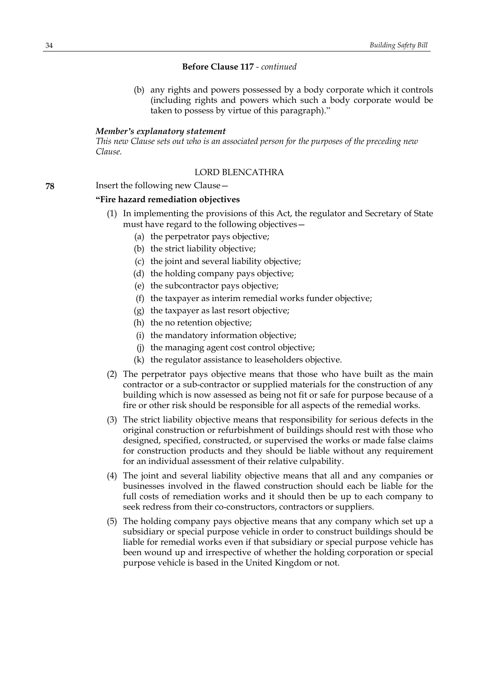(b) any rights and powers possessed by a body corporate which it controls (including rights and powers which such a body corporate would be taken to possess by virtue of this paragraph)."

#### *Member's explanatory statement*

*This new Clause sets out who is an associated person for the purposes of the preceding new Clause.*

# LORD BLENCATHRA

**78** Insert the following new Clause—

### **"Fire hazard remediation objectives**

- (1) In implementing the provisions of this Act, the regulator and Secretary of State must have regard to the following objectives—
	- (a) the perpetrator pays objective;
	- (b) the strict liability objective;
	- (c) the joint and several liability objective;
	- (d) the holding company pays objective;
	- (e) the subcontractor pays objective;
	- (f) the taxpayer as interim remedial works funder objective;
	- (g) the taxpayer as last resort objective;
	- (h) the no retention objective;
	- (i) the mandatory information objective;
	- (j) the managing agent cost control objective;
	- (k) the regulator assistance to leaseholders objective.
- (2) The perpetrator pays objective means that those who have built as the main contractor or a sub-contractor or supplied materials for the construction of any building which is now assessed as being not fit or safe for purpose because of a fire or other risk should be responsible for all aspects of the remedial works.
- (3) The strict liability objective means that responsibility for serious defects in the original construction or refurbishment of buildings should rest with those who designed, specified, constructed, or supervised the works or made false claims for construction products and they should be liable without any requirement for an individual assessment of their relative culpability.
- (4) The joint and several liability objective means that all and any companies or businesses involved in the flawed construction should each be liable for the full costs of remediation works and it should then be up to each company to seek redress from their co-constructors, contractors or suppliers.
- (5) The holding company pays objective means that any company which set up a subsidiary or special purpose vehicle in order to construct buildings should be liable for remedial works even if that subsidiary or special purpose vehicle has been wound up and irrespective of whether the holding corporation or special purpose vehicle is based in the United Kingdom or not.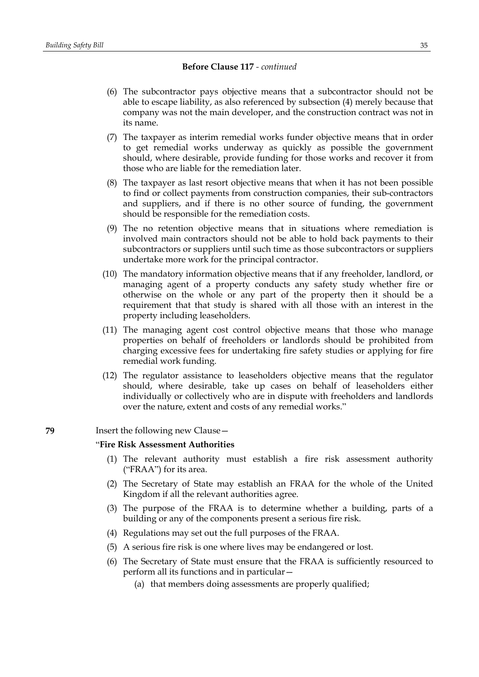- (6) The subcontractor pays objective means that a subcontractor should not be able to escape liability, as also referenced by subsection (4) merely because that company was not the main developer, and the construction contract was not in its name.
- (7) The taxpayer as interim remedial works funder objective means that in order to get remedial works underway as quickly as possible the government should, where desirable, provide funding for those works and recover it from those who are liable for the remediation later.
- (8) The taxpayer as last resort objective means that when it has not been possible to find or collect payments from construction companies, their sub-contractors and suppliers, and if there is no other source of funding, the government should be responsible for the remediation costs.
- (9) The no retention objective means that in situations where remediation is involved main contractors should not be able to hold back payments to their subcontractors or suppliers until such time as those subcontractors or suppliers undertake more work for the principal contractor.
- (10) The mandatory information objective means that if any freeholder, landlord, or managing agent of a property conducts any safety study whether fire or otherwise on the whole or any part of the property then it should be a requirement that that study is shared with all those with an interest in the property including leaseholders.
- (11) The managing agent cost control objective means that those who manage properties on behalf of freeholders or landlords should be prohibited from charging excessive fees for undertaking fire safety studies or applying for fire remedial work funding.
- (12) The regulator assistance to leaseholders objective means that the regulator should, where desirable, take up cases on behalf of leaseholders either individually or collectively who are in dispute with freeholders and landlords over the nature, extent and costs of any remedial works."

### **79** Insert the following new Clause—

### "**Fire Risk Assessment Authorities**

- (1) The relevant authority must establish a fire risk assessment authority ("FRAA") for its area.
- (2) The Secretary of State may establish an FRAA for the whole of the United Kingdom if all the relevant authorities agree.
- (3) The purpose of the FRAA is to determine whether a building, parts of a building or any of the components present a serious fire risk.
- (4) Regulations may set out the full purposes of the FRAA.
- (5) A serious fire risk is one where lives may be endangered or lost.
- (6) The Secretary of State must ensure that the FRAA is sufficiently resourced to perform all its functions and in particular—
	- (a) that members doing assessments are properly qualified;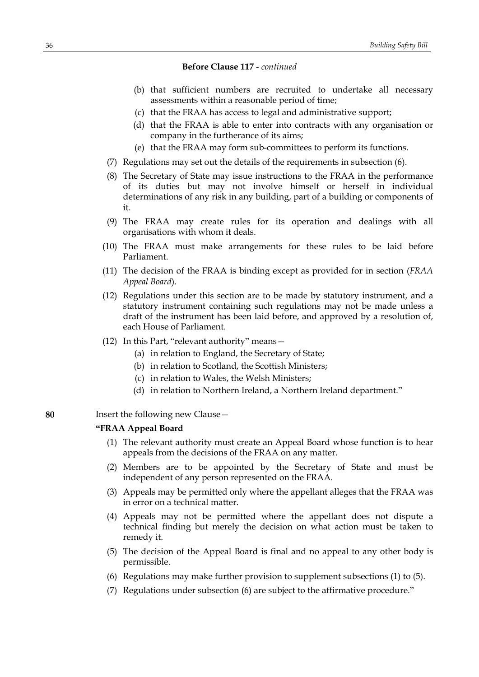- (b) that sufficient numbers are recruited to undertake all necessary assessments within a reasonable period of time;
- (c) that the FRAA has access to legal and administrative support;
- (d) that the FRAA is able to enter into contracts with any organisation or company in the furtherance of its aims;
- (e) that the FRAA may form sub-committees to perform its functions.
- (7) Regulations may set out the details of the requirements in subsection (6).
- (8) The Secretary of State may issue instructions to the FRAA in the performance of its duties but may not involve himself or herself in individual determinations of any risk in any building, part of a building or components of it.
- (9) The FRAA may create rules for its operation and dealings with all organisations with whom it deals.
- (10) The FRAA must make arrangements for these rules to be laid before Parliament.
- (11) The decision of the FRAA is binding except as provided for in section (*FRAA Appeal Board*).
- (12) Regulations under this section are to be made by statutory instrument, and a statutory instrument containing such regulations may not be made unless a draft of the instrument has been laid before, and approved by a resolution of, each House of Parliament.
- (12) In this Part, "relevant authority" means—
	- (a) in relation to England, the Secretary of State;
	- (b) in relation to Scotland, the Scottish Ministers;
	- (c) in relation to Wales, the Welsh Ministers;
	- (d) in relation to Northern Ireland, a Northern Ireland department."
- **80** Insert the following new Clause—

### **"FRAA Appeal Board**

- (1) The relevant authority must create an Appeal Board whose function is to hear appeals from the decisions of the FRAA on any matter.
- (2) Members are to be appointed by the Secretary of State and must be independent of any person represented on the FRAA.
- (3) Appeals may be permitted only where the appellant alleges that the FRAA was in error on a technical matter.
- (4) Appeals may not be permitted where the appellant does not dispute a technical finding but merely the decision on what action must be taken to remedy it.
- (5) The decision of the Appeal Board is final and no appeal to any other body is permissible.
- (6) Regulations may make further provision to supplement subsections (1) to (5).
- (7) Regulations under subsection (6) are subject to the affirmative procedure."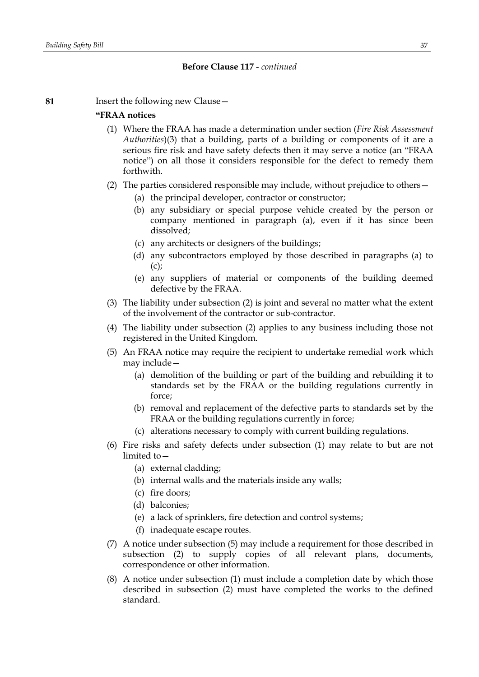**81** Insert the following new Clause—

#### **"FRAA notices**

- (1) Where the FRAA has made a determination under section (*Fire Risk Assessment Authorities*)(3) that a building, parts of a building or components of it are a serious fire risk and have safety defects then it may serve a notice (an "FRAA notice") on all those it considers responsible for the defect to remedy them forthwith.
- (2) The parties considered responsible may include, without prejudice to others—
	- (a) the principal developer, contractor or constructor;
	- (b) any subsidiary or special purpose vehicle created by the person or company mentioned in paragraph (a), even if it has since been dissolved;
	- (c) any architects or designers of the buildings;
	- (d) any subcontractors employed by those described in paragraphs (a) to  $(c)$ ;
	- (e) any suppliers of material or components of the building deemed defective by the FRAA.
- (3) The liability under subsection (2) is joint and several no matter what the extent of the involvement of the contractor or sub-contractor.
- (4) The liability under subsection (2) applies to any business including those not registered in the United Kingdom.
- (5) An FRAA notice may require the recipient to undertake remedial work which may include—
	- (a) demolition of the building or part of the building and rebuilding it to standards set by the FRAA or the building regulations currently in force;
	- (b) removal and replacement of the defective parts to standards set by the FRAA or the building regulations currently in force;
	- (c) alterations necessary to comply with current building regulations.
- (6) Fire risks and safety defects under subsection (1) may relate to but are not limited to—
	- (a) external cladding;
	- (b) internal walls and the materials inside any walls;
	- (c) fire doors;
	- (d) balconies;
	- (e) a lack of sprinklers, fire detection and control systems;
	- (f) inadequate escape routes.
- (7) A notice under subsection (5) may include a requirement for those described in subsection (2) to supply copies of all relevant plans, documents, correspondence or other information.
- (8) A notice under subsection (1) must include a completion date by which those described in subsection (2) must have completed the works to the defined standard.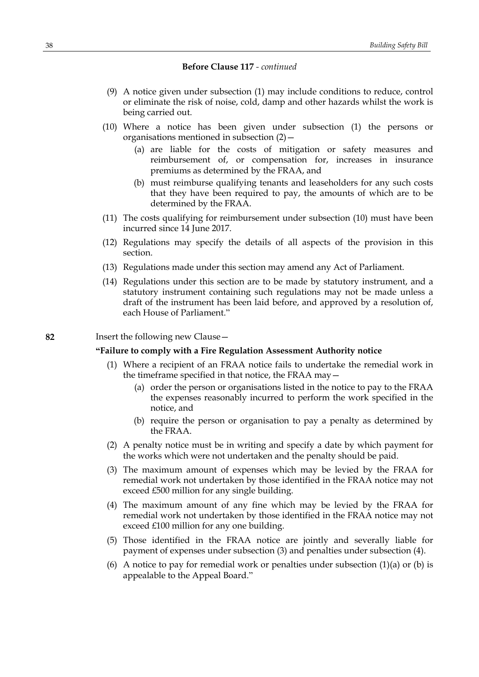- (9) A notice given under subsection (1) may include conditions to reduce, control or eliminate the risk of noise, cold, damp and other hazards whilst the work is being carried out.
- (10) Where a notice has been given under subsection (1) the persons or organisations mentioned in subsection (2)—
	- (a) are liable for the costs of mitigation or safety measures and reimbursement of, or compensation for, increases in insurance premiums as determined by the FRAA, and
	- (b) must reimburse qualifying tenants and leaseholders for any such costs that they have been required to pay, the amounts of which are to be determined by the FRAA.
- (11) The costs qualifying for reimbursement under subsection (10) must have been incurred since 14 June 2017.
- (12) Regulations may specify the details of all aspects of the provision in this section.
- (13) Regulations made under this section may amend any Act of Parliament.
- (14) Regulations under this section are to be made by statutory instrument, and a statutory instrument containing such regulations may not be made unless a draft of the instrument has been laid before, and approved by a resolution of, each House of Parliament."

### **82** Insert the following new Clause—

## **"Failure to comply with a Fire Regulation Assessment Authority notice**

- (1) Where a recipient of an FRAA notice fails to undertake the remedial work in the timeframe specified in that notice, the FRAA may—
	- (a) order the person or organisations listed in the notice to pay to the FRAA the expenses reasonably incurred to perform the work specified in the notice, and
	- (b) require the person or organisation to pay a penalty as determined by the FRAA.
- (2) A penalty notice must be in writing and specify a date by which payment for the works which were not undertaken and the penalty should be paid.
- (3) The maximum amount of expenses which may be levied by the FRAA for remedial work not undertaken by those identified in the FRAA notice may not exceed £500 million for any single building.
- (4) The maximum amount of any fine which may be levied by the FRAA for remedial work not undertaken by those identified in the FRAA notice may not exceed £100 million for any one building.
- (5) Those identified in the FRAA notice are jointly and severally liable for payment of expenses under subsection (3) and penalties under subsection (4).
- (6) A notice to pay for remedial work or penalties under subsection  $(1)(a)$  or  $(b)$  is appealable to the Appeal Board."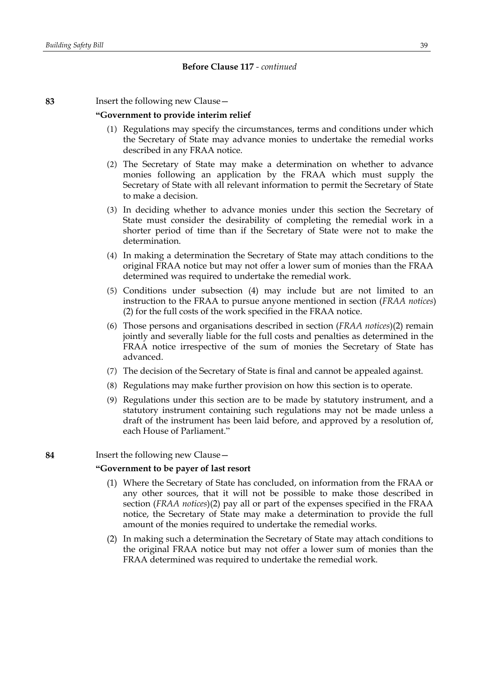**83** Insert the following new Clause—

#### **"Government to provide interim relief**

- (1) Regulations may specify the circumstances, terms and conditions under which the Secretary of State may advance monies to undertake the remedial works described in any FRAA notice.
- (2) The Secretary of State may make a determination on whether to advance monies following an application by the FRAA which must supply the Secretary of State with all relevant information to permit the Secretary of State to make a decision.
- (3) In deciding whether to advance monies under this section the Secretary of State must consider the desirability of completing the remedial work in a shorter period of time than if the Secretary of State were not to make the determination.
- (4) In making a determination the Secretary of State may attach conditions to the original FRAA notice but may not offer a lower sum of monies than the FRAA determined was required to undertake the remedial work.
- (5) Conditions under subsection (4) may include but are not limited to an instruction to the FRAA to pursue anyone mentioned in section (*FRAA notices*) (2) for the full costs of the work specified in the FRAA notice.
- (6) Those persons and organisations described in section (*FRAA notices*)(2) remain jointly and severally liable for the full costs and penalties as determined in the FRAA notice irrespective of the sum of monies the Secretary of State has advanced.
- (7) The decision of the Secretary of State is final and cannot be appealed against.
- (8) Regulations may make further provision on how this section is to operate.
- (9) Regulations under this section are to be made by statutory instrument, and a statutory instrument containing such regulations may not be made unless a draft of the instrument has been laid before, and approved by a resolution of, each House of Parliament."

**84** Insert the following new Clause—

#### **"Government to be payer of last resort**

- (1) Where the Secretary of State has concluded, on information from the FRAA or any other sources, that it will not be possible to make those described in section (*FRAA notices*)(2) pay all or part of the expenses specified in the FRAA notice, the Secretary of State may make a determination to provide the full amount of the monies required to undertake the remedial works.
- (2) In making such a determination the Secretary of State may attach conditions to the original FRAA notice but may not offer a lower sum of monies than the FRAA determined was required to undertake the remedial work.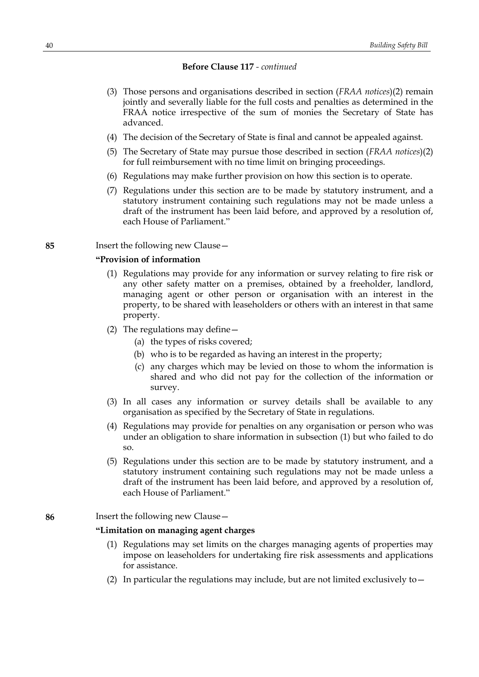- (3) Those persons and organisations described in section (*FRAA notices*)(2) remain jointly and severally liable for the full costs and penalties as determined in the FRAA notice irrespective of the sum of monies the Secretary of State has advanced.
- (4) The decision of the Secretary of State is final and cannot be appealed against.
- (5) The Secretary of State may pursue those described in section (*FRAA notices*)(2) for full reimbursement with no time limit on bringing proceedings.
- (6) Regulations may make further provision on how this section is to operate.
- (7) Regulations under this section are to be made by statutory instrument, and a statutory instrument containing such regulations may not be made unless a draft of the instrument has been laid before, and approved by a resolution of, each House of Parliament."

**85** Insert the following new Clause—

## **"Provision of information**

- (1) Regulations may provide for any information or survey relating to fire risk or any other safety matter on a premises, obtained by a freeholder, landlord, managing agent or other person or organisation with an interest in the property, to be shared with leaseholders or others with an interest in that same property.
- (2) The regulations may define—
	- (a) the types of risks covered;
	- (b) who is to be regarded as having an interest in the property;
	- (c) any charges which may be levied on those to whom the information is shared and who did not pay for the collection of the information or survey.
- (3) In all cases any information or survey details shall be available to any organisation as specified by the Secretary of State in regulations.
- (4) Regulations may provide for penalties on any organisation or person who was under an obligation to share information in subsection (1) but who failed to do so.
- (5) Regulations under this section are to be made by statutory instrument, and a statutory instrument containing such regulations may not be made unless a draft of the instrument has been laid before, and approved by a resolution of, each House of Parliament."

### **86** Insert the following new Clause—

#### **"Limitation on managing agent charges**

- (1) Regulations may set limits on the charges managing agents of properties may impose on leaseholders for undertaking fire risk assessments and applications for assistance.
- (2) In particular the regulations may include, but are not limited exclusively to  $-$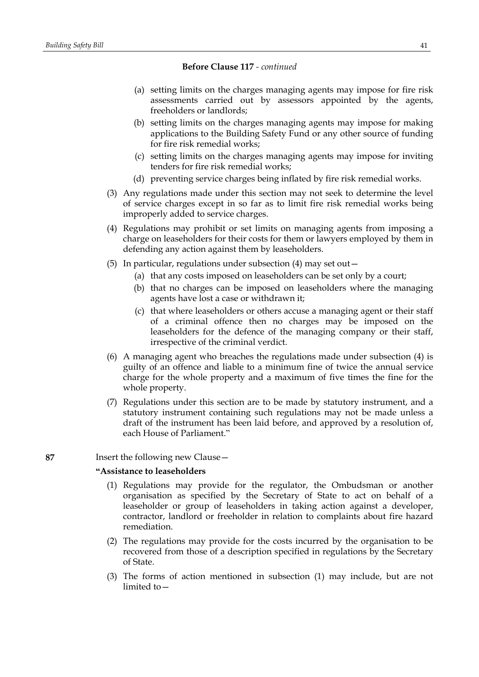- (a) setting limits on the charges managing agents may impose for fire risk assessments carried out by assessors appointed by the agents, freeholders or landlords;
- (b) setting limits on the charges managing agents may impose for making applications to the Building Safety Fund or any other source of funding for fire risk remedial works;
- (c) setting limits on the charges managing agents may impose for inviting tenders for fire risk remedial works;
- (d) preventing service charges being inflated by fire risk remedial works.
- (3) Any regulations made under this section may not seek to determine the level of service charges except in so far as to limit fire risk remedial works being improperly added to service charges.
- (4) Regulations may prohibit or set limits on managing agents from imposing a charge on leaseholders for their costs for them or lawyers employed by them in defending any action against them by leaseholders.
- (5) In particular, regulations under subsection (4) may set out—
	- (a) that any costs imposed on leaseholders can be set only by a court;
	- (b) that no charges can be imposed on leaseholders where the managing agents have lost a case or withdrawn it;
	- (c) that where leaseholders or others accuse a managing agent or their staff of a criminal offence then no charges may be imposed on the leaseholders for the defence of the managing company or their staff, irrespective of the criminal verdict.
- (6) A managing agent who breaches the regulations made under subsection (4) is guilty of an offence and liable to a minimum fine of twice the annual service charge for the whole property and a maximum of five times the fine for the whole property.
- (7) Regulations under this section are to be made by statutory instrument, and a statutory instrument containing such regulations may not be made unless a draft of the instrument has been laid before, and approved by a resolution of, each House of Parliament."

**87** Insert the following new Clause—

## **"Assistance to leaseholders**

- (1) Regulations may provide for the regulator, the Ombudsman or another organisation as specified by the Secretary of State to act on behalf of a leaseholder or group of leaseholders in taking action against a developer, contractor, landlord or freeholder in relation to complaints about fire hazard remediation.
- (2) The regulations may provide for the costs incurred by the organisation to be recovered from those of a description specified in regulations by the Secretary of State.
- (3) The forms of action mentioned in subsection (1) may include, but are not limited to—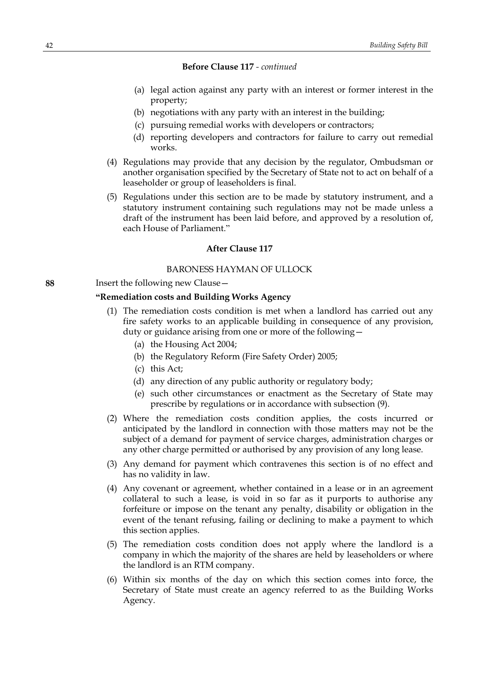- (a) legal action against any party with an interest or former interest in the property;
- (b) negotiations with any party with an interest in the building;
- (c) pursuing remedial works with developers or contractors;
- (d) reporting developers and contractors for failure to carry out remedial works.
- (4) Regulations may provide that any decision by the regulator, Ombudsman or another organisation specified by the Secretary of State not to act on behalf of a leaseholder or group of leaseholders is final.
- (5) Regulations under this section are to be made by statutory instrument, and a statutory instrument containing such regulations may not be made unless a draft of the instrument has been laid before, and approved by a resolution of, each House of Parliament."

### **After Clause 117**

## BARONESS HAYMAN OF ULLOCK

#### **88** Insert the following new Clause—

### **"Remediation costs and Building Works Agency**

- (1) The remediation costs condition is met when a landlord has carried out any fire safety works to an applicable building in consequence of any provision, duty or guidance arising from one or more of the following—
	- (a) the Housing Act 2004;
	- (b) the Regulatory Reform (Fire Safety Order) 2005;
	- (c) this Act;
	- (d) any direction of any public authority or regulatory body;
	- (e) such other circumstances or enactment as the Secretary of State may prescribe by regulations or in accordance with subsection (9).
- (2) Where the remediation costs condition applies, the costs incurred or anticipated by the landlord in connection with those matters may not be the subject of a demand for payment of service charges, administration charges or any other charge permitted or authorised by any provision of any long lease.
- (3) Any demand for payment which contravenes this section is of no effect and has no validity in law.
- (4) Any covenant or agreement, whether contained in a lease or in an agreement collateral to such a lease, is void in so far as it purports to authorise any forfeiture or impose on the tenant any penalty, disability or obligation in the event of the tenant refusing, failing or declining to make a payment to which this section applies.
- (5) The remediation costs condition does not apply where the landlord is a company in which the majority of the shares are held by leaseholders or where the landlord is an RTM company.
- (6) Within six months of the day on which this section comes into force, the Secretary of State must create an agency referred to as the Building Works Agency.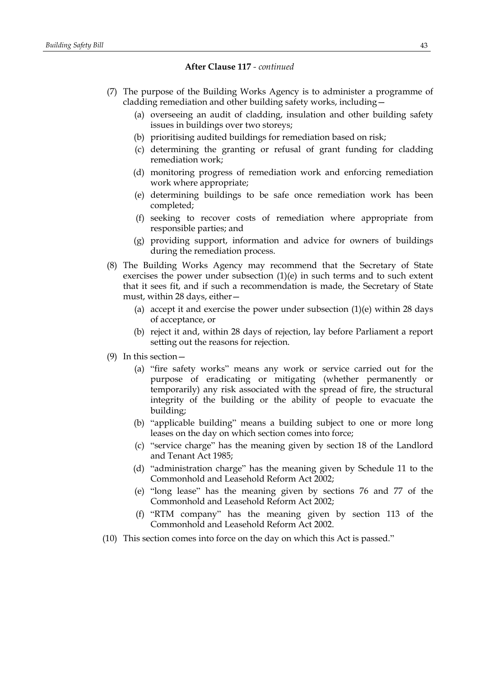- (7) The purpose of the Building Works Agency is to administer a programme of cladding remediation and other building safety works, including—
	- (a) overseeing an audit of cladding, insulation and other building safety issues in buildings over two storeys;
	- (b) prioritising audited buildings for remediation based on risk;
	- (c) determining the granting or refusal of grant funding for cladding remediation work;
	- (d) monitoring progress of remediation work and enforcing remediation work where appropriate;
	- (e) determining buildings to be safe once remediation work has been completed;
	- (f) seeking to recover costs of remediation where appropriate from responsible parties; and
	- (g) providing support, information and advice for owners of buildings during the remediation process.
- (8) The Building Works Agency may recommend that the Secretary of State exercises the power under subsection  $(1)(e)$  in such terms and to such extent that it sees fit, and if such a recommendation is made, the Secretary of State must, within 28 days, either—
	- (a) accept it and exercise the power under subsection  $(1)(e)$  within 28 days of acceptance, or
	- (b) reject it and, within 28 days of rejection, lay before Parliament a report setting out the reasons for rejection.
- (9) In this section—
	- (a) "fire safety works" means any work or service carried out for the purpose of eradicating or mitigating (whether permanently or temporarily) any risk associated with the spread of fire, the structural integrity of the building or the ability of people to evacuate the building;
	- (b) "applicable building" means a building subject to one or more long leases on the day on which section comes into force;
	- (c) "service charge" has the meaning given by section 18 of the Landlord and Tenant Act 1985;
	- (d) "administration charge" has the meaning given by Schedule 11 to the Commonhold and Leasehold Reform Act 2002;
	- (e) "long lease" has the meaning given by sections 76 and 77 of the Commonhold and Leasehold Reform Act 2002;
	- (f) "RTM company" has the meaning given by section 113 of the Commonhold and Leasehold Reform Act 2002.
- (10) This section comes into force on the day on which this Act is passed."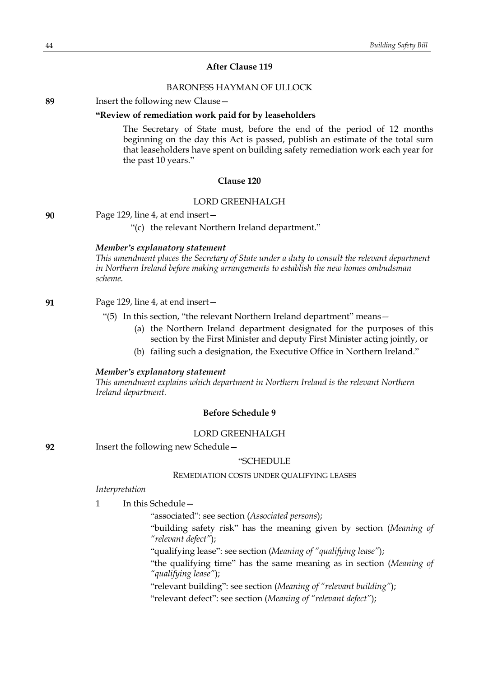## **After Clause 119**

## BARONESS HAYMAN OF ULLOCK

**89** Insert the following new Clause—

#### **"Review of remediation work paid for by leaseholders**

The Secretary of State must, before the end of the period of 12 months beginning on the day this Act is passed, publish an estimate of the total sum that leaseholders have spent on building safety remediation work each year for the past 10 years."

## **Clause 120**

## LORD GREENHALGH

**90** Page 129, line 4, at end insert—

"(c) the relevant Northern Ireland department."

### *Member's explanatory statement*

*This amendment places the Secretary of State under a duty to consult the relevant department in Northern Ireland before making arrangements to establish the new homes ombudsman scheme.*

## **91** Page 129, line 4, at end insert—

- "(5) In this section, "the relevant Northern Ireland department" means—
	- (a) the Northern Ireland department designated for the purposes of this section by the First Minister and deputy First Minister acting jointly, or
	- (b) failing such a designation, the Executive Office in Northern Ireland."

## *Member's explanatory statement*

*This amendment explains which department in Northern Ireland is the relevant Northern Ireland department.*

## **Before Schedule 9**

#### LORD GREENHALGH

**92** Insert the following new Schedule—

#### "SCHEDULE

#### REMEDIATION COSTS UNDER QUALIFYING LEASES

## *Interpretation*

1 In this Schedule—

"associated": see section (*Associated persons*);

"building safety risk" has the meaning given by section (*Meaning of "relevant defect"*);

"qualifying lease": see section (*Meaning of "qualifying lease"*);

"the qualifying time" has the same meaning as in section (*Meaning of "qualifying lease"*);

"relevant building": see section (*Meaning of "relevant building"*);

"relevant defect": see section (*Meaning of "relevant defect"*);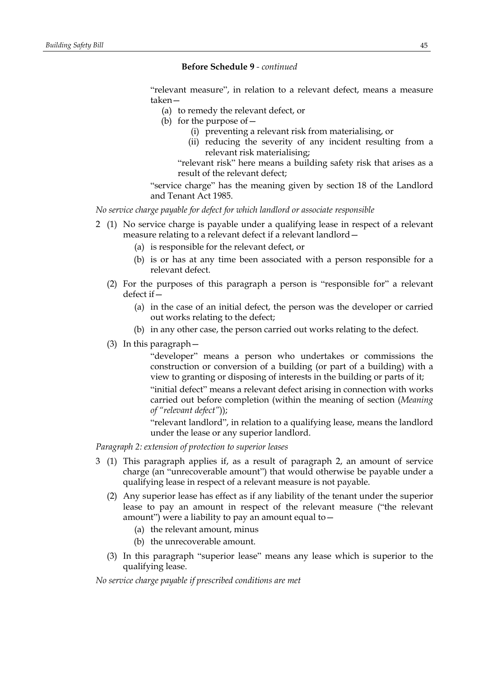"relevant measure", in relation to a relevant defect, means a measure taken—

- (a) to remedy the relevant defect, or
- (b) for the purpose of  $-$ 
	- (i) preventing a relevant risk from materialising, or
	- (ii) reducing the severity of any incident resulting from a relevant risk materialising;

"relevant risk" here means a building safety risk that arises as a result of the relevant defect;

"service charge" has the meaning given by section 18 of the Landlord and Tenant Act 1985.

*No service charge payable for defect for which landlord or associate responsible*

- 2 (1) No service charge is payable under a qualifying lease in respect of a relevant measure relating to a relevant defect if a relevant landlord—
	- (a) is responsible for the relevant defect, or
	- (b) is or has at any time been associated with a person responsible for a relevant defect.
	- (2) For the purposes of this paragraph a person is "responsible for" a relevant defect if—
		- (a) in the case of an initial defect, the person was the developer or carried out works relating to the defect;
		- (b) in any other case, the person carried out works relating to the defect.
	- (3) In this paragraph—

"developer" means a person who undertakes or commissions the construction or conversion of a building (or part of a building) with a view to granting or disposing of interests in the building or parts of it;

"initial defect" means a relevant defect arising in connection with works carried out before completion (within the meaning of section (*Meaning of "relevant defect"*));

"relevant landlord", in relation to a qualifying lease, means the landlord under the lease or any superior landlord.

*Paragraph 2: extension of protection to superior leases*

- 3 (1) This paragraph applies if, as a result of paragraph 2, an amount of service charge (an "unrecoverable amount") that would otherwise be payable under a qualifying lease in respect of a relevant measure is not payable.
	- (2) Any superior lease has effect as if any liability of the tenant under the superior lease to pay an amount in respect of the relevant measure ("the relevant amount") were a liability to pay an amount equal to  $-$ 
		- (a) the relevant amount, minus
		- (b) the unrecoverable amount.
	- (3) In this paragraph "superior lease" means any lease which is superior to the qualifying lease.

*No service charge payable if prescribed conditions are met*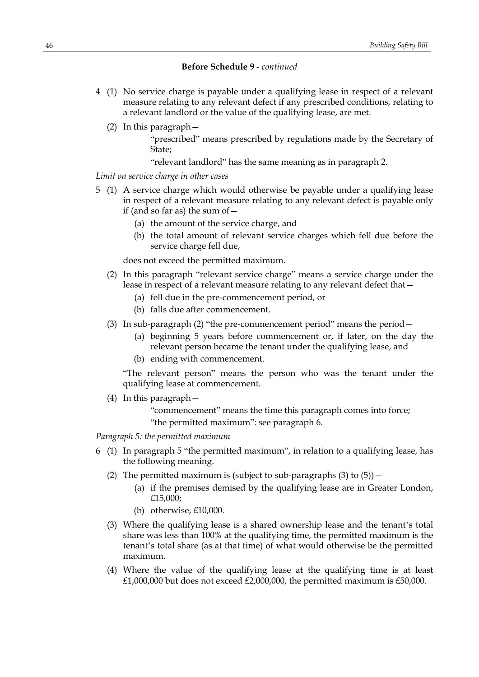- 4 (1) No service charge is payable under a qualifying lease in respect of a relevant measure relating to any relevant defect if any prescribed conditions, relating to a relevant landlord or the value of the qualifying lease, are met.
	- (2) In this paragraph—

"prescribed" means prescribed by regulations made by the Secretary of State;

"relevant landlord" has the same meaning as in paragraph 2.

# *Limit on service charge in other cases*

- 5 (1) A service charge which would otherwise be payable under a qualifying lease in respect of a relevant measure relating to any relevant defect is payable only if (and so far as) the sum of  $-$ 
	- (a) the amount of the service charge, and
	- (b) the total amount of relevant service charges which fell due before the service charge fell due,

does not exceed the permitted maximum.

- (2) In this paragraph "relevant service charge" means a service charge under the lease in respect of a relevant measure relating to any relevant defect that—
	- (a) fell due in the pre-commencement period, or
	- (b) falls due after commencement.
- (3) In sub-paragraph (2) "the pre-commencement period" means the period  $-$ 
	- (a) beginning 5 years before commencement or, if later, on the day the relevant person became the tenant under the qualifying lease, and
	- (b) ending with commencement.

"The relevant person" means the person who was the tenant under the qualifying lease at commencement.

- (4) In this paragraph—
	- "commencement" means the time this paragraph comes into force; "the permitted maximum": see paragraph 6.

*Paragraph 5: the permitted maximum*

- 6 (1) In paragraph 5 "the permitted maximum", in relation to a qualifying lease, has the following meaning.
	- (2) The permitted maximum is (subject to sub-paragraphs  $(3)$  to  $(5)$ )
		- (a) if the premises demised by the qualifying lease are in Greater London, £15,000;
		- (b) otherwise, £10,000.
	- (3) Where the qualifying lease is a shared ownership lease and the tenant's total share was less than 100% at the qualifying time, the permitted maximum is the tenant's total share (as at that time) of what would otherwise be the permitted maximum.
	- (4) Where the value of the qualifying lease at the qualifying time is at least £1,000,000 but does not exceed £2,000,000, the permitted maximum is £50,000.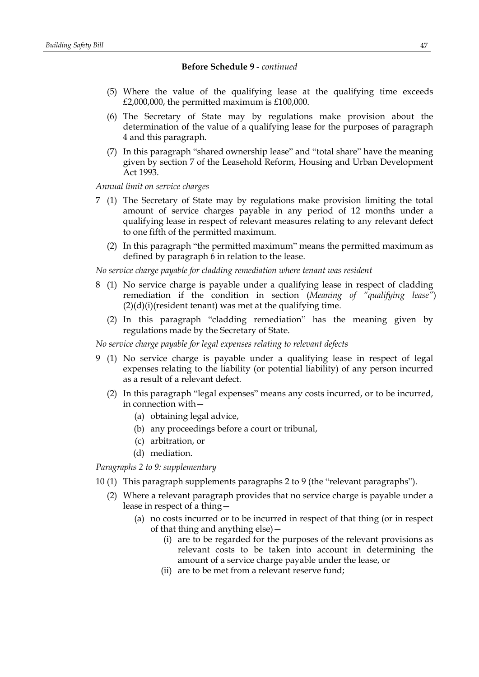- (5) Where the value of the qualifying lease at the qualifying time exceeds  $£2,000,000$ , the permitted maximum is £100,000.
- (6) The Secretary of State may by regulations make provision about the determination of the value of a qualifying lease for the purposes of paragraph 4 and this paragraph.
- (7) In this paragraph "shared ownership lease" and "total share" have the meaning given by section 7 of the Leasehold Reform, Housing and Urban Development Act 1993.

*Annual limit on service charges*

- 7 (1) The Secretary of State may by regulations make provision limiting the total amount of service charges payable in any period of 12 months under a qualifying lease in respect of relevant measures relating to any relevant defect to one fifth of the permitted maximum.
	- (2) In this paragraph "the permitted maximum" means the permitted maximum as defined by paragraph 6 in relation to the lease.

*No service charge payable for cladding remediation where tenant was resident*

- 8 (1) No service charge is payable under a qualifying lease in respect of cladding remediation if the condition in section (*Meaning of "qualifying lease"*)  $(2)(d)(i)$ (resident tenant) was met at the qualifying time.
	- (2) In this paragraph "cladding remediation" has the meaning given by regulations made by the Secretary of State.

*No service charge payable for legal expenses relating to relevant defects*

- 9 (1) No service charge is payable under a qualifying lease in respect of legal expenses relating to the liability (or potential liability) of any person incurred as a result of a relevant defect.
	- (2) In this paragraph "legal expenses" means any costs incurred, or to be incurred, in connection with—
		- (a) obtaining legal advice,
		- (b) any proceedings before a court or tribunal,
		- (c) arbitration, or
		- (d) mediation.

*Paragraphs 2 to 9: supplementary*

- 10 (1) This paragraph supplements paragraphs 2 to 9 (the "relevant paragraphs").
	- (2) Where a relevant paragraph provides that no service charge is payable under a lease in respect of a thing—
		- (a) no costs incurred or to be incurred in respect of that thing (or in respect of that thing and anything else)—
			- (i) are to be regarded for the purposes of the relevant provisions as relevant costs to be taken into account in determining the amount of a service charge payable under the lease, or
			- (ii) are to be met from a relevant reserve fund;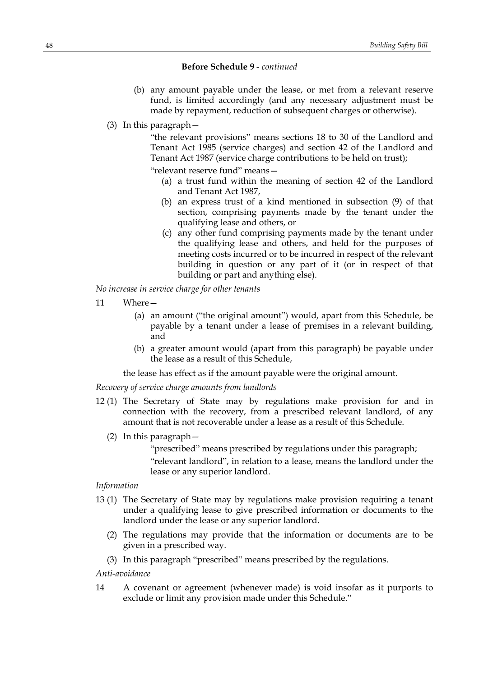- (b) any amount payable under the lease, or met from a relevant reserve fund, is limited accordingly (and any necessary adjustment must be made by repayment, reduction of subsequent charges or otherwise).
- (3) In this paragraph—

"the relevant provisions" means sections 18 to 30 of the Landlord and Tenant Act 1985 (service charges) and section 42 of the Landlord and Tenant Act 1987 (service charge contributions to be held on trust);

"relevant reserve fund" means—

- (a) a trust fund within the meaning of section 42 of the Landlord and Tenant Act 1987,
- (b) an express trust of a kind mentioned in subsection (9) of that section, comprising payments made by the tenant under the qualifying lease and others, or
- (c) any other fund comprising payments made by the tenant under the qualifying lease and others, and held for the purposes of meeting costs incurred or to be incurred in respect of the relevant building in question or any part of it (or in respect of that building or part and anything else).

*No increase in service charge for other tenants*

- 11 Where—
	- (a) an amount ("the original amount") would, apart from this Schedule, be payable by a tenant under a lease of premises in a relevant building, and
	- (b) a greater amount would (apart from this paragraph) be payable under the lease as a result of this Schedule,

the lease has effect as if the amount payable were the original amount.

*Recovery of service charge amounts from landlords*

- 12 (1) The Secretary of State may by regulations make provision for and in connection with the recovery, from a prescribed relevant landlord, of any amount that is not recoverable under a lease as a result of this Schedule.
	- (2) In this paragraph—

"prescribed" means prescribed by regulations under this paragraph;

"relevant landlord", in relation to a lease, means the landlord under the lease or any superior landlord.

# *Information*

- 13 (1) The Secretary of State may by regulations make provision requiring a tenant under a qualifying lease to give prescribed information or documents to the landlord under the lease or any superior landlord.
	- (2) The regulations may provide that the information or documents are to be given in a prescribed way.
	- (3) In this paragraph "prescribed" means prescribed by the regulations.

*Anti-avoidance*

14 A covenant or agreement (whenever made) is void insofar as it purports to exclude or limit any provision made under this Schedule."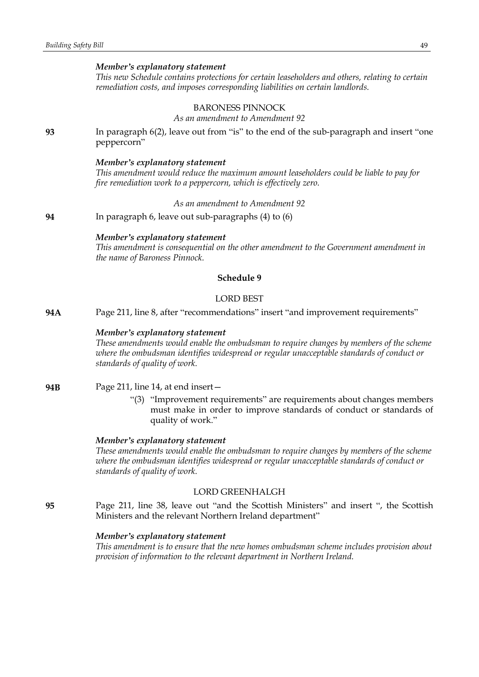#### *Member's explanatory statement*

*This new Schedule contains protections for certain leaseholders and others, relating to certain remediation costs, and imposes corresponding liabilities on certain landlords.*

### BARONESS PINNOCK

*As an amendment to Amendment 92*

**93** In paragraph 6(2), leave out from "is" to the end of the sub-paragraph and insert "one peppercorn"

#### *Member's explanatory statement*

*This amendment would reduce the maximum amount leaseholders could be liable to pay for fire remediation work to a peppercorn, which is effectively zero.*

*As an amendment to Amendment 92*

**94** In paragraph 6, leave out sub-paragraphs (4) to (6)

## *Member's explanatory statement*

*This amendment is consequential on the other amendment to the Government amendment in the name of Baroness Pinnock.*

# **Schedule 9**

### LORD BEST

**94A** Page 211, line 8, after "recommendations" insert "and improvement requirements"

## *Member's explanatory statement*

*These amendments would enable the ombudsman to require changes by members of the scheme where the ombudsman identifies widespread or regular unacceptable standards of conduct or standards of quality of work.*

- **94B** Page 211, line 14, at end insert—
	- "(3) "Improvement requirements" are requirements about changes members must make in order to improve standards of conduct or standards of quality of work."

#### *Member's explanatory statement*

*These amendments would enable the ombudsman to require changes by members of the scheme where the ombudsman identifies widespread or regular unacceptable standards of conduct or standards of quality of work.*

## LORD GREENHALGH

**95** Page 211, line 38, leave out "and the Scottish Ministers" and insert ", the Scottish Ministers and the relevant Northern Ireland department"

## *Member's explanatory statement*

*This amendment is to ensure that the new homes ombudsman scheme includes provision about provision of information to the relevant department in Northern Ireland.*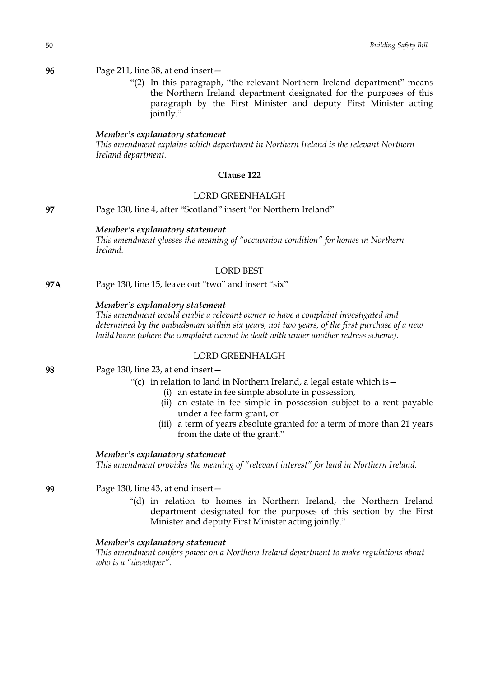**96** Page 211, line 38, at end insert—

"(2) In this paragraph, "the relevant Northern Ireland department" means the Northern Ireland department designated for the purposes of this paragraph by the First Minister and deputy First Minister acting jointly."

#### *Member's explanatory statement*

*This amendment explains which department in Northern Ireland is the relevant Northern Ireland department.*

## **Clause 122**

#### LORD GREENHALGH

**97** Page 130, line 4, after "Scotland" insert "or Northern Ireland"

### *Member's explanatory statement*

*This amendment glosses the meaning of "occupation condition" for homes in Northern Ireland.*

## LORD BEST

**97A** Page 130, line 15, leave out "two" and insert "six"

# *Member's explanatory statement*

*This amendment would enable a relevant owner to have a complaint investigated and determined by the ombudsman within six years, not two years, of the first purchase of a new build home (where the complaint cannot be dealt with under another redress scheme).*

# LORD GREENHALGH

**98** Page 130, line 23, at end insert—

- "(c) in relation to land in Northern Ireland, a legal estate which is  $-$ 
	- (i) an estate in fee simple absolute in possession,
	- (ii) an estate in fee simple in possession subject to a rent payable under a fee farm grant, or
	- (iii) a term of years absolute granted for a term of more than 21 years from the date of the grant."

## *Member's explanatory statement*

*This amendment provides the meaning of "relevant interest" for land in Northern Ireland.*

**99** Page 130, line 43, at end insert—

"(d) in relation to homes in Northern Ireland, the Northern Ireland department designated for the purposes of this section by the First Minister and deputy First Minister acting jointly."

### *Member's explanatory statement*

*This amendment confers power on a Northern Ireland department to make regulations about who is a "developer".*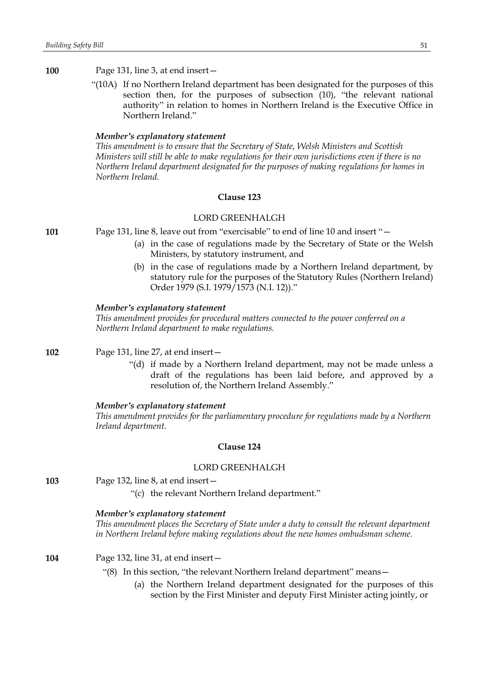"(10A) If no Northern Ireland department has been designated for the purposes of this section then, for the purposes of subsection (10), "the relevant national authority" in relation to homes in Northern Ireland is the Executive Office in Northern Ireland."

### *Member's explanatory statement*

*This amendment is to ensure that the Secretary of State, Welsh Ministers and Scottish Ministers will still be able to make regulations for their own jurisdictions even if there is no Northern Ireland department designated for the purposes of making regulations for homes in Northern Ireland.*

## **Clause 123**

## LORD GREENHALGH

**101** Page 131, line 8, leave out from "exercisable" to end of line 10 and insert "—

- (a) in the case of regulations made by the Secretary of State or the Welsh Ministers, by statutory instrument, and
- (b) in the case of regulations made by a Northern Ireland department, by statutory rule for the purposes of the Statutory Rules (Northern Ireland) Order 1979 (S.I. 1979/1573 (N.I. 12))."

#### *Member's explanatory statement*

*This amendment provides for procedural matters connected to the power conferred on a Northern Ireland department to make regulations.*

**102** Page 131, line 27, at end insert—

"(d) if made by a Northern Ireland department, may not be made unless a draft of the regulations has been laid before, and approved by a resolution of, the Northern Ireland Assembly."

#### *Member's explanatory statement*

*This amendment provides for the parliamentary procedure for regulations made by a Northern Ireland department.*

#### **Clause 124**

#### LORD GREENHALGH

**103** Page 132, line 8, at end insert—

#### *Member's explanatory statement*

*This amendment places the Secretary of State under a duty to consult the relevant department in Northern Ireland before making regulations about the new homes ombudsman scheme.*

#### **104** Page 132, line 31, at end insert—

- "(8) In this section, "the relevant Northern Ireland department" means—
	- (a) the Northern Ireland department designated for the purposes of this section by the First Minister and deputy First Minister acting jointly, or

<sup>&</sup>quot;(c) the relevant Northern Ireland department."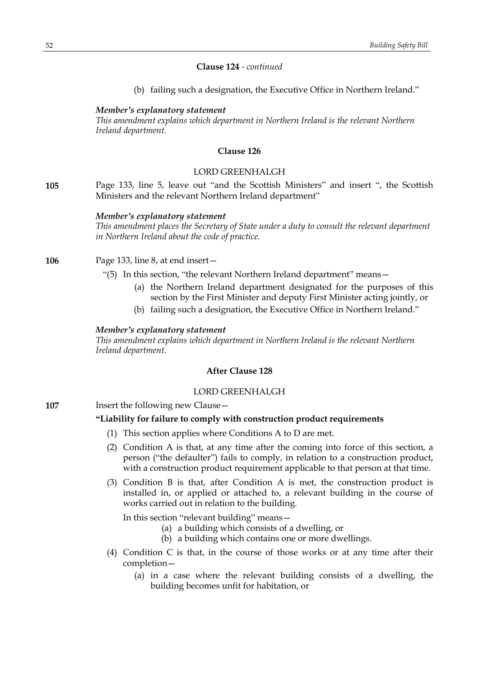#### **Clause 124** *- continued*

(b) failing such a designation, the Executive Office in Northern Ireland."

### *Member's explanatory statement*

*This amendment explains which department in Northern Ireland is the relevant Northern Ireland department.*

#### **Clause 126**

## LORD GREENHALGH

**105** Page 133, line 5, leave out "and the Scottish Ministers" and insert ", the Scottish Ministers and the relevant Northern Ireland department"

#### *Member's explanatory statement*

*This amendment places the Secretary of State under a duty to consult the relevant department in Northern Ireland about the code of practice.*

## **106** Page 133, line 8, at end insert—

- "(5) In this section, "the relevant Northern Ireland department" means—
	- (a) the Northern Ireland department designated for the purposes of this section by the First Minister and deputy First Minister acting jointly, or
	- (b) failing such a designation, the Executive Office in Northern Ireland."

#### *Member's explanatory statement*

*This amendment explains which department in Northern Ireland is the relevant Northern Ireland department.*

# **After Clause 128**

## LORD GREENHALGH

**107** Insert the following new Clause -

## **"Liability for failure to comply with construction product requirements**

- (1) This section applies where Conditions A to D are met.
- (2) Condition A is that, at any time after the coming into force of this section, a person ("the defaulter") fails to comply, in relation to a construction product, with a construction product requirement applicable to that person at that time.
- (3) Condition B is that, after Condition A is met, the construction product is installed in, or applied or attached to, a relevant building in the course of works carried out in relation to the building.

In this section "relevant building" means—

- (a) a building which consists of a dwelling, or
- (b) a building which contains one or more dwellings.
- (4) Condition C is that, in the course of those works or at any time after their completion—
	- (a) in a case where the relevant building consists of a dwelling, the building becomes unfit for habitation, or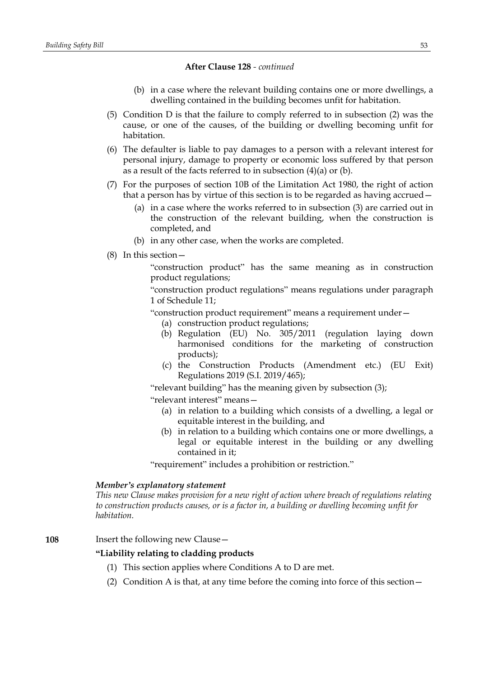- (b) in a case where the relevant building contains one or more dwellings, a dwelling contained in the building becomes unfit for habitation.
- (5) Condition D is that the failure to comply referred to in subsection (2) was the cause, or one of the causes, of the building or dwelling becoming unfit for habitation.
- (6) The defaulter is liable to pay damages to a person with a relevant interest for personal injury, damage to property or economic loss suffered by that person as a result of the facts referred to in subsection (4)(a) or (b).
- (7) For the purposes of section 10B of the Limitation Act 1980, the right of action that a person has by virtue of this section is to be regarded as having accrued—
	- (a) in a case where the works referred to in subsection (3) are carried out in the construction of the relevant building, when the construction is completed, and
	- (b) in any other case, when the works are completed.
- (8) In this section—

"construction product" has the same meaning as in construction product regulations;

"construction product regulations" means regulations under paragraph 1 of Schedule 11;

"construction product requirement" means a requirement under—

- (a) construction product regulations;
- (b) Regulation (EU) No. 305/2011 (regulation laying down harmonised conditions for the marketing of construction products);
- (c) the Construction Products (Amendment etc.) (EU Exit) Regulations 2019 (S.I. 2019/465);

"relevant building" has the meaning given by subsection (3);

"relevant interest" means—

- (a) in relation to a building which consists of a dwelling, a legal or equitable interest in the building, and
- (b) in relation to a building which contains one or more dwellings, a legal or equitable interest in the building or any dwelling contained in it;

"requirement" includes a prohibition or restriction."

## *Member's explanatory statement*

*This new Clause makes provision for a new right of action where breach of regulations relating to construction products causes, or is a factor in, a building or dwelling becoming unfit for habitation.*

## **108** Insert the following new Clause—

### **"Liability relating to cladding products**

- (1) This section applies where Conditions A to D are met.
- (2) Condition A is that, at any time before the coming into force of this section—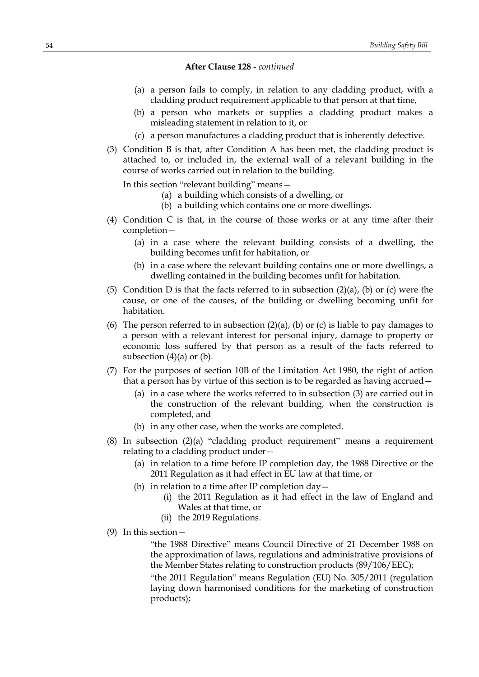- (a) a person fails to comply, in relation to any cladding product, with a cladding product requirement applicable to that person at that time,
- (b) a person who markets or supplies a cladding product makes a misleading statement in relation to it, or
- (c) a person manufactures a cladding product that is inherently defective.
- (3) Condition B is that, after Condition A has been met, the cladding product is attached to, or included in, the external wall of a relevant building in the course of works carried out in relation to the building.

In this section "relevant building" means—

- (a) a building which consists of a dwelling, or
- (b) a building which contains one or more dwellings.
- (4) Condition C is that, in the course of those works or at any time after their completion—
	- (a) in a case where the relevant building consists of a dwelling, the building becomes unfit for habitation, or
	- (b) in a case where the relevant building contains one or more dwellings, a dwelling contained in the building becomes unfit for habitation.
- (5) Condition D is that the facts referred to in subsection  $(2)(a)$ ,  $(b)$  or  $(c)$  were the cause, or one of the causes, of the building or dwelling becoming unfit for habitation.
- (6) The person referred to in subsection  $(2)(a)$ ,  $(b)$  or  $(c)$  is liable to pay damages to a person with a relevant interest for personal injury, damage to property or economic loss suffered by that person as a result of the facts referred to subsection  $(4)(a)$  or  $(b)$ .
- (7) For the purposes of section 10B of the Limitation Act 1980, the right of action that a person has by virtue of this section is to be regarded as having accrued—
	- (a) in a case where the works referred to in subsection (3) are carried out in the construction of the relevant building, when the construction is completed, and
	- (b) in any other case, when the works are completed.
- (8) In subsection (2)(a) "cladding product requirement" means a requirement relating to a cladding product under—
	- (a) in relation to a time before IP completion day, the 1988 Directive or the 2011 Regulation as it had effect in EU law at that time, or
	- (b) in relation to a time after IP completion  $day -$ 
		- (i) the 2011 Regulation as it had effect in the law of England and Wales at that time, or
		- (ii) the 2019 Regulations.
- (9) In this section—

"the 1988 Directive" means Council Directive of 21 December 1988 on the approximation of laws, regulations and administrative provisions of the Member States relating to construction products (89/106/EEC);

"the 2011 Regulation" means Regulation (EU) No. 305/2011 (regulation laying down harmonised conditions for the marketing of construction products);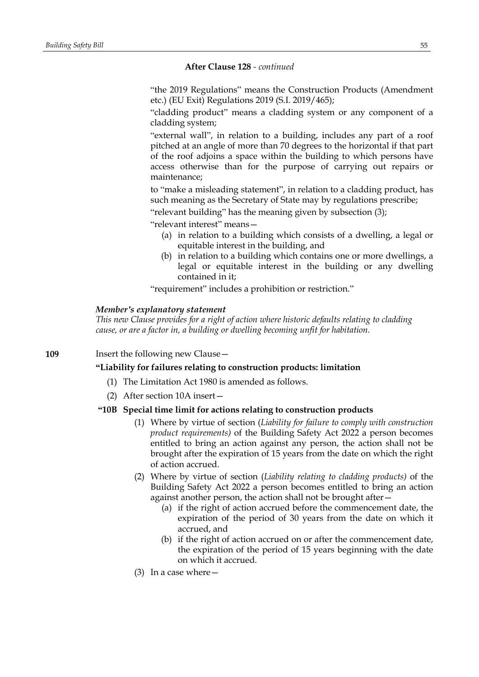"the 2019 Regulations" means the Construction Products (Amendment etc.) (EU Exit) Regulations 2019 (S.I. 2019/465);

"cladding product" means a cladding system or any component of a cladding system;

"external wall", in relation to a building, includes any part of a roof pitched at an angle of more than 70 degrees to the horizontal if that part of the roof adjoins a space within the building to which persons have access otherwise than for the purpose of carrying out repairs or maintenance;

to "make a misleading statement", in relation to a cladding product, has such meaning as the Secretary of State may by regulations prescribe;

"relevant building" has the meaning given by subsection (3);

"relevant interest" means—

- (a) in relation to a building which consists of a dwelling, a legal or equitable interest in the building, and
- (b) in relation to a building which contains one or more dwellings, a legal or equitable interest in the building or any dwelling contained in it;

"requirement" includes a prohibition or restriction."

#### *Member's explanatory statement*

*This new Clause provides for a right of action where historic defaults relating to cladding cause, or are a factor in, a building or dwelling becoming unfit for habitation.*

**109** Insert the following new Clause –

**"Liability for failures relating to construction products: limitation**

- (1) The Limitation Act 1980 is amended as follows.
- (2) After section 10A insert—

## **"10B Special time limit for actions relating to construction products**

- (1) Where by virtue of section (*Liability for failure to comply with construction product requirements)* of the Building Safety Act 2022 a person becomes entitled to bring an action against any person, the action shall not be brought after the expiration of 15 years from the date on which the right of action accrued.
- (2) Where by virtue of section (*Liability relating to cladding products)* of the Building Safety Act 2022 a person becomes entitled to bring an action against another person, the action shall not be brought after—
	- (a) if the right of action accrued before the commencement date, the expiration of the period of 30 years from the date on which it accrued, and
	- (b) if the right of action accrued on or after the commencement date, the expiration of the period of 15 years beginning with the date on which it accrued.
- (3) In a case where  $-$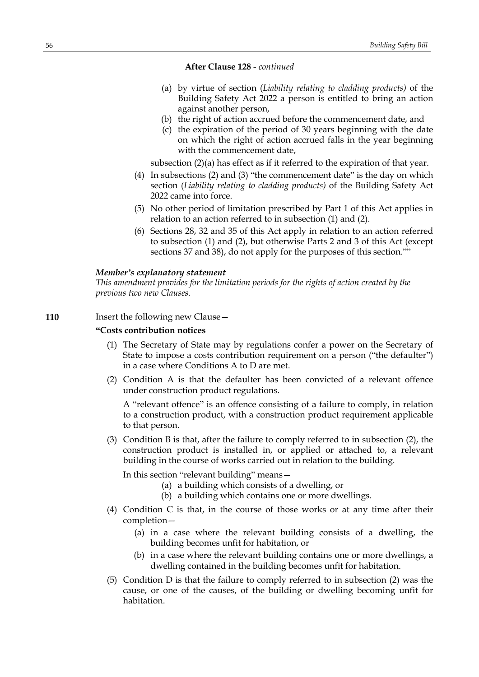- (a) by virtue of section (*Liability relating to cladding products)* of the Building Safety Act 2022 a person is entitled to bring an action against another person,
- (b) the right of action accrued before the commencement date, and
- (c) the expiration of the period of 30 years beginning with the date on which the right of action accrued falls in the year beginning with the commencement date,

subsection (2)(a) has effect as if it referred to the expiration of that year.

- (4) In subsections (2) and (3) "the commencement date" is the day on which section (*Liability relating to cladding products)* of the Building Safety Act 2022 came into force.
- (5) No other period of limitation prescribed by Part 1 of this Act applies in relation to an action referred to in subsection (1) and (2).
- (6) Sections 28, 32 and 35 of this Act apply in relation to an action referred to subsection (1) and (2), but otherwise Parts 2 and 3 of this Act (except sections 37 and 38), do not apply for the purposes of this section.""

#### *Member's explanatory statement*

*This amendment provides for the limitation periods for the rights of action created by the previous two new Clauses.*

## **110** Insert the following new Clause -

# **"Costs contribution notices**

- (1) The Secretary of State may by regulations confer a power on the Secretary of State to impose a costs contribution requirement on a person ("the defaulter") in a case where Conditions A to D are met.
- (2) Condition A is that the defaulter has been convicted of a relevant offence under construction product regulations.

A "relevant offence" is an offence consisting of a failure to comply, in relation to a construction product, with a construction product requirement applicable to that person.

(3) Condition B is that, after the failure to comply referred to in subsection (2), the construction product is installed in, or applied or attached to, a relevant building in the course of works carried out in relation to the building.

In this section "relevant building" means—

- (a) a building which consists of a dwelling, or
- (b) a building which contains one or more dwellings.
- (4) Condition C is that, in the course of those works or at any time after their completion—
	- (a) in a case where the relevant building consists of a dwelling, the building becomes unfit for habitation, or
	- (b) in a case where the relevant building contains one or more dwellings, a dwelling contained in the building becomes unfit for habitation.
- (5) Condition D is that the failure to comply referred to in subsection (2) was the cause, or one of the causes, of the building or dwelling becoming unfit for habitation.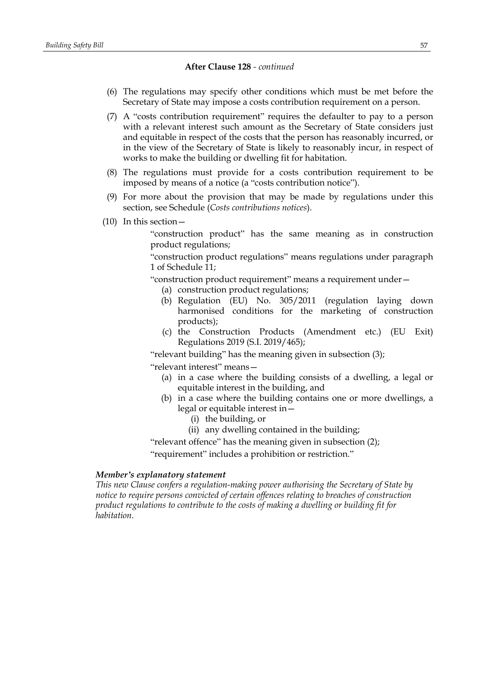- (6) The regulations may specify other conditions which must be met before the Secretary of State may impose a costs contribution requirement on a person.
- (7) A "costs contribution requirement" requires the defaulter to pay to a person with a relevant interest such amount as the Secretary of State considers just and equitable in respect of the costs that the person has reasonably incurred, or in the view of the Secretary of State is likely to reasonably incur, in respect of works to make the building or dwelling fit for habitation.
- (8) The regulations must provide for a costs contribution requirement to be imposed by means of a notice (a "costs contribution notice").
- (9) For more about the provision that may be made by regulations under this section, see Schedule (*Costs contributions notices*).
- (10) In this section—

"construction product" has the same meaning as in construction product regulations;

"construction product regulations" means regulations under paragraph 1 of Schedule 11;

"construction product requirement" means a requirement under—

- (a) construction product regulations;
- (b) Regulation (EU) No. 305/2011 (regulation laying down harmonised conditions for the marketing of construction products);
- (c) the Construction Products (Amendment etc.) (EU Exit) Regulations 2019 (S.I. 2019/465);

"relevant building" has the meaning given in subsection (3); "relevant interest" means—

- (a) in a case where the building consists of a dwelling, a legal or equitable interest in the building, and
- (b) in a case where the building contains one or more dwellings, a legal or equitable interest in—
	- (i) the building, or
	- (ii) any dwelling contained in the building;

"relevant offence" has the meaning given in subsection (2);

"requirement" includes a prohibition or restriction."

## *Member's explanatory statement*

*This new Clause confers a regulation-making power authorising the Secretary of State by notice to require persons convicted of certain offences relating to breaches of construction product regulations to contribute to the costs of making a dwelling or building fit for habitation.*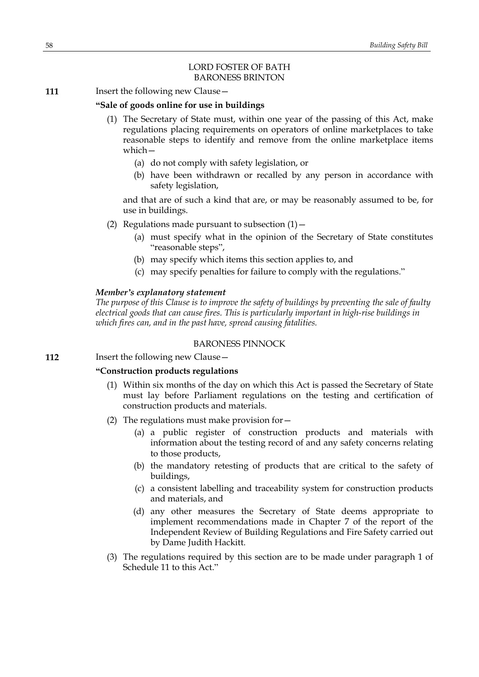## LORD FOSTER OF BATH BARONESS BRINTON

**111** Insert the following new Clause -

## **"Sale of goods online for use in buildings**

- (1) The Secretary of State must, within one year of the passing of this Act, make regulations placing requirements on operators of online marketplaces to take reasonable steps to identify and remove from the online marketplace items which—
	- (a) do not comply with safety legislation, or
	- (b) have been withdrawn or recalled by any person in accordance with safety legislation,

and that are of such a kind that are, or may be reasonably assumed to be, for use in buildings.

- (2) Regulations made pursuant to subsection  $(1)$  -
	- (a) must specify what in the opinion of the Secretary of State constitutes "reasonable steps",
	- (b) may specify which items this section applies to, and
	- (c) may specify penalties for failure to comply with the regulations."

### *Member's explanatory statement*

*The purpose of this Clause is to improve the safety of buildings by preventing the sale of faulty electrical goods that can cause fires. This is particularly important in high-rise buildings in which fires can, and in the past have, spread causing fatalities.*

### BARONESS PINNOCK

**112** Insert the following new Clause -

### **"Construction products regulations**

- (1) Within six months of the day on which this Act is passed the Secretary of State must lay before Parliament regulations on the testing and certification of construction products and materials.
- (2) The regulations must make provision for—
	- (a) a public register of construction products and materials with information about the testing record of and any safety concerns relating to those products,
	- (b) the mandatory retesting of products that are critical to the safety of buildings,
	- (c) a consistent labelling and traceability system for construction products and materials, and
	- (d) any other measures the Secretary of State deems appropriate to implement recommendations made in Chapter 7 of the report of the Independent Review of Building Regulations and Fire Safety carried out by Dame Judith Hackitt.
- (3) The regulations required by this section are to be made under paragraph 1 of Schedule 11 to this Act."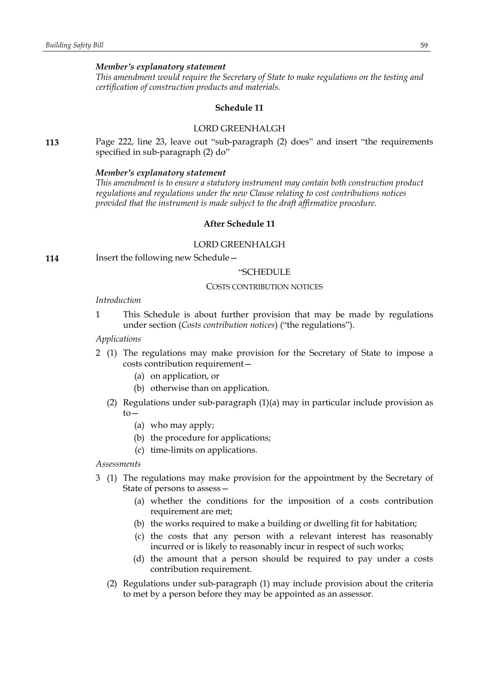#### *Member's explanatory statement*

*This amendment would require the Secretary of State to make regulations on the testing and certification of construction products and materials.*

### **Schedule 11**

## LORD GREENHALGH

**113** Page 222, line 23, leave out "sub-paragraph (2) does" and insert "the requirements specified in sub-paragraph (2) do"

#### *Member's explanatory statement*

*This amendment is to ensure a statutory instrument may contain both construction product regulations and regulations under the new Clause relating to cost contributions notices provided that the instrument is made subject to the draft affirmative procedure.*

## **After Schedule 11**

## LORD GREENHALGH

**114** Insert the following new Schedule—

#### "SCHEDULE

#### COSTS CONTRIBUTION NOTICES

#### *Introduction*

1 This Schedule is about further provision that may be made by regulations under section (*Costs contribution notices*) ("the regulations").

# *Applications*

- 2 (1) The regulations may make provision for the Secretary of State to impose a costs contribution requirement—
	- (a) on application, or
	- (b) otherwise than on application.
	- (2) Regulations under sub-paragraph (1)(a) may in particular include provision as  $to-$ 
		- (a) who may apply;
		- (b) the procedure for applications;
		- (c) time-limits on applications.

*Assessments*

- 3 (1) The regulations may make provision for the appointment by the Secretary of State of persons to assess—
	- (a) whether the conditions for the imposition of a costs contribution requirement are met;
	- (b) the works required to make a building or dwelling fit for habitation;
	- (c) the costs that any person with a relevant interest has reasonably incurred or is likely to reasonably incur in respect of such works;
	- (d) the amount that a person should be required to pay under a costs contribution requirement.
	- (2) Regulations under sub-paragraph (1) may include provision about the criteria to met by a person before they may be appointed as an assessor.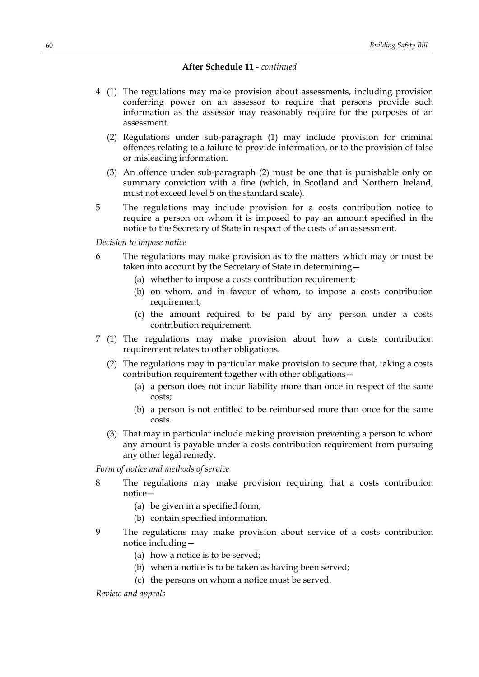- 4 (1) The regulations may make provision about assessments, including provision conferring power on an assessor to require that persons provide such information as the assessor may reasonably require for the purposes of an assessment.
	- (2) Regulations under sub-paragraph (1) may include provision for criminal offences relating to a failure to provide information, or to the provision of false or misleading information.
	- (3) An offence under sub-paragraph (2) must be one that is punishable only on summary conviction with a fine (which, in Scotland and Northern Ireland, must not exceed level 5 on the standard scale).
- 5 The regulations may include provision for a costs contribution notice to require a person on whom it is imposed to pay an amount specified in the notice to the Secretary of State in respect of the costs of an assessment.

*Decision to impose notice*

- 6 The regulations may make provision as to the matters which may or must be taken into account by the Secretary of State in determining—
	- (a) whether to impose a costs contribution requirement;
	- (b) on whom, and in favour of whom, to impose a costs contribution requirement;
	- (c) the amount required to be paid by any person under a costs contribution requirement.
- 7 (1) The regulations may make provision about how a costs contribution requirement relates to other obligations.
	- (2) The regulations may in particular make provision to secure that, taking a costs contribution requirement together with other obligations—
		- (a) a person does not incur liability more than once in respect of the same costs;
		- (b) a person is not entitled to be reimbursed more than once for the same costs.
	- (3) That may in particular include making provision preventing a person to whom any amount is payable under a costs contribution requirement from pursuing any other legal remedy.

*Form of notice and methods of service*

- 8 The regulations may make provision requiring that a costs contribution notice—
	- (a) be given in a specified form;
	- (b) contain specified information.
- 9 The regulations may make provision about service of a costs contribution notice including—
	- (a) how a notice is to be served;
	- (b) when a notice is to be taken as having been served;
	- (c) the persons on whom a notice must be served.

*Review and appeals*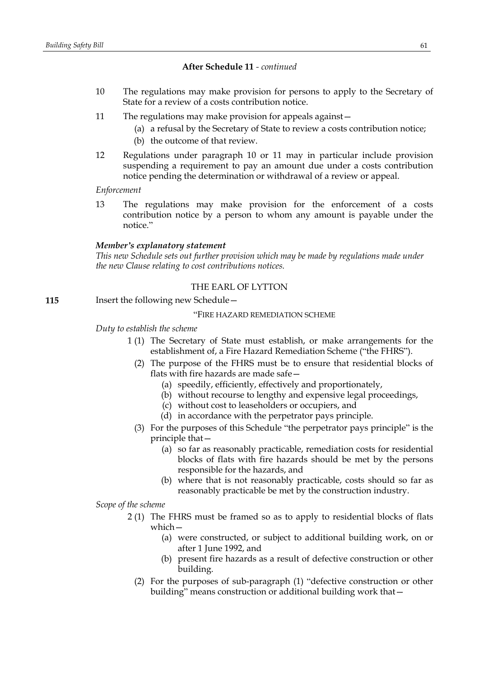- 10 The regulations may make provision for persons to apply to the Secretary of State for a review of a costs contribution notice.
- 11 The regulations may make provision for appeals against—
	- (a) a refusal by the Secretary of State to review a costs contribution notice;
	- (b) the outcome of that review.
- 12 Regulations under paragraph 10 or 11 may in particular include provision suspending a requirement to pay an amount due under a costs contribution notice pending the determination or withdrawal of a review or appeal.

*Enforcement*

13 The regulations may make provision for the enforcement of a costs contribution notice by a person to whom any amount is payable under the notice."

#### *Member's explanatory statement*

*This new Schedule sets out further provision which may be made by regulations made under the new Clause relating to cost contributions notices.*

# THE EARL OF LYTTON

**115** Insert the following new Schedule -

## "FIRE HAZARD REMEDIATION SCHEME

#### *Duty to establish the scheme*

- 1 (1) The Secretary of State must establish, or make arrangements for the establishment of, a Fire Hazard Remediation Scheme ("the FHRS").
	- (2) The purpose of the FHRS must be to ensure that residential blocks of flats with fire hazards are made safe—
		- (a) speedily, efficiently, effectively and proportionately,
		- (b) without recourse to lengthy and expensive legal proceedings,
		- (c) without cost to leaseholders or occupiers, and
		- (d) in accordance with the perpetrator pays principle.
	- (3) For the purposes of this Schedule "the perpetrator pays principle" is the principle that—
		- (a) so far as reasonably practicable, remediation costs for residential blocks of flats with fire hazards should be met by the persons responsible for the hazards, and
		- (b) where that is not reasonably practicable, costs should so far as reasonably practicable be met by the construction industry.

*Scope of the scheme*

- 2 (1) The FHRS must be framed so as to apply to residential blocks of flats which—
	- (a) were constructed, or subject to additional building work, on or after 1 June 1992, and
	- (b) present fire hazards as a result of defective construction or other building.
	- (2) For the purposes of sub-paragraph (1) "defective construction or other building" means construction or additional building work that—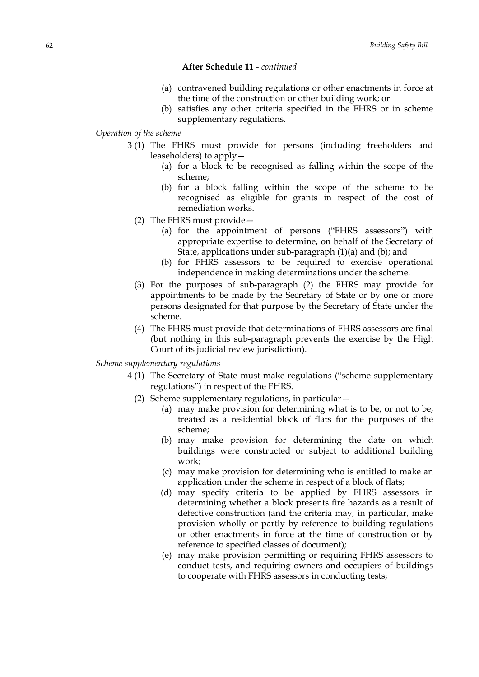- (a) contravened building regulations or other enactments in force at the time of the construction or other building work; or
- (b) satisfies any other criteria specified in the FHRS or in scheme supplementary regulations.

## *Operation of the scheme*

- 3 (1) The FHRS must provide for persons (including freeholders and leaseholders) to apply—
	- (a) for a block to be recognised as falling within the scope of the scheme;
	- (b) for a block falling within the scope of the scheme to be recognised as eligible for grants in respect of the cost of remediation works.
	- (2) The FHRS must provide—
		- (a) for the appointment of persons ("FHRS assessors") with appropriate expertise to determine, on behalf of the Secretary of State, applications under sub-paragraph (1)(a) and (b); and
		- (b) for FHRS assessors to be required to exercise operational independence in making determinations under the scheme.
	- (3) For the purposes of sub-paragraph (2) the FHRS may provide for appointments to be made by the Secretary of State or by one or more persons designated for that purpose by the Secretary of State under the scheme.
	- (4) The FHRS must provide that determinations of FHRS assessors are final (but nothing in this sub-paragraph prevents the exercise by the High Court of its judicial review jurisdiction).

## *Scheme supplementary regulations*

- 4 (1) The Secretary of State must make regulations ("scheme supplementary regulations") in respect of the FHRS.
	- (2) Scheme supplementary regulations, in particular—
		- (a) may make provision for determining what is to be, or not to be, treated as a residential block of flats for the purposes of the scheme;
		- (b) may make provision for determining the date on which buildings were constructed or subject to additional building work;
		- (c) may make provision for determining who is entitled to make an application under the scheme in respect of a block of flats;
		- (d) may specify criteria to be applied by FHRS assessors in determining whether a block presents fire hazards as a result of defective construction (and the criteria may, in particular, make provision wholly or partly by reference to building regulations or other enactments in force at the time of construction or by reference to specified classes of document);
		- (e) may make provision permitting or requiring FHRS assessors to conduct tests, and requiring owners and occupiers of buildings to cooperate with FHRS assessors in conducting tests;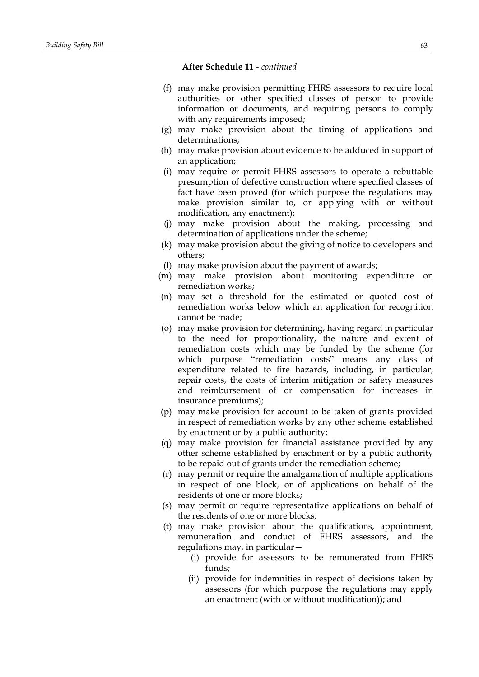- (f) may make provision permitting FHRS assessors to require local authorities or other specified classes of person to provide information or documents, and requiring persons to comply with any requirements imposed;
- (g) may make provision about the timing of applications and determinations;
- (h) may make provision about evidence to be adduced in support of an application;
- (i) may require or permit FHRS assessors to operate a rebuttable presumption of defective construction where specified classes of fact have been proved (for which purpose the regulations may make provision similar to, or applying with or without modification, any enactment);
- (j) may make provision about the making, processing and determination of applications under the scheme;
- (k) may make provision about the giving of notice to developers and others;
- (l) may make provision about the payment of awards;
- (m) may make provision about monitoring expenditure on remediation works;
- (n) may set a threshold for the estimated or quoted cost of remediation works below which an application for recognition cannot be made;
- (o) may make provision for determining, having regard in particular to the need for proportionality, the nature and extent of remediation costs which may be funded by the scheme (for which purpose "remediation costs" means any class of expenditure related to fire hazards, including, in particular, repair costs, the costs of interim mitigation or safety measures and reimbursement of or compensation for increases in insurance premiums);
- (p) may make provision for account to be taken of grants provided in respect of remediation works by any other scheme established by enactment or by a public authority;
- (q) may make provision for financial assistance provided by any other scheme established by enactment or by a public authority to be repaid out of grants under the remediation scheme;
- (r) may permit or require the amalgamation of multiple applications in respect of one block, or of applications on behalf of the residents of one or more blocks;
- (s) may permit or require representative applications on behalf of the residents of one or more blocks;
- (t) may make provision about the qualifications, appointment, remuneration and conduct of FHRS assessors, and the regulations may, in particular—
	- (i) provide for assessors to be remunerated from FHRS funds;
	- (ii) provide for indemnities in respect of decisions taken by assessors (for which purpose the regulations may apply an enactment (with or without modification)); and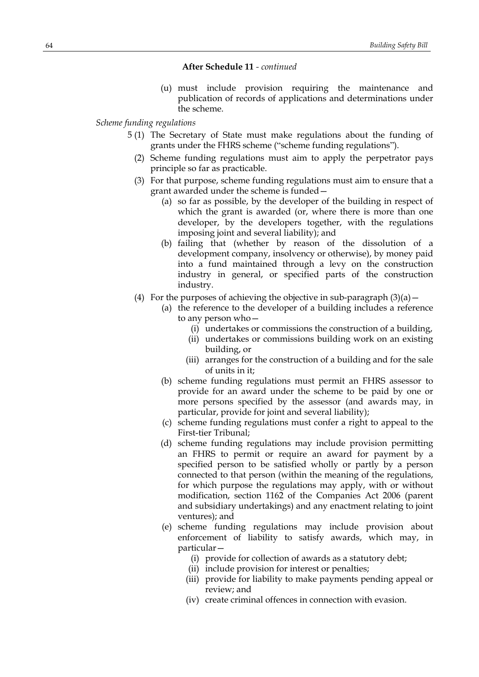(u) must include provision requiring the maintenance and publication of records of applications and determinations under the scheme.

## *Scheme funding regulations*

- 5 (1) The Secretary of State must make regulations about the funding of grants under the FHRS scheme ("scheme funding regulations").
	- (2) Scheme funding regulations must aim to apply the perpetrator pays principle so far as practicable.
	- (3) For that purpose, scheme funding regulations must aim to ensure that a grant awarded under the scheme is funded—
		- (a) so far as possible, by the developer of the building in respect of which the grant is awarded (or, where there is more than one developer, by the developers together, with the regulations imposing joint and several liability); and
		- (b) failing that (whether by reason of the dissolution of a development company, insolvency or otherwise), by money paid into a fund maintained through a levy on the construction industry in general, or specified parts of the construction industry.
	- (4) For the purposes of achieving the objective in sub-paragraph  $(3)(a)$  -
		- (a) the reference to the developer of a building includes a reference to any person who—
			- (i) undertakes or commissions the construction of a building,
			- (ii) undertakes or commissions building work on an existing building, or
			- (iii) arranges for the construction of a building and for the sale of units in it;
		- (b) scheme funding regulations must permit an FHRS assessor to provide for an award under the scheme to be paid by one or more persons specified by the assessor (and awards may, in particular, provide for joint and several liability);
		- (c) scheme funding regulations must confer a right to appeal to the First-tier Tribunal;
		- (d) scheme funding regulations may include provision permitting an FHRS to permit or require an award for payment by a specified person to be satisfied wholly or partly by a person connected to that person (within the meaning of the regulations, for which purpose the regulations may apply, with or without modification, section 1162 of the Companies Act 2006 (parent and subsidiary undertakings) and any enactment relating to joint ventures); and
		- (e) scheme funding regulations may include provision about enforcement of liability to satisfy awards, which may, in particular—
			- (i) provide for collection of awards as a statutory debt;
			- (ii) include provision for interest or penalties;
			- (iii) provide for liability to make payments pending appeal or review; and
			- (iv) create criminal offences in connection with evasion.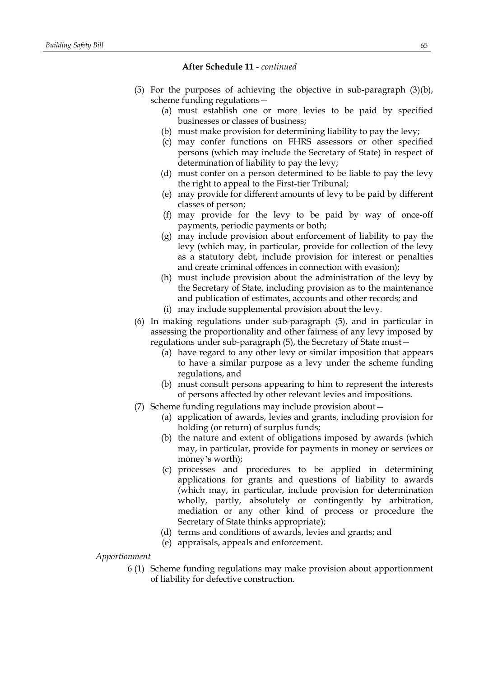- (5) For the purposes of achieving the objective in sub-paragraph (3)(b), scheme funding regulations—
	- (a) must establish one or more levies to be paid by specified businesses or classes of business;
	- (b) must make provision for determining liability to pay the levy;
	- (c) may confer functions on FHRS assessors or other specified persons (which may include the Secretary of State) in respect of determination of liability to pay the levy;
	- (d) must confer on a person determined to be liable to pay the levy the right to appeal to the First-tier Tribunal;
	- (e) may provide for different amounts of levy to be paid by different classes of person;
	- (f) may provide for the levy to be paid by way of once-off payments, periodic payments or both;
	- (g) may include provision about enforcement of liability to pay the levy (which may, in particular, provide for collection of the levy as a statutory debt, include provision for interest or penalties and create criminal offences in connection with evasion);
	- (h) must include provision about the administration of the levy by the Secretary of State, including provision as to the maintenance and publication of estimates, accounts and other records; and
	- (i) may include supplemental provision about the levy.
- (6) In making regulations under sub-paragraph (5), and in particular in assessing the proportionality and other fairness of any levy imposed by regulations under sub-paragraph (5), the Secretary of State must—
	- (a) have regard to any other levy or similar imposition that appears to have a similar purpose as a levy under the scheme funding regulations, and
	- (b) must consult persons appearing to him to represent the interests of persons affected by other relevant levies and impositions.
- (7) Scheme funding regulations may include provision about—
	- (a) application of awards, levies and grants, including provision for holding (or return) of surplus funds;
	- (b) the nature and extent of obligations imposed by awards (which may, in particular, provide for payments in money or services or money's worth);
	- (c) processes and procedures to be applied in determining applications for grants and questions of liability to awards (which may, in particular, include provision for determination wholly, partly, absolutely or contingently by arbitration, mediation or any other kind of process or procedure the Secretary of State thinks appropriate);
	- (d) terms and conditions of awards, levies and grants; and
	- (e) appraisals, appeals and enforcement.

*Apportionment*

6 (1) Scheme funding regulations may make provision about apportionment of liability for defective construction.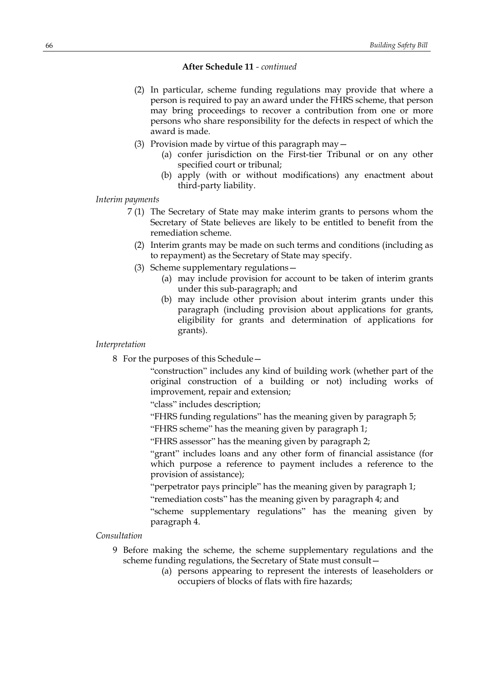- (2) In particular, scheme funding regulations may provide that where a person is required to pay an award under the FHRS scheme, that person may bring proceedings to recover a contribution from one or more persons who share responsibility for the defects in respect of which the award is made.
- (3) Provision made by virtue of this paragraph may—
	- (a) confer jurisdiction on the First-tier Tribunal or on any other specified court or tribunal;
	- (b) apply (with or without modifications) any enactment about third-party liability.

### *Interim payments*

- 7 (1) The Secretary of State may make interim grants to persons whom the Secretary of State believes are likely to be entitled to benefit from the remediation scheme.
	- (2) Interim grants may be made on such terms and conditions (including as to repayment) as the Secretary of State may specify.
	- (3) Scheme supplementary regulations—
		- (a) may include provision for account to be taken of interim grants under this sub-paragraph; and
		- (b) may include other provision about interim grants under this paragraph (including provision about applications for grants, eligibility for grants and determination of applications for grants).

#### *Interpretation*

8 For the purposes of this Schedule—

"construction" includes any kind of building work (whether part of the original construction of a building or not) including works of improvement, repair and extension;

"class" includes description;

- "FHRS funding regulations" has the meaning given by paragraph 5;
- "FHRS scheme" has the meaning given by paragraph 1;

"FHRS assessor" has the meaning given by paragraph 2;

"grant" includes loans and any other form of financial assistance (for which purpose a reference to payment includes a reference to the provision of assistance);

"perpetrator pays principle" has the meaning given by paragraph 1;

"remediation costs" has the meaning given by paragraph 4; and

"scheme supplementary regulations" has the meaning given by paragraph 4.

## *Consultation*

- 9 Before making the scheme, the scheme supplementary regulations and the scheme funding regulations, the Secretary of State must consult—
	- (a) persons appearing to represent the interests of leaseholders or occupiers of blocks of flats with fire hazards;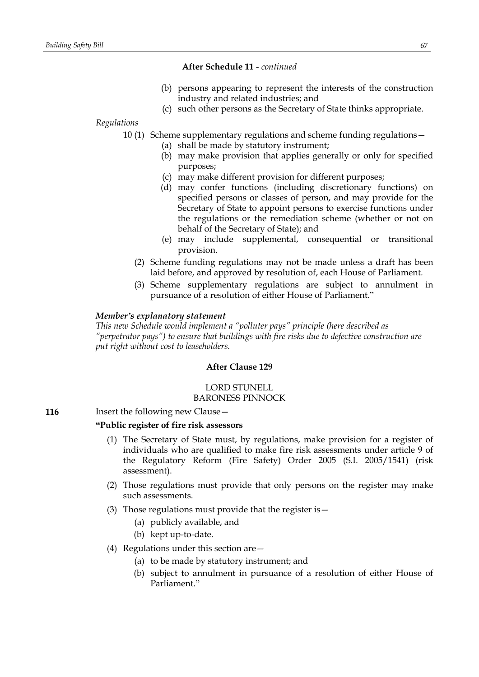- (b) persons appearing to represent the interests of the construction industry and related industries; and
- (c) such other persons as the Secretary of State thinks appropriate.

*Regulations*

10 (1) Scheme supplementary regulations and scheme funding regulations—

- (a) shall be made by statutory instrument;
- (b) may make provision that applies generally or only for specified purposes;
- (c) may make different provision for different purposes;
- (d) may confer functions (including discretionary functions) on specified persons or classes of person, and may provide for the Secretary of State to appoint persons to exercise functions under the regulations or the remediation scheme (whether or not on behalf of the Secretary of State); and
- (e) may include supplemental, consequential or transitional provision.
- (2) Scheme funding regulations may not be made unless a draft has been laid before, and approved by resolution of, each House of Parliament.
- (3) Scheme supplementary regulations are subject to annulment in pursuance of a resolution of either House of Parliament."

### *Member's explanatory statement*

*This new Schedule would implement a "polluter pays" principle (here described as "perpetrator pays") to ensure that buildings with fire risks due to defective construction are put right without cost to leaseholders.*

## **After Clause 129**

#### LORD STUNELL BARONESS PINNOCK

**116** Insert the following new Clause -

#### **"Public register of fire risk assessors**

- (1) The Secretary of State must, by regulations, make provision for a register of individuals who are qualified to make fire risk assessments under article 9 of the Regulatory Reform (Fire Safety) Order 2005 (S.I. 2005/1541) (risk assessment).
- (2) Those regulations must provide that only persons on the register may make such assessments.
- (3) Those regulations must provide that the register is—
	- (a) publicly available, and
	- (b) kept up-to-date.
- (4) Regulations under this section are—
	- (a) to be made by statutory instrument; and
	- (b) subject to annulment in pursuance of a resolution of either House of Parliament."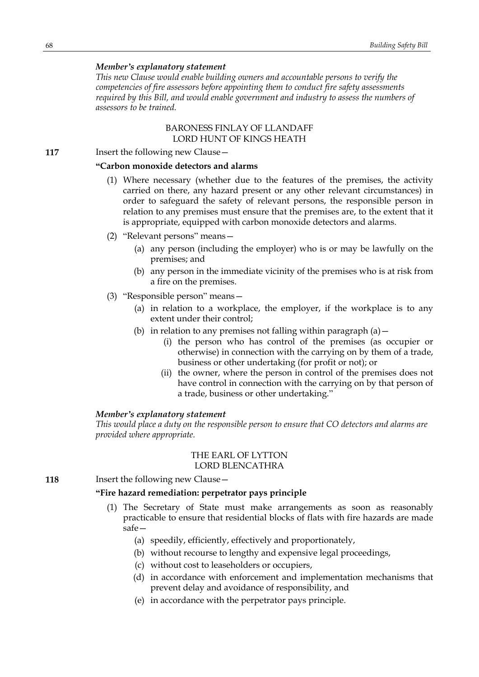### *Member's explanatory statement*

*This new Clause would enable building owners and accountable persons to verify the competencies of fire assessors before appointing them to conduct fire safety assessments required by this Bill, and would enable government and industry to assess the numbers of assessors to be trained.*

## BARONESS FINLAY OF LLANDAFF LORD HUNT OF KINGS HEATH

**117** Insert the following new Clause -

# **"Carbon monoxide detectors and alarms**

- (1) Where necessary (whether due to the features of the premises, the activity carried on there, any hazard present or any other relevant circumstances) in order to safeguard the safety of relevant persons, the responsible person in relation to any premises must ensure that the premises are, to the extent that it is appropriate, equipped with carbon monoxide detectors and alarms.
- (2) "Relevant persons" means—
	- (a) any person (including the employer) who is or may be lawfully on the premises; and
	- (b) any person in the immediate vicinity of the premises who is at risk from a fire on the premises.
- (3) "Responsible person" means—
	- (a) in relation to a workplace, the employer, if the workplace is to any extent under their control;
	- (b) in relation to any premises not falling within paragraph  $(a)$  -
		- (i) the person who has control of the premises (as occupier or otherwise) in connection with the carrying on by them of a trade, business or other undertaking (for profit or not); or
		- (ii) the owner, where the person in control of the premises does not have control in connection with the carrying on by that person of a trade, business or other undertaking."

#### *Member's explanatory statement*

*This would place a duty on the responsible person to ensure that CO detectors and alarms are provided where appropriate.*

## THE EARL OF LYTTON LORD BLENCATHRA

**118** Insert the following new Clause -

## **"Fire hazard remediation: perpetrator pays principle**

- (1) The Secretary of State must make arrangements as soon as reasonably practicable to ensure that residential blocks of flats with fire hazards are made safe—
	- (a) speedily, efficiently, effectively and proportionately,
	- (b) without recourse to lengthy and expensive legal proceedings,
	- (c) without cost to leaseholders or occupiers,
	- (d) in accordance with enforcement and implementation mechanisms that prevent delay and avoidance of responsibility, and
	- (e) in accordance with the perpetrator pays principle.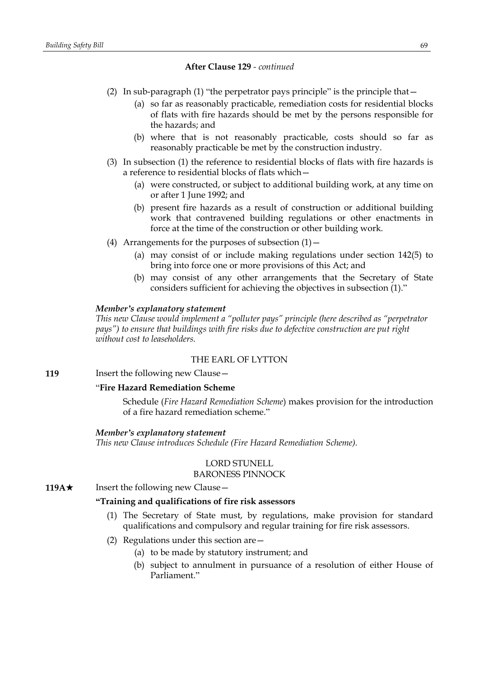- (2) In sub-paragraph (1) "the perpetrator pays principle" is the principle that—
	- (a) so far as reasonably practicable, remediation costs for residential blocks of flats with fire hazards should be met by the persons responsible for the hazards; and
	- (b) where that is not reasonably practicable, costs should so far as reasonably practicable be met by the construction industry.
- (3) In subsection (1) the reference to residential blocks of flats with fire hazards is a reference to residential blocks of flats which—
	- (a) were constructed, or subject to additional building work, at any time on or after 1 June 1992; and
	- (b) present fire hazards as a result of construction or additional building work that contravened building regulations or other enactments in force at the time of the construction or other building work.
- (4) Arrangements for the purposes of subsection  $(1)$  -
	- (a) may consist of or include making regulations under section 142(5) to bring into force one or more provisions of this Act; and
	- (b) may consist of any other arrangements that the Secretary of State considers sufficient for achieving the objectives in subsection (1)."

### *Member's explanatory statement*

*This new Clause would implement a "polluter pays" principle (here described as "perpetrator pays") to ensure that buildings with fire risks due to defective construction are put right without cost to leaseholders.*

# THE EARL OF LYTTON

**119** Insert the following new Clause -

#### "**Fire Hazard Remediation Scheme**

Schedule (*Fire Hazard Remediation Scheme*) makes provision for the introduction of a fire hazard remediation scheme."

#### *Member's explanatory statement*

*This new Clause introduces Schedule (Fire Hazard Remediation Scheme).*

## LORD STUNELL BARONESS PINNOCK

**119A**★ Insert the following new Clause —

## **"Training and qualifications of fire risk assessors**

- (1) The Secretary of State must, by regulations, make provision for standard qualifications and compulsory and regular training for fire risk assessors.
- (2) Regulations under this section are—
	- (a) to be made by statutory instrument; and
	- (b) subject to annulment in pursuance of a resolution of either House of Parliament."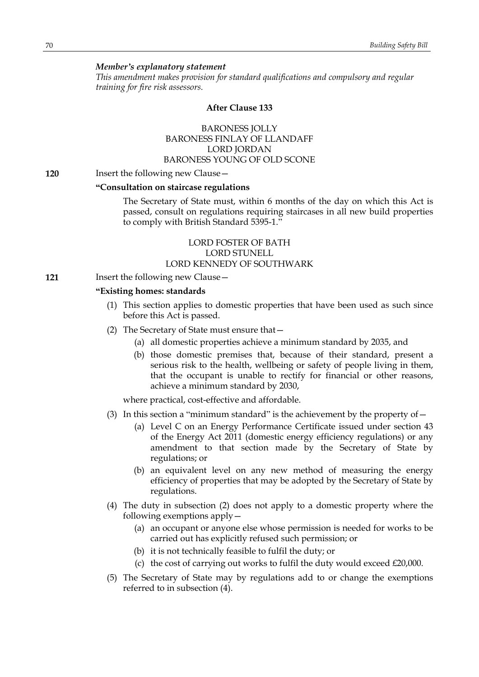#### *Member's explanatory statement*

*This amendment makes provision for standard qualifications and compulsory and regular training for fire risk assessors.*

#### **After Clause 133**

# BARONESS JOLLY BARONESS FINLAY OF LLANDAFF LORD JORDAN BARONESS YOUNG OF OLD SCONE

#### **120** Insert the following new Clause—

#### **"Consultation on staircase regulations**

The Secretary of State must, within 6 months of the day on which this Act is passed, consult on regulations requiring staircases in all new build properties to comply with British Standard 5395-1."

# LORD FOSTER OF BATH LORD STUNELL LORD KENNEDY OF SOUTHWARK

**121** Insert the following new Clause—

### **"Existing homes: standards**

- (1) This section applies to domestic properties that have been used as such since before this Act is passed.
- (2) The Secretary of State must ensure that—
	- (a) all domestic properties achieve a minimum standard by 2035, and
	- (b) those domestic premises that, because of their standard, present a serious risk to the health, wellbeing or safety of people living in them, that the occupant is unable to rectify for financial or other reasons, achieve a minimum standard by 2030,

where practical, cost-effective and affordable.

- (3) In this section a "minimum standard" is the achievement by the property of  $-$ 
	- (a) Level C on an Energy Performance Certificate issued under section 43 of the Energy Act 2011 (domestic energy efficiency regulations) or any amendment to that section made by the Secretary of State by regulations; or
	- (b) an equivalent level on any new method of measuring the energy efficiency of properties that may be adopted by the Secretary of State by regulations.
- (4) The duty in subsection (2) does not apply to a domestic property where the following exemptions apply—
	- (a) an occupant or anyone else whose permission is needed for works to be carried out has explicitly refused such permission; or
	- (b) it is not technically feasible to fulfil the duty; or
	- (c) the cost of carrying out works to fulfil the duty would exceed £20,000.
- (5) The Secretary of State may by regulations add to or change the exemptions referred to in subsection (4).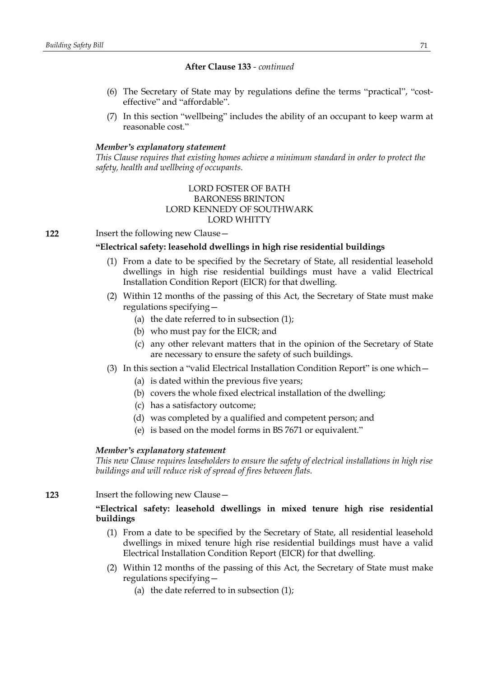- (6) The Secretary of State may by regulations define the terms "practical", "costeffective" and "affordable".
- (7) In this section "wellbeing" includes the ability of an occupant to keep warm at reasonable cost."

### *Member's explanatory statement*

*This Clause requires that existing homes achieve a minimum standard in order to protect the safety, health and wellbeing of occupants.*

# LORD FOSTER OF BATH BARONESS BRINTON LORD KENNEDY OF SOUTHWARK LORD WHITTY

**122** Insert the following new Clause—

# **"Electrical safety: leasehold dwellings in high rise residential buildings**

- (1) From a date to be specified by the Secretary of State, all residential leasehold dwellings in high rise residential buildings must have a valid Electrical Installation Condition Report (EICR) for that dwelling.
- (2) Within 12 months of the passing of this Act, the Secretary of State must make regulations specifying—
	- (a) the date referred to in subsection  $(1)$ ;
	- (b) who must pay for the EICR; and
	- (c) any other relevant matters that in the opinion of the Secretary of State are necessary to ensure the safety of such buildings.
- (3) In this section a "valid Electrical Installation Condition Report" is one which—
	- (a) is dated within the previous five years;
	- (b) covers the whole fixed electrical installation of the dwelling;
	- (c) has a satisfactory outcome;
	- (d) was completed by a qualified and competent person; and
	- (e) is based on the model forms in BS 7671 or equivalent."

## *Member's explanatory statement*

*This new Clause requires leaseholders to ensure the safety of electrical installations in high rise buildings and will reduce risk of spread of fires between flats.*

**123** Insert the following new Clause—

# **"Electrical safety: leasehold dwellings in mixed tenure high rise residential buildings**

- (1) From a date to be specified by the Secretary of State, all residential leasehold dwellings in mixed tenure high rise residential buildings must have a valid Electrical Installation Condition Report (EICR) for that dwelling.
- (2) Within 12 months of the passing of this Act, the Secretary of State must make regulations specifying—
	- (a) the date referred to in subsection (1);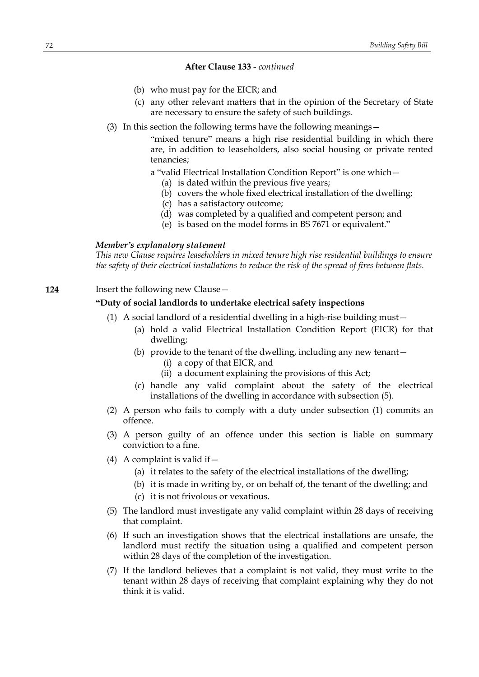- (b) who must pay for the EICR; and
- (c) any other relevant matters that in the opinion of the Secretary of State are necessary to ensure the safety of such buildings.
- (3) In this section the following terms have the following meanings—

"mixed tenure" means a high rise residential building in which there are, in addition to leaseholders, also social housing or private rented tenancies;

a "valid Electrical Installation Condition Report" is one which—

- (a) is dated within the previous five years;
- (b) covers the whole fixed electrical installation of the dwelling;
- (c) has a satisfactory outcome;
- (d) was completed by a qualified and competent person; and
- (e) is based on the model forms in BS 7671 or equivalent."

#### *Member's explanatory statement*

*This new Clause requires leaseholders in mixed tenure high rise residential buildings to ensure the safety of their electrical installations to reduce the risk of the spread of fires between flats.*

# **124** Insert the following new Clause—

## **"Duty of social landlords to undertake electrical safety inspections**

- (1) A social landlord of a residential dwelling in a high-rise building must—
	- (a) hold a valid Electrical Installation Condition Report (EICR) for that dwelling;
	- (b) provide to the tenant of the dwelling, including any new tenant— (i) a copy of that EICR, and
		- (ii) a document explaining the provisions of this Act;
	- (c) handle any valid complaint about the safety of the electrical installations of the dwelling in accordance with subsection (5).
- (2) A person who fails to comply with a duty under subsection (1) commits an offence.
- (3) A person guilty of an offence under this section is liable on summary conviction to a fine.
- (4) A complaint is valid if  $-$ 
	- (a) it relates to the safety of the electrical installations of the dwelling;
	- (b) it is made in writing by, or on behalf of, the tenant of the dwelling; and
	- (c) it is not frivolous or vexatious.
- (5) The landlord must investigate any valid complaint within 28 days of receiving that complaint.
- (6) If such an investigation shows that the electrical installations are unsafe, the landlord must rectify the situation using a qualified and competent person within 28 days of the completion of the investigation.
- (7) If the landlord believes that a complaint is not valid, they must write to the tenant within 28 days of receiving that complaint explaining why they do not think it is valid.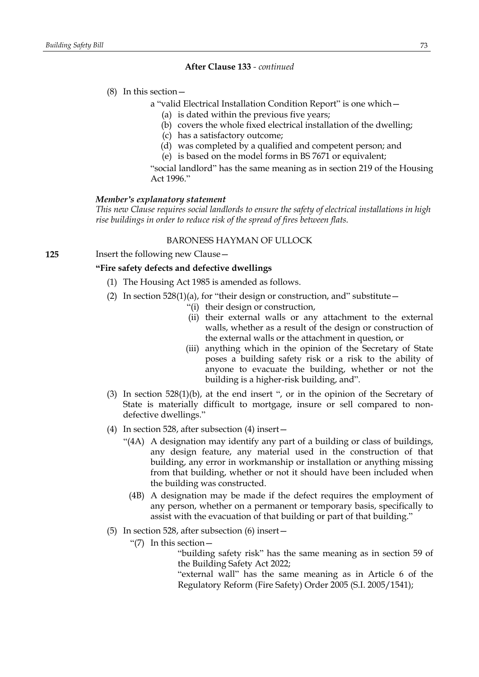### (8) In this section—

- a "valid Electrical Installation Condition Report" is one which—
	- (a) is dated within the previous five years;
	- (b) covers the whole fixed electrical installation of the dwelling;
	- (c) has a satisfactory outcome;
	- (d) was completed by a qualified and competent person; and
	- (e) is based on the model forms in BS 7671 or equivalent;

"social landlord" has the same meaning as in section 219 of the Housing Act 1996."

#### *Member's explanatory statement*

*This new Clause requires social landlords to ensure the safety of electrical installations in high rise buildings in order to reduce risk of the spread of fires between flats.*

### BARONESS HAYMAN OF ULLOCK

**125** Insert the following new Clause—

# **"Fire safety defects and defective dwellings**

- (1) The Housing Act 1985 is amended as follows.
- (2) In section  $528(1)(a)$ , for "their design or construction, and" substitute
	- "(i) their design or construction,
	- (ii) their external walls or any attachment to the external walls, whether as a result of the design or construction of the external walls or the attachment in question, or
	- (iii) anything which in the opinion of the Secretary of State poses a building safety risk or a risk to the ability of anyone to evacuate the building, whether or not the building is a higher-risk building, and".
- (3) In section 528(1)(b), at the end insert ", or in the opinion of the Secretary of State is materially difficult to mortgage, insure or sell compared to nondefective dwellings."
- (4) In section 528, after subsection (4) insert—
	- "(4A) A designation may identify any part of a building or class of buildings, any design feature, any material used in the construction of that building, any error in workmanship or installation or anything missing from that building, whether or not it should have been included when the building was constructed.
		- (4B) A designation may be made if the defect requires the employment of any person, whether on a permanent or temporary basis, specifically to assist with the evacuation of that building or part of that building."
- (5) In section 528, after subsection (6) insert—
	- "(7) In this section—

"building safety risk" has the same meaning as in section 59 of the Building Safety Act 2022;

"external wall" has the same meaning as in Article 6 of the Regulatory Reform (Fire Safety) Order 2005 (S.I. 2005/1541);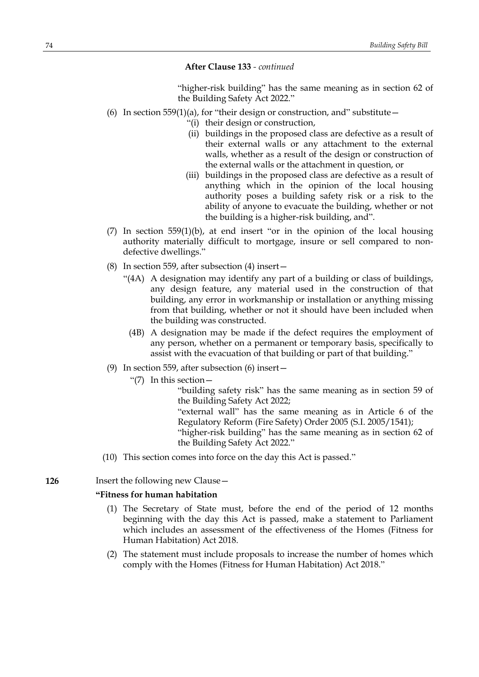"higher-risk building" has the same meaning as in section 62 of the Building Safety Act 2022."

- (6) In section 559(1)(a), for "their design or construction, and" substitute  $-$ 
	- "(i) their design or construction,
	- (ii) buildings in the proposed class are defective as a result of their external walls or any attachment to the external walls, whether as a result of the design or construction of the external walls or the attachment in question, or
	- (iii) buildings in the proposed class are defective as a result of anything which in the opinion of the local housing authority poses a building safety risk or a risk to the ability of anyone to evacuate the building, whether or not the building is a higher-risk building, and".
- (7) In section 559(1)(b), at end insert "or in the opinion of the local housing authority materially difficult to mortgage, insure or sell compared to nondefective dwellings."
- (8) In section 559, after subsection (4) insert—
	- "(4A) A designation may identify any part of a building or class of buildings, any design feature, any material used in the construction of that building, any error in workmanship or installation or anything missing from that building, whether or not it should have been included when the building was constructed.
		- (4B) A designation may be made if the defect requires the employment of any person, whether on a permanent or temporary basis, specifically to assist with the evacuation of that building or part of that building."
- (9) In section 559, after subsection (6) insert—
	- "(7) In this section—

"building safety risk" has the same meaning as in section 59 of the Building Safety Act 2022;

"external wall" has the same meaning as in Article 6 of the Regulatory Reform (Fire Safety) Order 2005 (S.I. 2005/1541);

"higher-risk building" has the same meaning as in section 62 of the Building Safety Act 2022."

(10) This section comes into force on the day this Act is passed."

### **126** Insert the following new Clause—

### **"Fitness for human habitation**

- (1) The Secretary of State must, before the end of the period of 12 months beginning with the day this Act is passed, make a statement to Parliament which includes an assessment of the effectiveness of the Homes (Fitness for Human Habitation) Act 2018.
- (2) The statement must include proposals to increase the number of homes which comply with the Homes (Fitness for Human Habitation) Act 2018."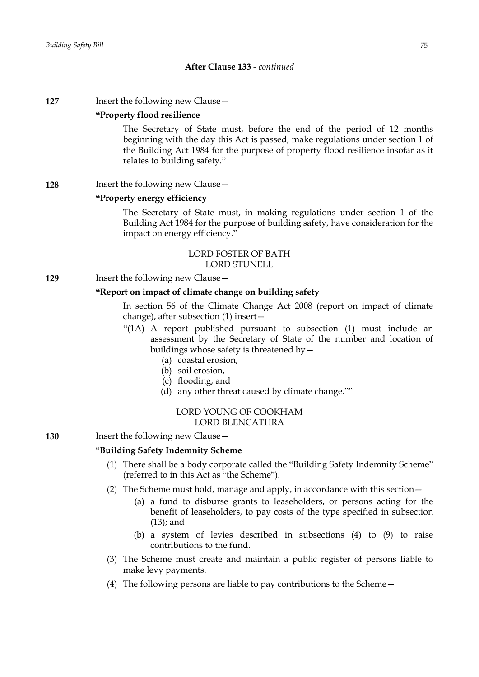**127** Insert the following new Clause -

### **"Property flood resilience**

The Secretary of State must, before the end of the period of 12 months beginning with the day this Act is passed, make regulations under section 1 of the Building Act 1984 for the purpose of property flood resilience insofar as it relates to building safety."

#### **128** Insert the following new Clause –

# **"Property energy efficiency**

The Secretary of State must, in making regulations under section 1 of the Building Act 1984 for the purpose of building safety, have consideration for the impact on energy efficiency."

### LORD FOSTER OF BATH LORD STUNELL

**129** Insert the following new Clause -

# **"Report on impact of climate change on building safety**

In section 56 of the Climate Change Act 2008 (report on impact of climate change), after subsection (1) insert—

- "(1A) A report published pursuant to subsection (1) must include an assessment by the Secretary of State of the number and location of buildings whose safety is threatened by  $-$ 
	- (a) coastal erosion,
	- (b) soil erosion,
	- (c) flooding, and
	- (d) any other threat caused by climate change.""

# LORD YOUNG OF COOKHAM LORD BLENCATHRA

**130** Insert the following new Clause—

### "**Building Safety Indemnity Scheme**

- (1) There shall be a body corporate called the "Building Safety Indemnity Scheme" (referred to in this Act as "the Scheme").
- (2) The Scheme must hold, manage and apply, in accordance with this section—
	- (a) a fund to disburse grants to leaseholders, or persons acting for the benefit of leaseholders, to pay costs of the type specified in subsection (13); and
	- (b) a system of levies described in subsections (4) to (9) to raise contributions to the fund.
- (3) The Scheme must create and maintain a public register of persons liable to make levy payments.
- (4) The following persons are liable to pay contributions to the Scheme—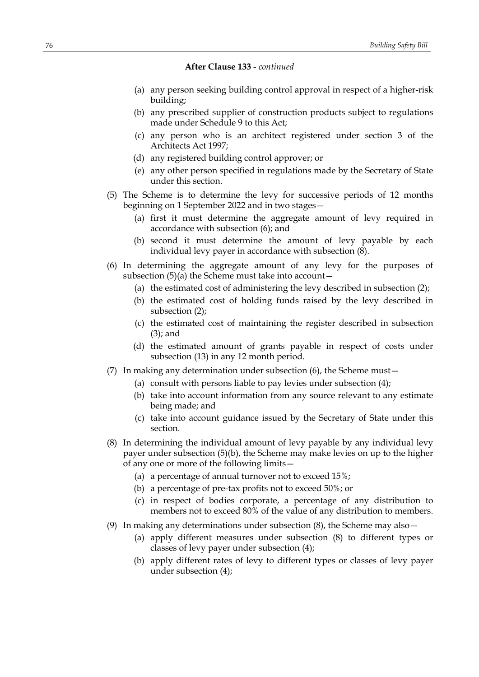- (a) any person seeking building control approval in respect of a higher-risk building;
- (b) any prescribed supplier of construction products subject to regulations made under Schedule 9 to this Act;
- (c) any person who is an architect registered under section 3 of the Architects Act 1997;
- (d) any registered building control approver; or
- (e) any other person specified in regulations made by the Secretary of State under this section.
- (5) The Scheme is to determine the levy for successive periods of 12 months beginning on 1 September 2022 and in two stages—
	- (a) first it must determine the aggregate amount of levy required in accordance with subsection (6); and
	- (b) second it must determine the amount of levy payable by each individual levy payer in accordance with subsection  $(8)$ .
- (6) In determining the aggregate amount of any levy for the purposes of subsection  $(5)(a)$  the Scheme must take into account  $-$ 
	- (a) the estimated cost of administering the levy described in subsection (2);
	- (b) the estimated cost of holding funds raised by the levy described in subsection (2);
	- (c) the estimated cost of maintaining the register described in subsection (3); and
	- (d) the estimated amount of grants payable in respect of costs under subsection (13) in any 12 month period.
- (7) In making any determination under subsection (6), the Scheme must—
	- (a) consult with persons liable to pay levies under subsection (4);
	- (b) take into account information from any source relevant to any estimate being made; and
	- (c) take into account guidance issued by the Secretary of State under this section.
- (8) In determining the individual amount of levy payable by any individual levy payer under subsection (5)(b), the Scheme may make levies on up to the higher of any one or more of the following limits—
	- (a) a percentage of annual turnover not to exceed 15%;
	- (b) a percentage of pre-tax profits not to exceed 50%; or
	- (c) in respect of bodies corporate, a percentage of any distribution to members not to exceed 80% of the value of any distribution to members.
- (9) In making any determinations under subsection  $(8)$ , the Scheme may also  $-$ 
	- (a) apply different measures under subsection (8) to different types or classes of levy payer under subsection (4);
	- (b) apply different rates of levy to different types or classes of levy payer under subsection (4);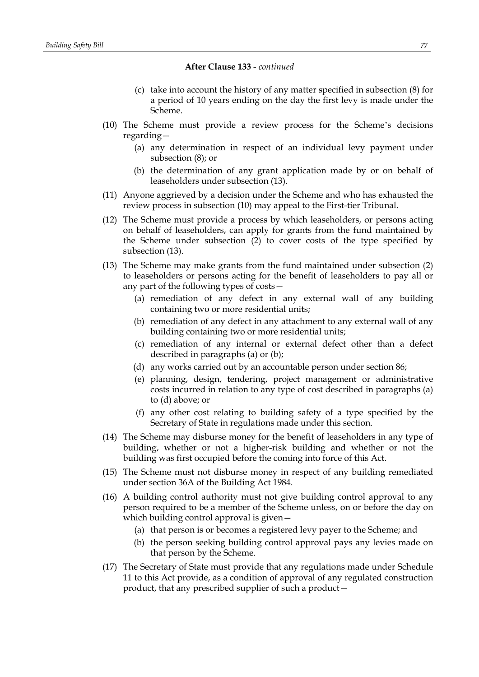- (c) take into account the history of any matter specified in subsection (8) for a period of 10 years ending on the day the first levy is made under the Scheme.
- (10) The Scheme must provide a review process for the Scheme's decisions regarding—
	- (a) any determination in respect of an individual levy payment under subsection (8); or
	- (b) the determination of any grant application made by or on behalf of leaseholders under subsection (13).
- (11) Anyone aggrieved by a decision under the Scheme and who has exhausted the review process in subsection (10) may appeal to the First-tier Tribunal.
- (12) The Scheme must provide a process by which leaseholders, or persons acting on behalf of leaseholders, can apply for grants from the fund maintained by the Scheme under subsection (2) to cover costs of the type specified by subsection (13).
- (13) The Scheme may make grants from the fund maintained under subsection (2) to leaseholders or persons acting for the benefit of leaseholders to pay all or any part of the following types of costs—
	- (a) remediation of any defect in any external wall of any building containing two or more residential units;
	- (b) remediation of any defect in any attachment to any external wall of any building containing two or more residential units;
	- (c) remediation of any internal or external defect other than a defect described in paragraphs (a) or (b);
	- (d) any works carried out by an accountable person under section 86;
	- (e) planning, design, tendering, project management or administrative costs incurred in relation to any type of cost described in paragraphs (a) to (d) above; or
	- (f) any other cost relating to building safety of a type specified by the Secretary of State in regulations made under this section.
- (14) The Scheme may disburse money for the benefit of leaseholders in any type of building, whether or not a higher-risk building and whether or not the building was first occupied before the coming into force of this Act.
- (15) The Scheme must not disburse money in respect of any building remediated under section 36A of the Building Act 1984.
- (16) A building control authority must not give building control approval to any person required to be a member of the Scheme unless, on or before the day on which building control approval is given—
	- (a) that person is or becomes a registered levy payer to the Scheme; and
	- (b) the person seeking building control approval pays any levies made on that person by the Scheme.
- (17) The Secretary of State must provide that any regulations made under Schedule 11 to this Act provide, as a condition of approval of any regulated construction product, that any prescribed supplier of such a product—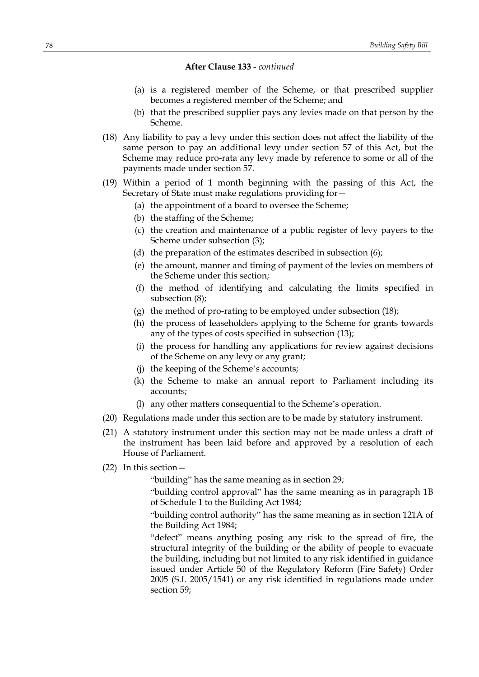- (a) is a registered member of the Scheme, or that prescribed supplier becomes a registered member of the Scheme; and
- (b) that the prescribed supplier pays any levies made on that person by the Scheme.
- (18) Any liability to pay a levy under this section does not affect the liability of the same person to pay an additional levy under section 57 of this Act, but the Scheme may reduce pro-rata any levy made by reference to some or all of the payments made under section 57.
- (19) Within a period of 1 month beginning with the passing of this Act, the Secretary of State must make regulations providing for—
	- (a) the appointment of a board to oversee the Scheme;
	- (b) the staffing of the Scheme;
	- (c) the creation and maintenance of a public register of levy payers to the Scheme under subsection (3);
	- (d) the preparation of the estimates described in subsection (6);
	- (e) the amount, manner and timing of payment of the levies on members of the Scheme under this section;
	- (f) the method of identifying and calculating the limits specified in subsection (8);
	- (g) the method of pro-rating to be employed under subsection (18);
	- (h) the process of leaseholders applying to the Scheme for grants towards any of the types of costs specified in subsection (13);
	- (i) the process for handling any applications for review against decisions of the Scheme on any levy or any grant;
	- (j) the keeping of the Scheme's accounts;
	- (k) the Scheme to make an annual report to Parliament including its accounts;
	- (l) any other matters consequential to the Scheme's operation.
- (20) Regulations made under this section are to be made by statutory instrument.
- (21) A statutory instrument under this section may not be made unless a draft of the instrument has been laid before and approved by a resolution of each House of Parliament.
- (22) In this section—

"building" has the same meaning as in section 29;

"building control approval" has the same meaning as in paragraph 1B of Schedule 1 to the Building Act 1984;

"building control authority" has the same meaning as in section 121A of the Building Act 1984;

"defect" means anything posing any risk to the spread of fire, the structural integrity of the building or the ability of people to evacuate the building, including but not limited to any risk identified in guidance issued under Article 50 of the Regulatory Reform (Fire Safety) Order 2005 (S.I. 2005/1541) or any risk identified in regulations made under section 59;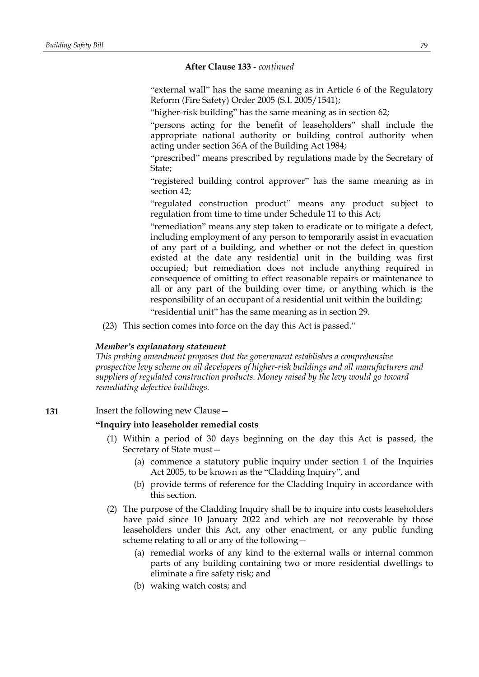"external wall" has the same meaning as in Article 6 of the Regulatory Reform (Fire Safety) Order 2005 (S.I. 2005/1541);

"higher-risk building" has the same meaning as in section 62;

"persons acting for the benefit of leaseholders" shall include the appropriate national authority or building control authority when acting under section 36A of the Building Act 1984;

"prescribed" means prescribed by regulations made by the Secretary of State;

"registered building control approver" has the same meaning as in section 42;

"regulated construction product" means any product subject to regulation from time to time under Schedule 11 to this Act;

"remediation" means any step taken to eradicate or to mitigate a defect, including employment of any person to temporarily assist in evacuation of any part of a building, and whether or not the defect in question existed at the date any residential unit in the building was first occupied; but remediation does not include anything required in consequence of omitting to effect reasonable repairs or maintenance to all or any part of the building over time, or anything which is the responsibility of an occupant of a residential unit within the building;

"residential unit" has the same meaning as in section 29.

(23) This section comes into force on the day this Act is passed."

### *Member's explanatory statement*

*This probing amendment proposes that the government establishes a comprehensive prospective levy scheme on all developers of higher-risk buildings and all manufacturers and suppliers of regulated construction products. Money raised by the levy would go toward remediating defective buildings.*

**131** Insert the following new Clause—

#### **"Inquiry into leaseholder remedial costs**

- (1) Within a period of 30 days beginning on the day this Act is passed, the Secretary of State must—
	- (a) commence a statutory public inquiry under section 1 of the Inquiries Act 2005, to be known as the "Cladding Inquiry", and
	- (b) provide terms of reference for the Cladding Inquiry in accordance with this section.
- (2) The purpose of the Cladding Inquiry shall be to inquire into costs leaseholders have paid since 10 January 2022 and which are not recoverable by those leaseholders under this Act, any other enactment, or any public funding scheme relating to all or any of the following—
	- (a) remedial works of any kind to the external walls or internal common parts of any building containing two or more residential dwellings to eliminate a fire safety risk; and
	- (b) waking watch costs; and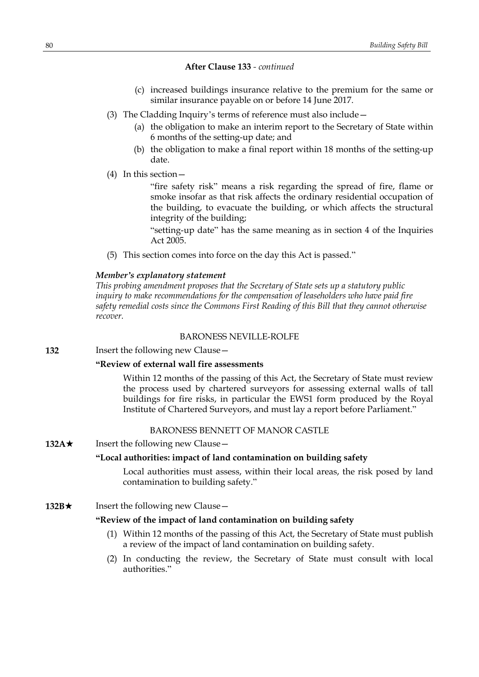- (c) increased buildings insurance relative to the premium for the same or similar insurance payable on or before 14 June 2017.
- (3) The Cladding Inquiry's terms of reference must also include—
	- (a) the obligation to make an interim report to the Secretary of State within 6 months of the setting-up date; and
	- (b) the obligation to make a final report within 18 months of the setting-up date.
- (4) In this section—

"fire safety risk" means a risk regarding the spread of fire, flame or smoke insofar as that risk affects the ordinary residential occupation of the building, to evacuate the building, or which affects the structural integrity of the building;

"setting-up date" has the same meaning as in section 4 of the Inquiries Act 2005.

(5) This section comes into force on the day this Act is passed."

# *Member's explanatory statement*

*This probing amendment proposes that the Secretary of State sets up a statutory public inquiry to make recommendations for the compensation of leaseholders who have paid fire safety remedial costs since the Commons First Reading of this Bill that they cannot otherwise recover.*

#### BARONESS NEVILLE-ROLFE

**132** Insert the following new Clause—

# **"Review of external wall fire assessments**

Within 12 months of the passing of this Act, the Secretary of State must review the process used by chartered surveyors for assessing external walls of tall buildings for fire risks, in particular the EWS1 form produced by the Royal Institute of Chartered Surveyors, and must lay a report before Parliament."

# BARONESS BENNETT OF MANOR CASTLE

**132A**★ Insert the following new Clause —

# **"Local authorities: impact of land contamination on building safety**

Local authorities must assess, within their local areas, the risk posed by land contamination to building safety."

# **132B**★ Insert the following new Clause —

# **"Review of the impact of land contamination on building safety**

- (1) Within 12 months of the passing of this Act, the Secretary of State must publish a review of the impact of land contamination on building safety.
- (2) In conducting the review, the Secretary of State must consult with local authorities."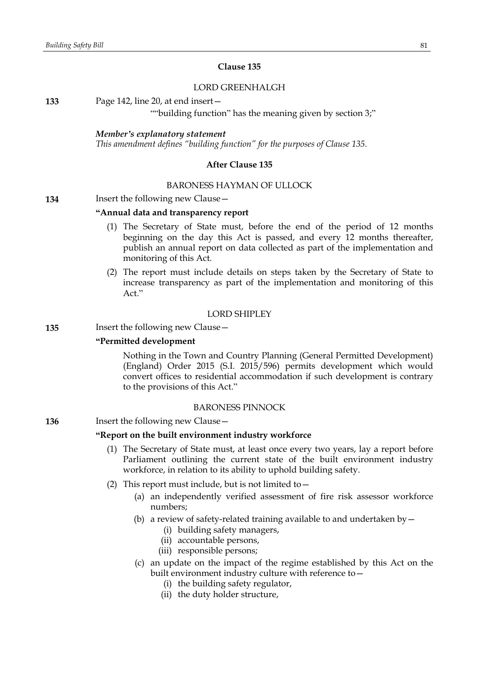# **Clause 135**

# LORD GREENHALGH

**133** Page 142, line 20, at end insert—

""building function" has the meaning given by section 3;"

# *Member's explanatory statement*

*This amendment defines "building function" for the purposes of Clause 135.*

### **After Clause 135**

### BARONESS HAYMAN OF ULLOCK

# **134** Insert the following new Clause—

### **"Annual data and transparency report**

- (1) The Secretary of State must, before the end of the period of 12 months beginning on the day this Act is passed, and every 12 months thereafter, publish an annual report on data collected as part of the implementation and monitoring of this Act.
- (2) The report must include details on steps taken by the Secretary of State to increase transparency as part of the implementation and monitoring of this Act."

# LORD SHIPLEY

# **135** Insert the following new Clause—

# **"Permitted development**

Nothing in the Town and Country Planning (General Permitted Development) (England) Order 2015 (S.I. 2015/596) permits development which would convert offices to residential accommodation if such development is contrary to the provisions of this Act."

#### BARONESS PINNOCK

# **136** Insert the following new Clause -

# **"Report on the built environment industry workforce**

- (1) The Secretary of State must, at least once every two years, lay a report before Parliament outlining the current state of the built environment industry workforce, in relation to its ability to uphold building safety.
- (2) This report must include, but is not limited to  $-$ 
	- (a) an independently verified assessment of fire risk assessor workforce numbers;
	- (b) a review of safety-related training available to and undertaken by  $-$ 
		- (i) building safety managers,
		- (ii) accountable persons,
		- (iii) responsible persons;
	- (c) an update on the impact of the regime established by this Act on the built environment industry culture with reference to—
		- (i) the building safety regulator,
		- (ii) the duty holder structure,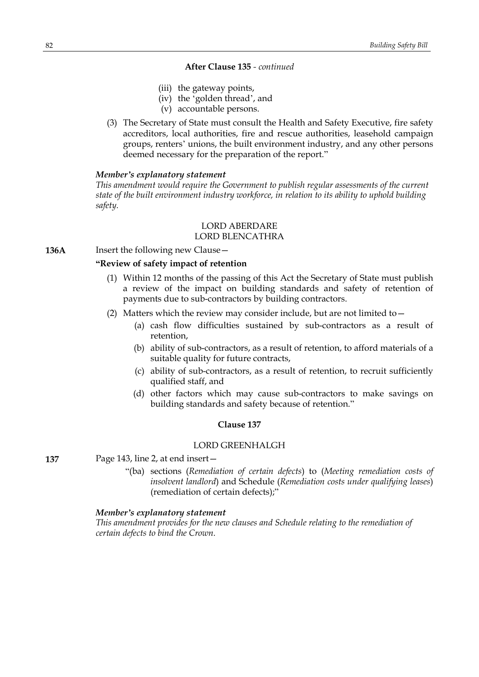- (iii) the gateway points,
- (iv) the 'golden thread', and
- (v) accountable persons.
- (3) The Secretary of State must consult the Health and Safety Executive, fire safety accreditors, local authorities, fire and rescue authorities, leasehold campaign groups, renters' unions, the built environment industry, and any other persons deemed necessary for the preparation of the report."

#### *Member's explanatory statement*

*This amendment would require the Government to publish regular assessments of the current state of the built environment industry workforce, in relation to its ability to uphold building safety.*

# LORD ABERDARE

# LORD BLENCATHRA

**136A** Insert the following new Clause –

# **"Review of safety impact of retention**

- (1) Within 12 months of the passing of this Act the Secretary of State must publish a review of the impact on building standards and safety of retention of payments due to sub-contractors by building contractors.
- (2) Matters which the review may consider include, but are not limited to  $-$ 
	- (a) cash flow difficulties sustained by sub-contractors as a result of retention,
	- (b) ability of sub-contractors, as a result of retention, to afford materials of a suitable quality for future contracts,
	- (c) ability of sub-contractors, as a result of retention, to recruit sufficiently qualified staff, and
	- (d) other factors which may cause sub-contractors to make savings on building standards and safety because of retention."

# **Clause 137**

# LORD GREENHALGH

**137** Page 143, line 2, at end insert—

"(ba) sections (*Remediation of certain defects*) to (*Meeting remediation costs of insolvent landlord*) and Schedule (*Remediation costs under qualifying leases*) (remediation of certain defects);"

#### *Member's explanatory statement*

*This amendment provides for the new clauses and Schedule relating to the remediation of certain defects to bind the Crown.*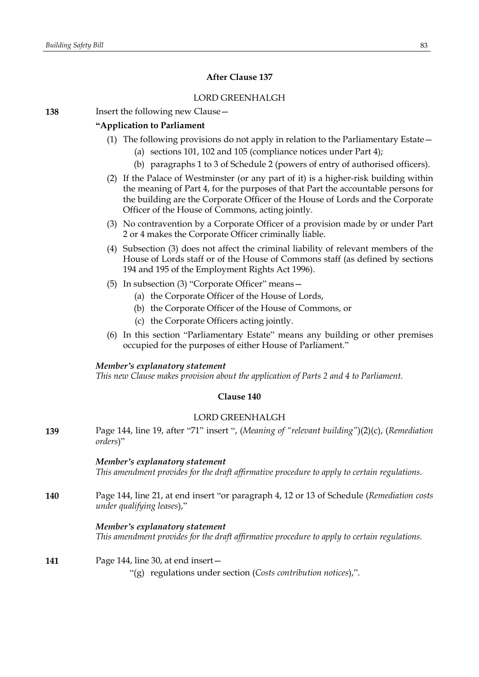# **After Clause 137**

# LORD GREENHALGH

**138** Insert the following new Clause—

# **"Application to Parliament**

- (1) The following provisions do not apply in relation to the Parliamentary Estate—
	- (a) sections 101, 102 and 105 (compliance notices under Part 4);
	- (b) paragraphs 1 to 3 of Schedule 2 (powers of entry of authorised officers).
- (2) If the Palace of Westminster (or any part of it) is a higher-risk building within the meaning of Part 4, for the purposes of that Part the accountable persons for the building are the Corporate Officer of the House of Lords and the Corporate Officer of the House of Commons, acting jointly.
- (3) No contravention by a Corporate Officer of a provision made by or under Part 2 or 4 makes the Corporate Officer criminally liable.
- (4) Subsection (3) does not affect the criminal liability of relevant members of the House of Lords staff or of the House of Commons staff (as defined by sections 194 and 195 of the Employment Rights Act 1996).
- (5) In subsection (3) "Corporate Officer" means—
	- (a) the Corporate Officer of the House of Lords,
	- (b) the Corporate Officer of the House of Commons, or
	- (c) the Corporate Officers acting jointly.
- (6) In this section "Parliamentary Estate" means any building or other premises occupied for the purposes of either House of Parliament."

# *Member's explanatory statement*

*This new Clause makes provision about the application of Parts 2 and 4 to Parliament.*

# **Clause 140**

# LORD GREENHALGH

**139** Page 144, line 19, after "71" insert ", (*Meaning of "relevant building"*)(2)(c), (*Remediation orders*)"

# *Member's explanatory statement*

*This amendment provides for the draft affirmative procedure to apply to certain regulations.*

**140** Page 144, line 21, at end insert "or paragraph 4, 12 or 13 of Schedule (*Remediation costs under qualifying leases*),"

# *Member's explanatory statement*

*This amendment provides for the draft affirmative procedure to apply to certain regulations.*

# **141** Page 144, line 30, at end insert—

"(g) regulations under section (*Costs contribution notices*),".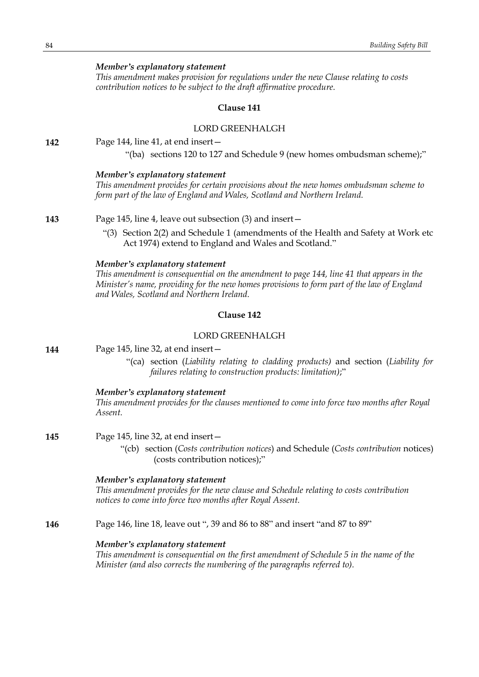# *Member's explanatory statement*

*This amendment makes provision for regulations under the new Clause relating to costs contribution notices to be subject to the draft affirmative procedure.*

#### **Clause 141**

#### LORD GREENHALGH

**142** Page 144, line 41, at end insert—

"(ba) sections 120 to 127 and Schedule 9 (new homes ombudsman scheme);"

#### *Member's explanatory statement*

*This amendment provides for certain provisions about the new homes ombudsman scheme to form part of the law of England and Wales, Scotland and Northern Ireland.*

**143** Page 145, line 4, leave out subsection (3) and insert—

"(3) Section 2(2) and Schedule 1 (amendments of the Health and Safety at Work etc Act 1974) extend to England and Wales and Scotland."

### *Member's explanatory statement*

*This amendment is consequential on the amendment to page 144, line 41 that appears in the Minister's name, providing for the new homes provisions to form part of the law of England and Wales, Scotland and Northern Ireland.*

# **Clause 142**

# LORD GREENHALGH

| 144 | Page 145, line 32, at end insert- |
|-----|-----------------------------------|
|-----|-----------------------------------|

"(ca) section (*Liability relating to cladding products)* and section (*Liability for failures relating to construction products: limitation)*;"

### *Member's explanatory statement*

*This amendment provides for the clauses mentioned to come into force two months after Royal Assent.*

**145** Page 145, line 32, at end insert—

"(cb) section (*Costs contribution notices*) and Schedule (*Costs contribution* notices) (costs contribution notices);"

### *Member's explanatory statement*

*This amendment provides for the new clause and Schedule relating to costs contribution notices to come into force two months after Royal Assent.*

**146** Page 146, line 18, leave out ", 39 and 86 to 88" and insert "and 87 to 89"

#### *Member's explanatory statement*

*This amendment is consequential on the first amendment of Schedule 5 in the name of the Minister (and also corrects the numbering of the paragraphs referred to).*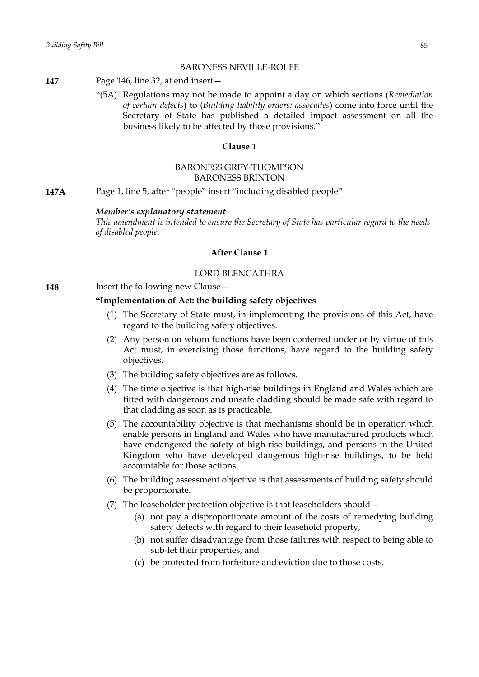#### BARONESS NEVILLE-ROLFE

- **147** Page 146, line 32, at end insert—
	- "(5A) Regulations may not be made to appoint a day on which sections (*Remediation of certain defects*) to (*Building liability orders: associates*) come into force until the Secretary of State has published a detailed impact assessment on all the business likely to be affected by those provisions."

### **Clause 1**

# BARONESS GREY-THOMPSON BARONESS BRINTON

**147A** Page 1, line 5, after "people" insert "including disabled people"

#### *Member's explanatory statement*

*This amendment is intended to ensure the Secretary of State has particular regard to the needs of disabled people.*

# **After Clause 1**

# LORD BLENCATHRA

**148** Insert the following new Clause -

# **"Implementation of Act: the building safety objectives**

- (1) The Secretary of State must, in implementing the provisions of this Act, have regard to the building safety objectives.
- (2) Any person on whom functions have been conferred under or by virtue of this Act must, in exercising those functions, have regard to the building safety objectives.
- (3) The building safety objectives are as follows.
- (4) The time objective is that high-rise buildings in England and Wales which are fitted with dangerous and unsafe cladding should be made safe with regard to that cladding as soon as is practicable.
- (5) The accountability objective is that mechanisms should be in operation which enable persons in England and Wales who have manufactured products which have endangered the safety of high-rise buildings, and persons in the United Kingdom who have developed dangerous high-rise buildings, to be held accountable for those actions.
- (6) The building assessment objective is that assessments of building safety should be proportionate.
- (7) The leaseholder protection objective is that leaseholders should—
	- (a) not pay a disproportionate amount of the costs of remedying building safety defects with regard to their leasehold property,
	- (b) not suffer disadvantage from those failures with respect to being able to sub-let their properties, and
	- (c) be protected from forfeiture and eviction due to those costs.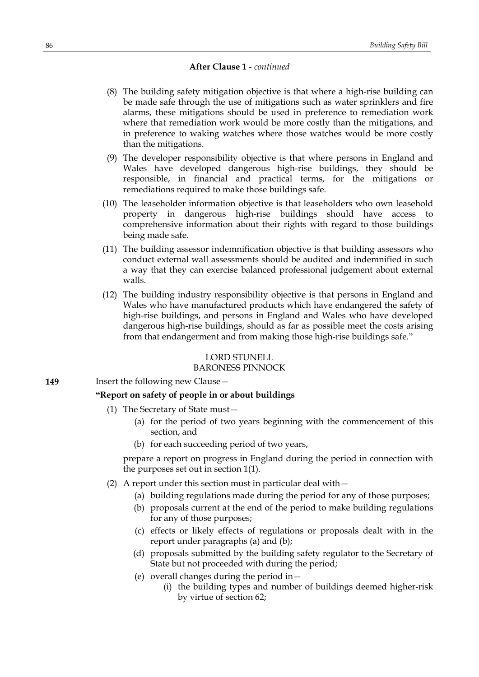- (8) The building safety mitigation objective is that where a high-rise building can be made safe through the use of mitigations such as water sprinklers and fire alarms, these mitigations should be used in preference to remediation work where that remediation work would be more costly than the mitigations, and in preference to waking watches where those watches would be more costly than the mitigations.
- (9) The developer responsibility objective is that where persons in England and Wales have developed dangerous high-rise buildings, they should be responsible, in financial and practical terms, for the mitigations or remediations required to make those buildings safe.
- (10) The leaseholder information objective is that leaseholders who own leasehold property in dangerous high-rise buildings should have access to comprehensive information about their rights with regard to those buildings being made safe.
- (11) The building assessor indemnification objective is that building assessors who conduct external wall assessments should be audited and indemnified in such a way that they can exercise balanced professional judgement about external walls.
- (12) The building industry responsibility objective is that persons in England and Wales who have manufactured products which have endangered the safety of high-rise buildings, and persons in England and Wales who have developed dangerous high-rise buildings, should as far as possible meet the costs arising from that endangerment and from making those high-rise buildings safe."

# LORD STUNELL

# BARONESS PINNOCK

**149** Insert the following new Clause –

# **"Report on safety of people in or about buildings**

- (1) The Secretary of State must—
	- (a) for the period of two years beginning with the commencement of this section, and
	- (b) for each succeeding period of two years,

prepare a report on progress in England during the period in connection with the purposes set out in section 1(1).

- (2) A report under this section must in particular deal with—
	- (a) building regulations made during the period for any of those purposes;
	- (b) proposals current at the end of the period to make building regulations for any of those purposes;
	- (c) effects or likely effects of regulations or proposals dealt with in the report under paragraphs (a) and (b);
	- (d) proposals submitted by the building safety regulator to the Secretary of State but not proceeded with during the period;
	- (e) overall changes during the period in—
		- (i) the building types and number of buildings deemed higher-risk by virtue of section 62;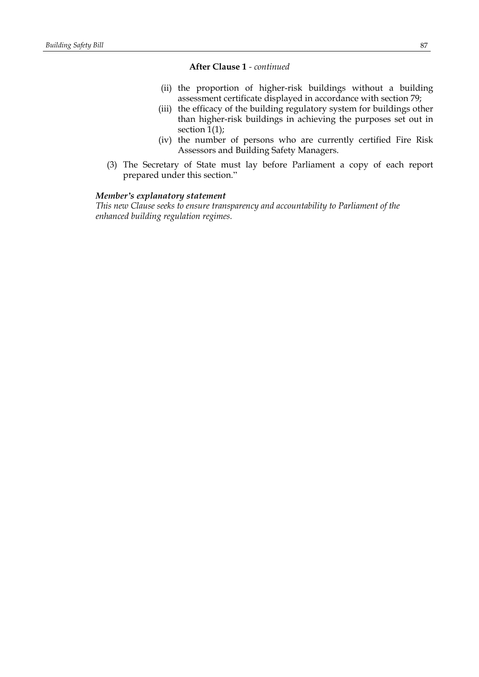- (ii) the proportion of higher-risk buildings without a building assessment certificate displayed in accordance with section 79;
- (iii) the efficacy of the building regulatory system for buildings other than higher-risk buildings in achieving the purposes set out in section 1(1);
- (iv) the number of persons who are currently certified Fire Risk Assessors and Building Safety Managers.
- (3) The Secretary of State must lay before Parliament a copy of each report prepared under this section."

#### *Member's explanatory statement*

*This new Clause seeks to ensure transparency and accountability to Parliament of the enhanced building regulation regimes.*